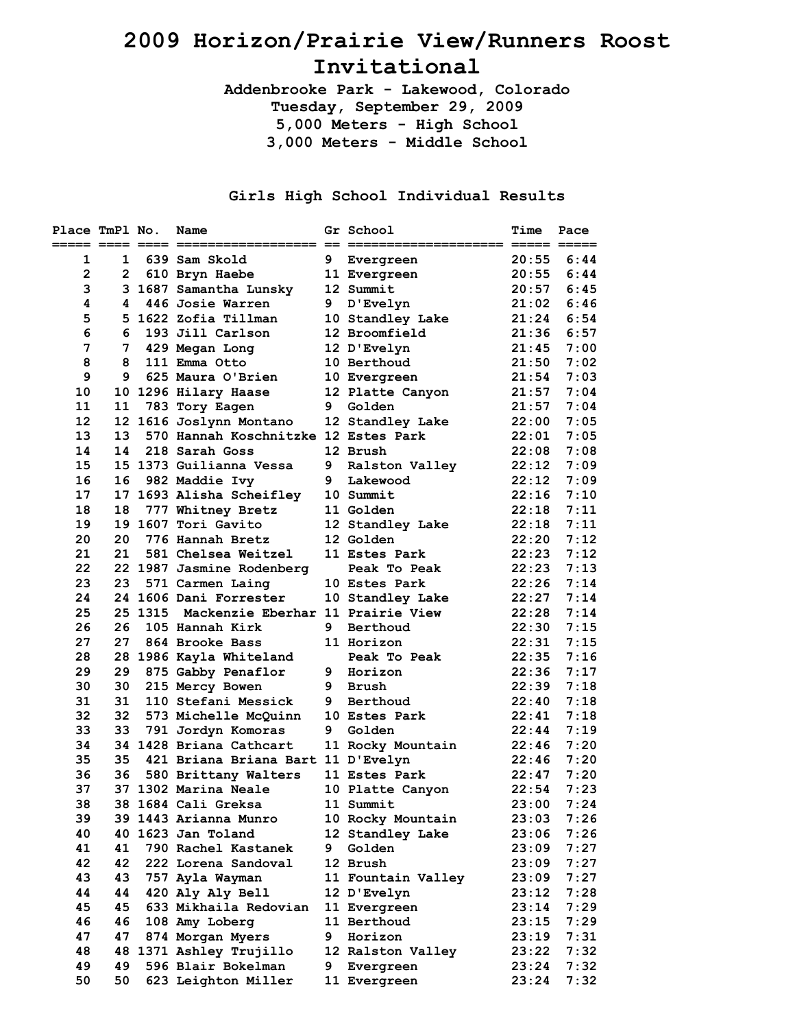## **2009 Horizon/Prairie View/Runners Roost Invitational**

**Addenbrooke Park - Lakewood, Colorado Tuesday, September 29, 2009 5,000 Meters - High School 3,000 Meters - Middle School** 

## **Girls High School Individual Results**

| Place TmPl No. |                       | Name                                      |   | Gr School          | <b>Time</b> | Pace |
|----------------|-----------------------|-------------------------------------------|---|--------------------|-------------|------|
| 1              | $\mathbf{1}$          | 639 Sam Skold                             |   | 9 Evergreen        | 20:55       | 6:44 |
| $\mathbf{2}$   | $\mathbf{2}^{\prime}$ | 610 Bryn Haebe                            |   | 11 Evergreen       | 20:55       | 6:44 |
| 3              |                       | 3 1687 Samantha Lunsky                    |   | 12 Summit          | 20:57       | 6:45 |
| 4              | 4                     | 446 Josie Warren                          | 9 | D'Evelyn           | 21:02       | 6:46 |
| 5              |                       | 5 1622 Zofia Tillman                      |   | 10 Standley Lake   | 21:24       | 6:54 |
| 6              | 6                     | 193 Jill Carlson                          |   | 12 Broomfield      | 21:36       | 6:57 |
| 7              | 7                     | 429 Megan Long                            |   | 12 D'Evelyn        | 21:45       | 7:00 |
| 8              | 8                     | 111 Emma Otto                             |   | 10 Berthoud        | 21:50       | 7:02 |
| 9              | 9                     | 625 Maura O'Brien                         |   | 10 Evergreen       | 21:54       | 7:03 |
| 10             |                       | 10 1296 Hilary Haase                      |   | 12 Platte Canyon   | 21:57       | 7:04 |
| 11             | 11                    | 783 Tory Eagen                            | 9 | Golden             | 21:57       | 7:04 |
| 12             |                       | 12 1616 Joslynn Montano                   |   | 12 Standley Lake   | 22:00       | 7:05 |
| 13             | 13                    | 570 Hannah Koschnitzke 12 Estes Park      |   |                    | 22:01       | 7:05 |
| 14             | 14                    | 218 Sarah Goss                            |   | 12 Brush           | 22:08       | 7:08 |
| 15             |                       | 15 1373 Guilianna Vessa                   |   | 9 Ralston Valley   | 22:12       | 7:09 |
| 16             | 16                    | 982 Maddie Ivy                            |   | 9 Lakewood         | 22:12       | 7:09 |
| 17             |                       | 17 1693 Alisha Scheifley 10 Summit        |   |                    | 22:16       | 7:10 |
| 18             |                       | 18 777 Whitney Bretz                      |   | 11 Golden          | 22:18       | 7:11 |
| 19             |                       | 19 1607 Tori Gavito                       |   | 12 Standley Lake   | 22:18       | 7:11 |
| 20             | 20                    | 776 Hannah Bretz                          |   | 12 Golden          | 22:20       | 7:12 |
| 21             | 21                    | 581 Chelsea Weitzel                       |   | 11 Estes Park      | 22:23       | 7:12 |
| 22             |                       | 22 1987 Jasmine Rodenberg                 |   | Peak To Peak       | 22:23       | 7:13 |
| 23             | 23                    | 571 Carmen Laing                          |   | 10 Estes Park      | 22:26       | 7:14 |
| 24             |                       | 24 1606 Dani Forrester                    |   | 10 Standley Lake   | 22:27       | 7:14 |
| 25             |                       | 25 1315 Mackenzie Eberhar 11 Prairie View |   |                    | 22:28       | 7:14 |
| 26             | 26                    | 105 Hannah Kirk                           |   | 9 Berthoud         | 22:30       | 7:15 |
| 27             | 27                    | 864 Brooke Bass                           |   | 11 Horizon         | 22:31       | 7:15 |
| 28             |                       | 28 1986 Kayla Whiteland                   |   | Peak To Peak       | 22:35       | 7:16 |
| 29             | 29                    | 875 Gabby Penaflor                        |   | 9 Horizon          | 22:36       | 7:17 |
| 30             | 30                    | 215 Mercy Bowen                           |   | 9 Brush            | 22:39       | 7:18 |
| 31             | 31                    | 110 Stefani Messick                       | 9 | Berthoud           | 22:40       | 7:18 |
| 32             | 32                    | 573 Michelle McQuinn                      |   | 10 Estes Park      | 22:41       | 7:18 |
| 33             | 33                    | 791 Jordyn Komoras                        | 9 | Golden             | 22:44       | 7:19 |
| 34             |                       | 34 1428 Briana Cathcart                   |   | 11 Rocky Mountain  | 22:46       | 7:20 |
| 35             | 35                    | 421 Briana Briana Bart 11 D'Evelyn        |   |                    | 22:46       | 7:20 |
| 36             | 36                    | 580 Brittany Walters                      |   | 11 Estes Park      | 22:47       | 7:20 |
| 37             |                       | 37 1302 Marina Neale                      |   | 10 Platte Canyon   | 22:54       | 7:23 |
| 38             |                       | 38 1684 Cali Greksa                       |   | 11 Summit          | 23:00       | 7:24 |
| 39             |                       | 39 1443 Arianna Munro                     |   | 10 Rocky Mountain  | 23:03       | 7:26 |
| 40             |                       | 40 1623 Jan Toland                        |   | 12 Standley Lake   | 23:06       | 7:26 |
| 41             | 41                    | 790 Rachel Kastanek                       |   | 9 Golden           | 23:09       | 7:27 |
| 42             | 42                    | 222 Lorena Sandoval                       |   | 12 Brush           | 23:09       | 7:27 |
| 43             | 43                    | 757 Ayla Wayman                           |   | 11 Fountain Valley | 23:09       | 7:27 |
| 44             | 44                    | 420 Aly Aly Bell                          |   | 12 D'Evelyn        | 23:12       | 7:28 |
| 45             | 45                    | 633 Mikhaila Redovian                     |   | 11 Evergreen       | 23:14       | 7:29 |
| 46             | 46                    | 108 Amy Loberg                            |   | 11 Berthoud        | 23:15       | 7:29 |
| 47             | 47                    | 874 Morgan Myers                          | 9 | Horizon            | 23:19       | 7:31 |
| 48             |                       | 48 1371 Ashley Trujillo                   |   | 12 Ralston Valley  | 23:22       | 7:32 |
| 49             | 49                    | 596 Blair Bokelman                        | 9 | Evergreen          | 23:24       | 7:32 |
| 50             | 50                    | 623 Leighton Miller                       |   | 11 Evergreen       | 23:24       | 7:32 |
|                |                       |                                           |   |                    |             |      |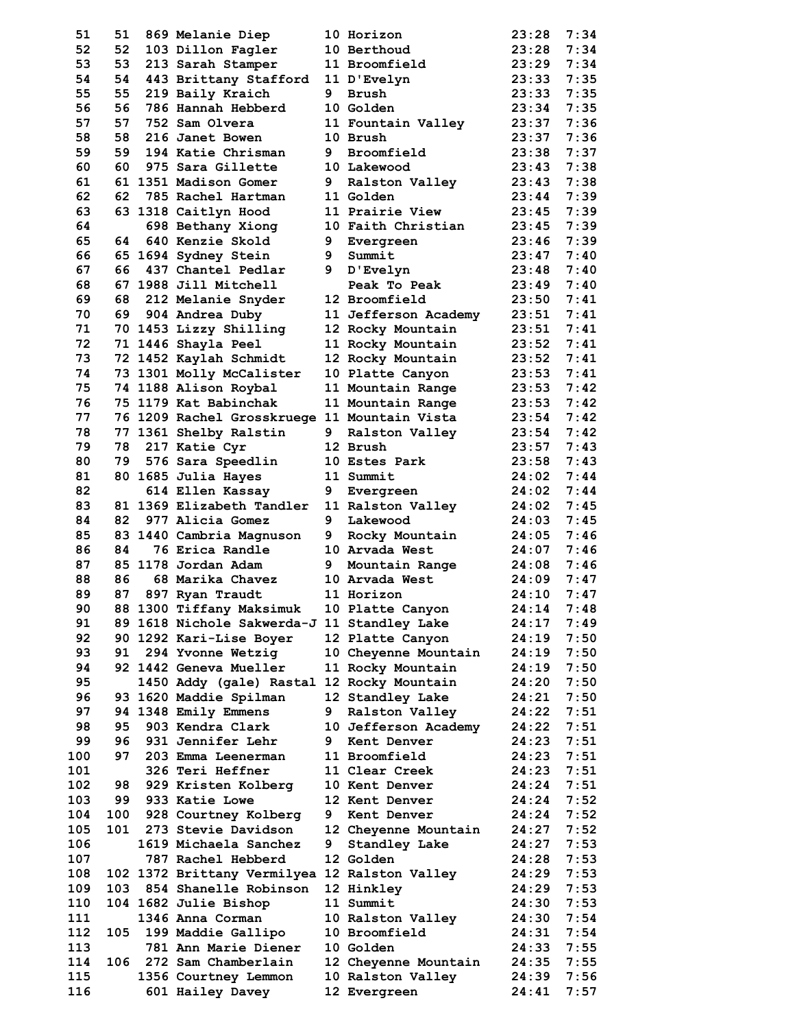| 51       | 51  | 869 Melanie Diep                                                       |   | 10 Horizon                            | 23:28          | 7:34         |
|----------|-----|------------------------------------------------------------------------|---|---------------------------------------|----------------|--------------|
| 52       | 52  | 103 Dillon Fagler                                                      |   | 10 Berthoud                           | 23:28          | 7:34         |
| 53       | 53  | 213 Sarah Stamper                                                      |   | 11 Broomfield                         | 23:29          | 7:34         |
| 54       | 54  | 443 Brittany Stafford                                                  |   | 11 D'Evelyn                           | 23:33          | 7:35         |
| 55       | 55  | 219 Baily Kraich                                                       | 9 | <b>Brush</b>                          | 23:33          | 7:35         |
| 56       | 56  | 786 Hannah Hebberd                                                     |   | <b>10 Golden</b>                      | 23:34          | 7:35         |
| 57       | 57  | 752 Sam Olvera                                                         |   | 11 Fountain Valley                    | 23:37          | 7:36         |
| 58       | 58  | 216 Janet Bowen                                                        |   | 10 Brush                              | 23:37          | 7:36         |
| 59       | 59  | 194 Katie Chrisman                                                     | 9 | Broomfield                            | 23:38          | 7:37         |
| 60       | 60  | 975 Sara Gillette                                                      |   | 10 Lakewood                           | 23:43          | 7:38         |
| 61       |     | 61 1351 Madison Gomer<br>785 Rachel Hartman                            |   | 9 Ralston Valley                      | 23:43          | 7:38         |
| 62       | 62  |                                                                        |   | 11 Golden                             | 23:44<br>23:45 | 7:39         |
| 63<br>64 |     | 63 1318 Caitlyn Hood<br>698 Bethany Xiong                              |   | 11 Prairie View<br>10 Faith Christian | 23:45          | 7:39<br>7:39 |
| 65       |     | 64 640 Kenzie Skold                                                    | 9 | Evergreen                             | 23:46          | 7:39         |
| 66       |     | 65 1694 Sydney Stein                                                   | 9 | Summit                                | 23:47          | 7:40         |
| 67       | 66  | 437 Chantel Pedlar                                                     |   | 9 D'Evelyn                            | 23:48          | 7:40         |
| 68       |     | 67 1988 Jill Mitchell                                                  |   | Peak To Peak                          | 23:49          | 7:40         |
| 69       |     | 68 212 Melanie Snyder                                                  |   | 12 Broomfield                         | 23:50          | 7:41         |
| 70       |     | 69 904 Andrea Duby                                                     |   | 11 Jefferson Academy                  | 23:51          | 7:41         |
| 71       |     | 70 1453 Lizzy Shilling                                                 |   | 12 Rocky Mountain                     | 23:51          | 7:41         |
| 72       |     | 71 1446 Shayla Peel                                                    |   | 11 Rocky Mountain                     | 23:52          | 7:41         |
| 73       |     | 72 1452 Kaylah Schmidt                                                 |   | 12 Rocky Mountain                     | 23:52          | 7:41         |
| 74       |     | 73 1301 Molly McCalister                                               |   | 10 Platte Canyon                      | 23:53          | 7:41         |
| 75       |     | 74 1188 Alison Roybal                                                  |   | 11 Mountain Range                     | 23:53          | 7:42         |
| 76       |     | 75 1179 Kat Babinchak                                                  |   | 11 Mountain Range                     | 23:53          | 7:42         |
| 77       |     | 76 1209 Rachel Grosskruege 11 Mountain Vista                           |   |                                       | 23:54          | 7:42         |
| 78       |     | 77 1361 Shelby Ralstin                                                 | 9 | <b>Ralston Valley</b>                 | 23:54          | 7:42         |
| 79       |     | 78 217 Katie Cyr                                                       |   | 12 Brush                              | 23:57          | 7:43         |
| 80       | 79  | 576 Sara Speedlin                                                      |   | 10 Estes Park                         | 23:58          | 7:43         |
| 81       |     | 80 1685 Julia Hayes                                                    |   | 11 Summit                             | 24:02          | 7:44         |
| 82       |     | 614 Ellen Kassay                                                       | 9 | Evergreen                             | 24:02          | 7:44         |
| 83       |     | 81 1369 Elizabeth Tandler                                              |   | 11 Ralston Valley                     | 24:02          | 7:45         |
| 84       | 82  | 977 Alicia Gomez                                                       | 9 | Lakewood                              | 24:03          | 7:45         |
| 85       |     | 83 1440 Cambria Magnuson                                               | 9 | Rocky Mountain                        | 24:05          | 7:46         |
| 86       | 84  | 76 Erica Randle                                                        |   | 10 Arvada West                        | 24:07          | 7:46         |
| 87       |     | 85 1178 Jordan Adam                                                    | 9 | Mountain Range                        | 24:08          | 7:46         |
| 88       | 86  | 68 Marika Chavez                                                       |   | 10 Arvada West                        | 24:09          | 7:47         |
| 89       | 87  | 897 Ryan Traudt                                                        |   | 11 Horizon                            | 24:10          | 7:47         |
| 90<br>91 |     | 88 1300 Tiffany Maksimuk 10 Platte Canyon                              |   |                                       | 24:14<br>24:17 | 7:48<br>7:49 |
| 92       |     | 89 1618 Nichole Sakwerda-J 11 Standley Lake<br>90 1292 Kari-Lise Boyer |   | 12 Platte Canyon                      | 24:19          | 7:50         |
| 93       | 91  | 294 Yvonne Wetzig                                                      |   | 10 Cheyenne Mountain                  | 24:19          | 7:50         |
| 94       |     | 92 1442 Geneva Mueller                                                 |   | 11 Rocky Mountain                     | 24:19          | 7:50         |
| 95       |     | 1450 Addy (gale) Rastal 12 Rocky Mountain                              |   |                                       | 24:20          | 7:50         |
| 96       |     | 93 1620 Maddie Spilman                                                 |   | 12 Standley Lake                      | 24:21          | 7:50         |
| 97       |     | 94 1348 Emily Emmens                                                   | 9 | Ralston Valley                        | 24:22          | 7:51         |
| 98       | 95  | 903 Kendra Clark                                                       |   | 10 Jefferson Academy                  | 24:22          | 7:51         |
| 99       | 96  | 931 Jennifer Lehr                                                      |   | 9 Kent Denver                         | 24:23          | 7:51         |
| 100      | 97  | 203 Emma Leenerman                                                     |   | 11 Broomfield                         | 24:23          | 7:51         |
| 101      |     | 326 Teri Heffner                                                       |   | 11 Clear Creek                        | 24:23          | 7:51         |
| 102      | 98  | 929 Kristen Kolberg                                                    |   | <b>10 Kent Denver</b>                 | 24:24          | 7:51         |
| 103      | 99  | 933 Katie Lowe                                                         |   | 12 Kent Denver                        | 24:24          | 7:52         |
| 104      | 100 | 928 Courtney Kolberg                                                   | 9 | Kent Denver                           | 24:24          | 7:52         |
| 105      |     | 101 273 Stevie Davidson                                                |   | 12 Cheyenne Mountain                  | 24:27          | 7:52         |
| 106      |     | 1619 Michaela Sanchez                                                  |   | 9 Standley Lake                       | 24:27          | 7:53         |
| 107      |     | 787 Rachel Hebberd                                                     |   | 12 Golden                             | 24:28          | 7:53         |
| 108      |     | 102 1372 Brittany Vermilyea 12 Ralston Valley                          |   |                                       | 24:29          | 7:53         |
| 109      |     | 103 854 Shanelle Robinson                                              |   | 12 Hinkley                            | 24:29          | 7:53         |
| 110      |     | 104 1682 Julie Bishop                                                  |   | 11 Summit                             | 24:30          | 7:53         |
| 111      |     | 1346 Anna Corman                                                       |   | 10 Ralston Valley                     | 24:30          | 7:54         |
| 112      | 105 | 199 Maddie Gallipo                                                     |   | 10 Broomfield                         | 24:31          | 7:54         |
| 113      |     | 781 Ann Marie Diener                                                   |   | 10 Golden                             | 24:33          | 7:55         |
| 114      | 106 | 272 Sam Chamberlain                                                    |   | 12 Cheyenne Mountain                  | 24:35          | 7:55         |
| 115      |     | 1356 Courtney Lemmon                                                   |   | 10 Ralston Valley                     | 24:39          | 7:56         |
| 116      |     | 601 Hailey Davey                                                       |   | 12 Evergreen                          | 24:41          | 7:57         |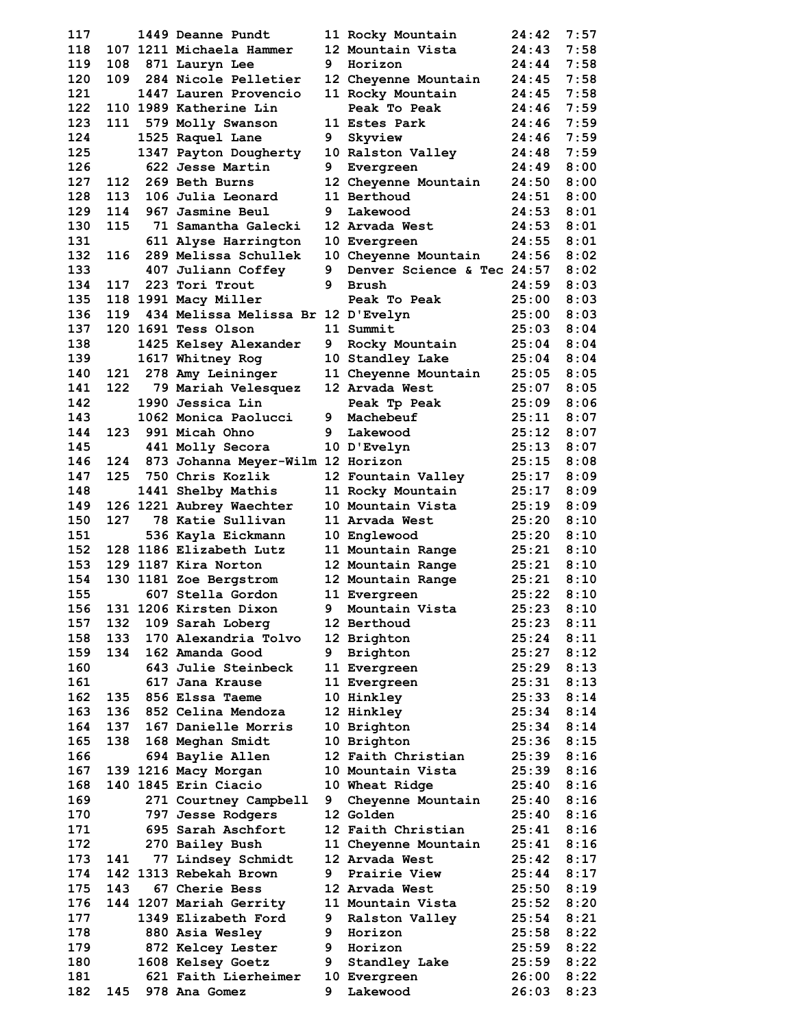| 117        |            | 1449 Deanne Pundt                            |        | 11 Rocky Mountain                          | 24:42          | 7:57         |
|------------|------------|----------------------------------------------|--------|--------------------------------------------|----------------|--------------|
| 118        |            | 107 1211 Michaela Hammer                     |        | 12 Mountain Vista                          | 24:43          | 7:58         |
| 119        |            | 108 871 Lauryn Lee                           | 9      | Horizon                                    | 24:44          | 7:58         |
| 120        | 109        | 284 Nicole Pelletier                         |        | 12 Cheyenne Mountain                       | 24:45          | 7:58         |
| 121        |            | 1447 Lauren Provencio                        |        | 11 Rocky Mountain                          | 24:45          | 7:58         |
| 122        |            | 110 1989 Katherine Lin                       |        | Peak To Peak                               | 24:46          | 7:59         |
| 123        |            | 111 579 Molly Swanson                        |        | 11 Estes Park                              | 24:46          | 7:59         |
| 124        |            | 1525 Raquel Lane                             | 9      | Skyview                                    | 24:46          | 7:59         |
| 125        |            | 1347 Payton Dougherty                        |        | 10 Ralston Valley                          | 24:48          | 7:59         |
| 126        |            | 622 Jesse Martin                             | 9      | Evergreen                                  | 24:49          | 8:00         |
| 127        |            | 112 269 Beth Burns                           |        | 12 Cheyenne Mountain                       | 24:50          | 8:00         |
| 128        | 113        | 106 Julia Leonard                            |        | 11 Berthoud                                | 24:51          | 8:00         |
| 129        | 114        | 967 Jasmine Beul                             | 9      | Lakewood                                   | 24:53          | 8:01         |
| 130        | 115        | 71 Samantha Galecki                          |        | 12 Arvada West                             | 24:53          | 8:01<br>8:01 |
| 131        |            | 611 Alyse Harrington<br>289 Melissa Schullek |        | 10 Evergreen                               | 24:55          | 8:02         |
| 132<br>133 | 116        |                                              |        | 10 Cheyenne Mountain                       | 24:56          | 8:02         |
| 134        |            | 407 Juliann Coffey<br>117 223 Tori Trout     | 9<br>9 | Denver Science & Tec 24:57<br><b>Brush</b> | 24:59          | 8:03         |
| 135        |            | 118 1991 Macy Miller                         |        | Peak To Peak                               | 25:00          | 8:03         |
| 136        |            | 119 434 Melissa Melissa Br 12 D'Evelyn       |        |                                            | 25:00          | 8:03         |
| 137        |            | 120 1691 Tess Olson                          |        | 11 Summit                                  | 25:03          | 8:04         |
| 138        |            | 1425 Kelsey Alexander                        | 9      | Rocky Mountain                             | 25:04          | 8:04         |
| 139        |            | 1617 Whitney Rog                             |        | 10 Standley Lake                           | 25:04          | 8:04         |
| 140        | 121        | 278 Amy Leininger                            |        | 11 Cheyenne Mountain                       | 25:05          | 8:05         |
| 141        | 122        | 79 Mariah Velesquez                          |        | 12 Arvada West                             | 25:07          | 8:05         |
| 142        |            | 1990 Jessica Lin                             |        | Peak Tp Peak                               | 25:09          | 8:06         |
| 143        |            | 1062 Monica Paolucci                         |        | 9 Machebeuf                                | 25:11          | 8:07         |
| 144        |            | 123 991 Micah Ohno                           |        | 9 Lakewood                                 | 25:12          | 8:07         |
| 145        |            | 441 Molly Secora                             |        | 10 D'Evelyn                                | 25:13          | 8:07         |
| 146        |            | 124 873 Johanna Meyer-Wilm 12 Horizon        |        |                                            | 25:15          | 8:08         |
| 147        |            | 125 750 Chris Kozlik                         |        | 12 Fountain Valley                         | 25:17          | 8:09         |
| 148        |            | 1441 Shelby Mathis                           |        | 11 Rocky Mountain                          | 25:17          | 8:09         |
| 149        |            | 126 1221 Aubrey Waechter                     |        | 10 Mountain Vista                          | 25:19          | 8:09         |
| 150        | 127        | 78 Katie Sullivan                            |        | 11 Arvada West                             | 25:20          | 8:10         |
| 151        |            | 536 Kayla Eickmann                           |        | 10 Englewood                               | 25:20          | 8:10         |
| 152        |            | 128 1186 Elizabeth Lutz                      |        | 11 Mountain Range                          | 25:21          | 8:10         |
| 153        |            | 129 1187 Kira Norton                         |        | 12 Mountain Range                          | 25:21          | 8:10         |
| 154        |            | 130 1181 Zoe Bergstrom                       |        | 12 Mountain Range                          | 25:21          | 8:10         |
| 155        |            | 607 Stella Gordon                            |        | 11 Evergreen                               | 25:22          | 8:10         |
|            |            | 156 131 1206 Kirsten Dixon                   |        | 9 Mountain Vista                           | 25:23 8:10     |              |
| 157        | 132        | 109 Sarah Loberg                             |        | 12 Berthoud                                | 25:23          | 8:11         |
| 158        | 133        | 170 Alexandria Tolvo                         |        | 12 Brighton                                | 25:24          | 8:11         |
| 159        | 134        | 162 Amanda Good                              |        | 9 Brighton                                 | 25:27          | 8:12         |
| 160        |            | 643 Julie Steinbeck                          |        | 11 Evergreen                               | 25:29          | 8:13         |
| 161<br>162 |            | 617 Jana Krause                              |        | 11 Evergreen                               | 25:31<br>25:33 | 8:13         |
| 163        | 135<br>136 | 856 Elssa Taeme<br>852 Celina Mendoza        |        | 10 Hinkley<br>12 Hinkley                   | 25:34          | 8:14<br>8:14 |
| 164        | 137        | 167 Danielle Morris                          |        | 10 Brighton                                | 25:34          | 8:14         |
| 165        | 138        | 168 Meghan Smidt                             |        | 10 Brighton                                | 25:36          | 8:15         |
| 166        |            | 694 Baylie Allen                             |        | 12 Faith Christian                         | 25:39          | 8:16         |
| 167        |            | 139 1216 Macy Morgan                         |        | 10 Mountain Vista                          | 25:39          | 8:16         |
| 168        |            | 140 1845 Erin Ciacio                         |        | 10 Wheat Ridge                             | 25:40          | 8:16         |
| 169        |            | 271 Courtney Campbell                        |        | 9 Cheyenne Mountain                        | 25:40          | 8:16         |
| 170        |            | 797 Jesse Rodgers                            |        | 12 Golden                                  | 25:40          | 8:16         |
| 171        |            | 695 Sarah Aschfort                           |        | 12 Faith Christian                         | 25:41          | 8:16         |
| 172        |            | 270 Bailey Bush                              |        | 11 Cheyenne Mountain                       | 25:41          | 8:16         |
| 173        | 141        | 77 Lindsey Schmidt                           |        | 12 Arvada West                             | 25:42          | 8:17         |
| 174        |            | 142 1313 Rebekah Brown                       | 9      | Prairie View                               | 25:44          | 8:17         |
| 175        | 143        | 67 Cherie Bess                               |        | 12 Arvada West                             | 25:50          | 8:19         |
| 176        |            | 144 1207 Mariah Gerrity                      |        | 11 Mountain Vista                          | 25:52          | 8:20         |
| 177        |            | 1349 Elizabeth Ford                          | 9      | Ralston Valley                             | 25:54          | 8:21         |
| 178        |            | 880 Asia Wesley                              |        | 9 Horizon                                  | 25:58          | 8:22         |
| 179        |            | 872 Kelcey Lester                            |        | 9 Horizon                                  | 25:59          | 8:22         |
| 180        |            | 1608 Kelsey Goetz                            | 9      | Standley Lake                              | 25:59          | 8:22         |
| 181        |            | 621 Faith Lierheimer                         |        | 10 Evergreen                               | 26:00          | 8:22         |
| 182        |            | 145 978 Ana Gomez                            | 9      | Lakewood                                   | 26:03          | 8:23         |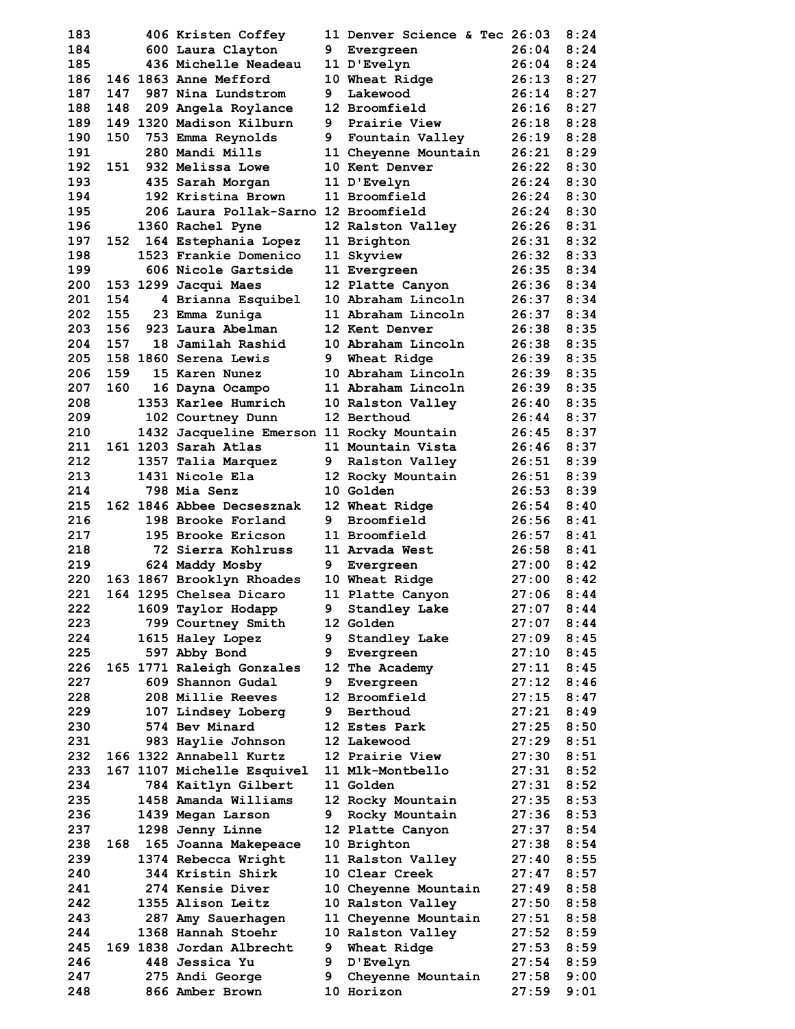| 183        |     | 406 Kristen Coffey                            |   | 11 Denver Science & Tec 26:03 |                | 8:24         |
|------------|-----|-----------------------------------------------|---|-------------------------------|----------------|--------------|
| 184        |     | 600 Laura Clayton                             | 9 | Evergreen                     | 26:04          | 8:24         |
| 185        |     | 436 Michelle Neadeau                          |   | 11 D'Evelyn                   | 26:04          | 8:24         |
| 186        |     | 146 1863 Anne Mefford                         |   | 10 Wheat Ridge                | 26:13          | 8:27         |
| 187        | 147 | 987 Nina Lundstrom                            | 9 | Lakewood                      | 26:14          | 8:27         |
| 188        | 148 | 209 Angela Roylance                           |   | 12 Broomfield                 | 26:16          | 8:27         |
| 189        |     | 149 1320 Madison Kilburn                      | 9 | Prairie View                  | 26:18          | 8:28         |
| 190        | 150 | 753 Emma Reynolds                             |   | 9 Fountain Valley             | 26:19          | 8:28         |
| 191        |     | 280 Mandi Mills                               |   | 11 Cheyenne Mountain          | 26:21          | 8:29         |
| 192        | 151 | 932 Melissa Lowe                              |   | 10 Kent Denver                | 26:22          | 8:30         |
| 193        |     | 435 Sarah Morgan                              |   | 11 D'Evelyn                   | 26:24          | 8:30         |
| 194        |     | 192 Kristina Brown                            |   | 11 Broomfield                 | 26:24          | 8:30         |
| 195        |     | 206 Laura Pollak-Sarno 12 Broomfield          |   |                               | 26:24          | 8:30         |
| 196        |     | 1360 Rachel Pyne                              |   | 12 Ralston Valley             | 26:26          | 8:31<br>8:32 |
| 197<br>198 | 152 | 164 Estephania Lopez<br>1523 Frankie Domenico |   | 11 Brighton<br>11 Skyview     | 26:31<br>26:32 | 8:33         |
| 199        |     | 606 Nicole Gartside                           |   | 11 Evergreen                  | 26:35          | 8:34         |
| 200        |     | 153 1299 Jacqui Maes                          |   | 12 Platte Canyon              | 26:36          | 8:34         |
| 201        | 154 | 4 Brianna Esquibel                            |   | 10 Abraham Lincoln            | 26:37          | 8:34         |
| 202        | 155 | 23 Emma Zuniga                                |   | 11 Abraham Lincoln            | 26:37          | 8:34         |
| 203        | 156 | 923 Laura Abelman                             |   | 12 Kent Denver                | 26:38          | 8:35         |
| 204        | 157 | 18 Jamilah Rashid                             |   | 10 Abraham Lincoln            | 26:38          | 8:35         |
| 205        |     | 158 1860 Serena Lewis                         | 9 | Wheat Ridge                   | 26:39          | 8:35         |
| 206        | 159 | 15 Karen Nunez                                |   | 10 Abraham Lincoln            | 26:39          | 8:35         |
| 207        | 160 | 16 Dayna Ocampo                               |   | 11 Abraham Lincoln            | 26:39          | 8:35         |
| 208        |     | 1353 Karlee Humrich                           |   | 10 Ralston Valley             | 26:40          | 8:35         |
| 209        |     | 102 Courtney Dunn                             |   | 12 Berthoud                   | 26:44          | 8:37         |
| 210        |     | 1432 Jacqueline Emerson 11 Rocky Mountain     |   |                               | 26:45          | 8:37         |
| 211        |     | 161 1203 Sarah Atlas                          |   | 11 Mountain Vista             | 26:46          | 8:37         |
| 212        |     | 1357 Talia Marquez                            | 9 | <b>Ralston Valley</b>         | 26:51          | 8:39         |
| 213        |     | 1431 Nicole Ela                               |   | 12 Rocky Mountain             | 26:51          | 8:39         |
| 214        |     | 798 Mia Senz                                  |   | <b>10 Golden</b>              | 26:53          | 8:39         |
| 215        |     | 162 1846 Abbee Decsesznak                     |   | 12 Wheat Ridge                | 26:54          | 8:40         |
| 216        |     | 198 Brooke Forland                            | 9 | Broomfield                    | 26:56          | 8:41         |
| 217        |     | 195 Brooke Ericson                            |   | 11 Broomfield                 | 26:57          | 8:41         |
| 218        |     | 72 Sierra Kohlruss                            |   | 11 Arvada West                | 26:58          | 8:41         |
| 219        |     | 624 Maddy Mosby                               |   | 9 Evergreen                   | 27:00          | 8:42         |
| 220        |     | 163 1867 Brooklyn Rhoades                     |   | 10 Wheat Ridge                | 27:00          | 8:42         |
| 221        |     | 164 1295 Chelsea Dicaro                       |   | 11 Platte Canyon              | 27:06          | 8:44         |
| 222        |     | 1609 Taylor Hodapp                            |   | 9 Standley Lake               | 27:07          | 8:44         |
| 223        |     | 799 Courtney Smith                            |   | 12 Golden                     | 27:07          | 8:44         |
| 224        |     | 1615 Haley Lopez                              | 9 | <b>Standley Lake</b>          | 27:09<br>27:10 | 8:45         |
| 225<br>226 |     | 597 Abby Bond<br>165 1771 Raleigh Gonzales    |   | 9 Evergreen<br>12 The Academy | 27:11          | 8:45<br>8:45 |
| 227        |     | 609 Shannon Gudal                             |   | 9 Evergreen                   | 27:12          | 8:46         |
| 228        |     | 208 Millie Reeves                             |   | 12 Broomfield                 | 27:15          | 8:47         |
| 229        |     | 107 Lindsey Loberg                            |   | 9 Berthoud                    | 27:21          | 8:49         |
| 230        |     | 574 Bev Minard                                |   | 12 Estes Park                 | 27:25          | 8:50         |
| 231        |     | 983 Haylie Johnson                            |   | 12 Lakewood                   | 27:29          | 8:51         |
| 232        |     | 166 1322 Annabell Kurtz                       |   | 12 Prairie View               | 27:30          | 8:51         |
| 233        |     | 167 1107 Michelle Esquivel                    |   | 11 Mlk-Montbello              | 27:31          | 8:52         |
| 234        |     | 784 Kaitlyn Gilbert                           |   | 11 Golden                     | 27:31          | 8:52         |
| 235        |     | 1458 Amanda Williams                          |   | 12 Rocky Mountain             | 27:35          | 8:53         |
| 236        |     | 1439 Megan Larson                             |   | 9 Rocky Mountain              | 27:36          | 8:53         |
| 237        |     | 1298 Jenny Linne                              |   | 12 Platte Canyon              | 27:37          | 8:54         |
| 238        |     | 168 165 Joanna Makepeace                      |   | 10 Brighton                   | 27:38          | 8:54         |
| 239        |     | 1374 Rebecca Wright                           |   | 11 Ralston Valley             | 27:40          | 8:55         |
| 240        |     | 344 Kristin Shirk                             |   | 10 Clear Creek                | 27:47          | 8:57         |
| 241        |     | <b>274 Kensie Diver</b>                       |   | 10 Cheyenne Mountain          | 27:49          | 8:58         |
| 242        |     | 1355 Alison Leitz                             |   | 10 Ralston Valley             | 27:50          | 8:58         |
| 243        |     | 287 Amy Sauerhagen                            |   | 11 Cheyenne Mountain          | 27:51          | 8:58         |
| 244        |     | 1368 Hannah Stoehr                            |   | 10 Ralston Valley             | 27:52          | 8:59         |
| 245        |     | 169 1838 Jordan Albrecht                      |   | 9 Wheat Ridge                 | 27:53          | 8:59         |
| 246        |     | 448 Jessica Yu                                |   | 9 D'Evelyn                    | 27:54          | 8:59         |
| 247        |     | 275 Andi George                               |   | 9 Cheyenne Mountain           | 27:58          | 9:00         |
| 248        |     | 866 Amber Brown                               |   | 10 Horizon                    | 27:59          | 9:01         |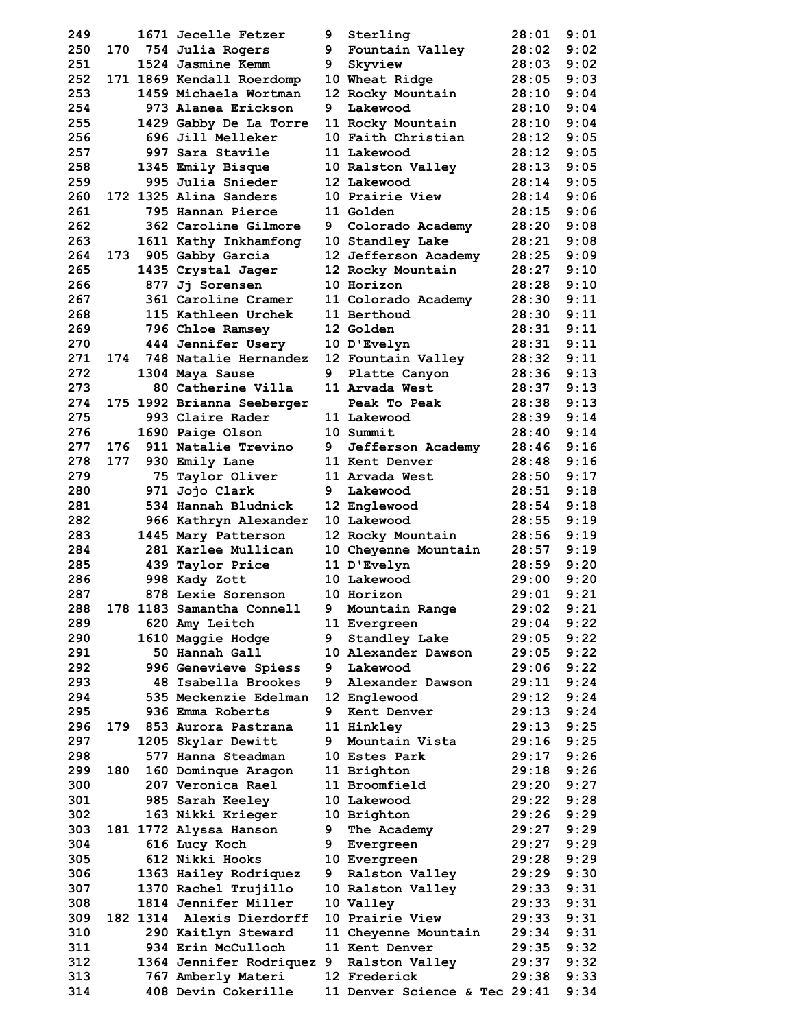| 249        |       | 1671 Jecelle Fetzer                       | 9. | Sterling                             | 28:01          | 9:01         |
|------------|-------|-------------------------------------------|----|--------------------------------------|----------------|--------------|
| 250        |       | 170 754 Julia Rogers                      | 9  | Fountain Valley                      | 28:02          | 9:02         |
| 251        |       | 1524 Jasmine Kemm                         | 9  | Skyview                              | 28:03          | 9:02         |
| 252        |       | 171 1869 Kendall Roerdomp                 |    | 10 Wheat Ridge                       | 28:05          | 9:03         |
| 253        |       | 1459 Michaela Wortman                     |    | 12 Rocky Mountain                    | 28:10          | 9:04         |
| 254        |       | 973 Alanea Erickson                       | 9  | Lakewood                             | 28:10          | 9:04         |
| 255        |       | 1429 Gabby De La Torre                    |    | 11 Rocky Mountain                    | 28:10          | 9:04         |
| 256        |       | 696 Jill Melleker                         |    | 10 Faith Christian                   | 28:12          | 9:05         |
| 257        |       | 997 Sara Stavile                          |    | 11 Lakewood                          | 28:12          | 9:05         |
| 258        |       | 1345 Emily Bisque                         |    | 10 Ralston Valley                    | 28:13          | 9:05         |
| 259        |       | 995 Julia Snieder                         |    | 12 Lakewood                          | 28:14          | 9:05         |
| 260        |       | 172 1325 Alina Sanders                    |    | 10 Prairie View                      | 28:14          | 9:06<br>9:06 |
| 261<br>262 |       | 795 Hannan Pierce<br>362 Caroline Gilmore | 9  | 11 Golden                            | 28:15<br>28:20 | 9:08         |
| 263        |       | 1611 Kathy Inkhamfong                     |    | Colorado Academy<br>10 Standley Lake | 28:21          | 9:08         |
| 264        | 173   | 905 Gabby Garcia                          |    | 12 Jefferson Academy                 | 28:25          | 9:09         |
| 265        |       | 1435 Crystal Jager                        |    | 12 Rocky Mountain                    | 28:27          | 9:10         |
| 266        |       | 877 Jj Sorensen                           |    | 10 Horizon                           | 28:28          | 9:10         |
| 267        |       | 361 Caroline Cramer                       |    | 11 Colorado Academy                  | 28:30          | 9:11         |
| 268        |       | 115 Kathleen Urchek                       |    | 11 Berthoud                          | 28:30          | 9:11         |
| 269        |       | 796 Chloe Ramsey                          |    | 12 Golden                            | 28:31          | 9:11         |
| 270        |       | 444 Jennifer Usery                        |    | 10 D'Evelyn                          | 28:31          | 9:11         |
| 271        |       | 174 748 Natalie Hernandez                 |    | 12 Fountain Valley                   | 28:32          | 9:11         |
| 272        |       | 1304 Maya Sause                           | 9  | Platte Canyon                        | 28:36          | 9:13         |
| 273        |       | 80 Catherine Villa                        |    | 11 Arvada West                       | 28:37          | 9:13         |
| 274        |       | 175 1992 Brianna Seeberger                |    | Peak To Peak                         | 28:38          | 9:13         |
| 275        |       | 993 Claire Rader                          |    | 11 Lakewood                          | 28:39          | 9:14         |
| 276        |       | 1690 Paige Olson                          |    | 10 Summit                            | 28:40          | 9:14         |
| 277        | 176   | 911 Natalie Trevino                       | 9  | Jefferson Academy                    | 28:46          | 9:16         |
| 278        | 177   | 930 Emily Lane                            |    | 11 Kent Denver                       | 28:48          | 9:16         |
| 279        |       | 75 Taylor Oliver                          |    | 11 Arvada West                       | 28:50          | 9:17         |
| 280        |       | 971 Jojo Clark                            | 9  | Lakewood                             | 28:51          | 9:18         |
| 281        |       | 534 Hannah Bludnick                       |    | 12 Englewood                         | 28:54          | 9:18         |
| 282        |       | 966 Kathryn Alexander                     |    | 10 Lakewood                          | 28:55          | 9:19         |
| 283        |       | 1445 Mary Patterson                       |    | 12 Rocky Mountain                    | 28:56          | 9:19         |
| 284        |       | 281 Karlee Mullican                       |    | 10 Cheyenne Mountain                 | 28:57          | 9:19         |
| 285        |       | 439 Taylor Price                          |    | 11 D'Evelyn                          | 28:59          | 9:20         |
| 286        |       | 998 Kady Zott                             |    | 10 Lakewood                          | 29:00          | 9:20         |
| 287        |       | 878 Lexie Sorenson                        |    | 10 Horizon                           | 29:01          | 9:21         |
| 288<br>289 |       | 178 1183 Samantha Connell                 |    | 9 Mountain Range                     | 29:02<br>29:04 | 9:21         |
| 290        |       | 620 Amy Leitch<br>1610 Maggie Hodge       | 9  | 11 Evergreen<br>Standley Lake        | 29:05          | 9:22<br>9:22 |
| 291        |       | 50 Hannah Gall                            |    | 10 Alexander Dawson                  | 29:05          | 9:22         |
| 292        |       | 996 Genevieve Spiess                      | 9  | Lakewood                             | 29:06          | 9:22         |
| 293        |       | 48 Isabella Brookes                       | 9  | Alexander Dawson                     | 29:11          | 9:24         |
| 294        |       | 535 Meckenzie Edelman                     |    | 12 Englewood                         | 29:12          | 9:24         |
| 295        |       | 936 Emma Roberts                          | 9  | Kent Denver                          | 29:13          | 9:24         |
| 296        |       | 179 853 Aurora Pastrana                   |    | 11 Hinkley                           | 29:13          | 9:25         |
| 297        |       | 1205 Skylar Dewitt                        | 9  | Mountain Vista                       | 29:16          | 9:25         |
| 298        |       | 577 Hanna Steadman                        |    | 10 Estes Park                        | 29:17          | 9:26         |
| 299        | 180 - | 160 Dominque Aragon                       |    | 11 Brighton                          | 29:18          | 9:26         |
| 300        |       | 207 Veronica Rael                         |    | 11 Broomfield                        | 29:20          | 9:27         |
| 301        |       | 985 Sarah Keeley                          |    | 10 Lakewood                          | 29:22          | 9:28         |
| 302        |       | 163 Nikki Krieger                         |    | 10 Brighton                          | 29:26          | 9:29         |
| 303        |       | 181 1772 Alyssa Hanson                    | 9  | The Academy                          | 29:27          | 9:29         |
| 304        |       | 616 Lucy Koch                             |    | 9 Evergreen                          | 29:27          | 9:29         |
| 305        |       | 612 Nikki Hooks                           |    | 10 Evergreen                         | 29:28          | 9:29         |
| 306        |       | 1363 Hailey Rodriquez                     |    | 9 Ralston Valley                     | 29:29          | 9:30         |
| 307        |       | 1370 Rachel Trujillo                      |    | 10 Ralston Valley                    | 29:33          | 9:31         |
| 308        |       | 1814 Jennifer Miller                      |    | 10 Valley                            | 29:33          | 9:31         |
| 309        |       | 182 1314 Alexis Dierdorff                 |    | 10 Prairie View                      | 29:33          | 9:31         |
| 310        |       | 290 Kaitlyn Steward                       |    | 11 Cheyenne Mountain                 | 29:34          | 9:31         |
| 311        |       | 934 Erin McCulloch                        |    | 11 Kent Denver                       | 29:35          | 9:32         |
| 312        |       | 1364 Jennifer Rodriquez 9 Ralston Valley  |    |                                      | 29:37          | 9:32         |
| 313        |       | 767 Amberly Materi                        |    | 12 Frederick                         | 29:38          | 9:33         |
| 314        |       | 408 Devin Cokerille                       |    | 11 Denver Science & Tec 29:41        |                | 9:34         |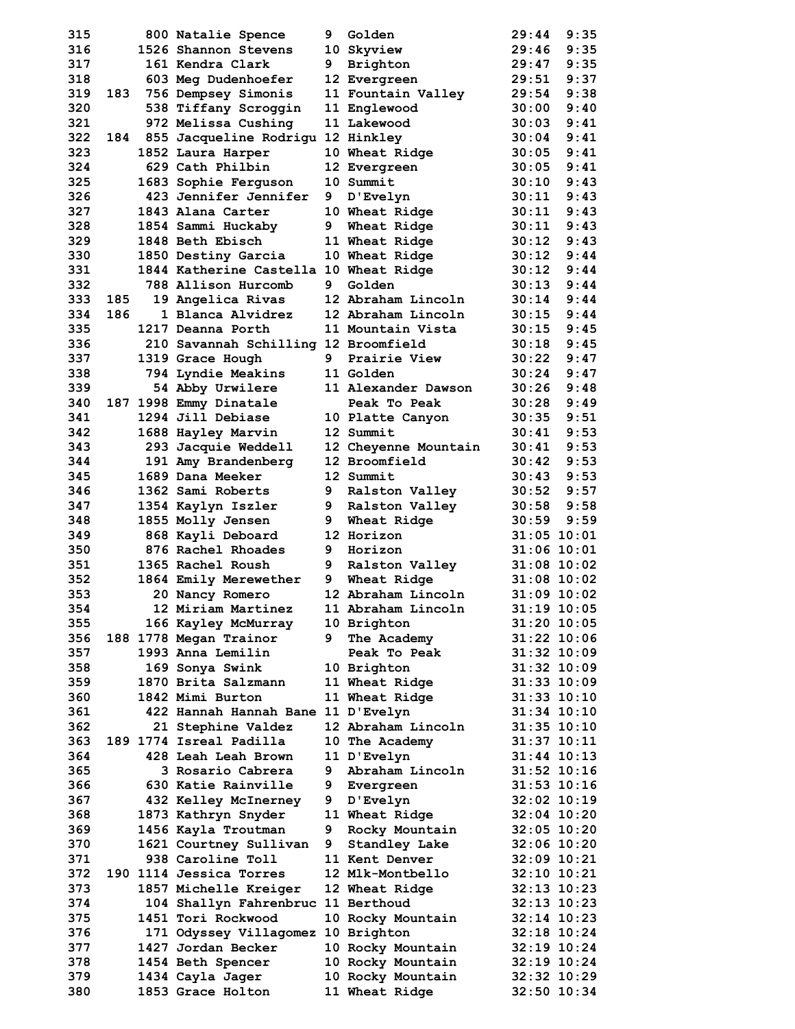| 315 |     | 800 Natalie Spence                     | 9. | Golden               | 29:44           | 9:35            |
|-----|-----|----------------------------------------|----|----------------------|-----------------|-----------------|
| 316 |     | 1526 Shannon Stevens                   |    | 10 Skyview           | 29:46           | 9:35            |
| 317 |     | 161 Kendra Clark                       | 9  | Brighton             | 29:47           | 9:35            |
| 318 |     | 603 Meg Dudenhoefer                    |    | 12 Evergreen         | 29:51           | 9:37            |
| 319 |     | 183 756 Dempsey Simonis                |    | 11 Fountain Valley   | 29:54           | 9:38            |
| 320 |     | 538 Tiffany Scroggin                   |    | 11 Englewood         | 30:00           | 9:40            |
| 321 |     | 972 Melissa Cushing                    |    | 11 Lakewood          | 30:03           | 9:41            |
| 322 | 184 | 855 Jacqueline Rodrigu 12 Hinkley      |    |                      | 30:04           | 9:41            |
| 323 |     | 1852 Laura Harper                      |    | 10 Wheat Ridge       | 30:05           | 9:41            |
| 324 |     | 629 Cath Philbin                       |    | 12 Evergreen         | 30:05           | 9:41            |
| 325 |     | 1683 Sophie Ferguson                   |    | 10 Summit            | 30:10           | 9:43            |
| 326 |     | 423 Jennifer Jennifer                  | 9  | D'Evelyn             | 30:11           | 9:43            |
| 327 |     | 1843 Alana Carter                      |    | 10 Wheat Ridge       | 30:11           | 9:43            |
| 328 |     | 1854 Sammi Huckaby                     | 9  | Wheat Ridge          | 30:11           | 9:43            |
| 329 |     | 1848 Beth Ebisch                       |    | 11 Wheat Ridge       | 30:12           | 9:43            |
| 330 |     | 1850 Destiny Garcia                    |    | 10 Wheat Ridge       | 30:12           | 9:44            |
| 331 |     | 1844 Katherine Castella 10 Wheat Ridge |    |                      | 30:12           | 9:44            |
| 332 |     | 788 Allison Hurcomb                    | 9  | Golden               | 30:13           | 9:44            |
|     |     |                                        |    |                      |                 |                 |
| 333 | 185 | 19 Angelica Rivas                      |    | 12 Abraham Lincoln   | 30:14           | 9:44            |
| 334 | 186 | 1 Blanca Alvidrez                      |    | 12 Abraham Lincoln   | 30:15           | 9:44            |
| 335 |     | 1217 Deanna Porth                      |    | 11 Mountain Vista    | 30:15           | 9:45            |
| 336 |     | 210 Savannah Schilling 12 Broomfield   |    |                      | 30:18           | 9:45            |
| 337 |     | 1319 Grace Hough                       | 9  | Prairie View         | 30:22           | 9:47            |
| 338 |     | 794 Lyndie Meakins                     |    | <b>11 Golden</b>     | 30:24           | 9:47            |
| 339 |     | 54 Abby Urwilere                       |    | 11 Alexander Dawson  | 30:26           | 9:48            |
| 340 |     | 187 1998 Emmy Dinatale                 |    | Peak To Peak         | 30:28           | 9:49            |
| 341 |     | 1294 Jill Debiase                      |    | 10 Platte Canyon     | 30:35           | 9:51            |
| 342 |     | 1688 Hayley Marvin                     |    | 12 Summit            | 30:41           | 9:53            |
| 343 |     | 293 Jacquie Weddell                    |    | 12 Cheyenne Mountain | 30:41           | 9:53            |
| 344 |     | 191 Amy Brandenberg                    |    | 12 Broomfield        | 30:42           | 9:53            |
| 345 |     | 1689 Dana Meeker                       |    | 12 Summit            | 30:43           | 9:53            |
| 346 |     | 1362 Sami Roberts                      | 9  | Ralston Valley       | 30:52           | 9:57            |
| 347 |     | 1354 Kaylyn Iszler                     | 9  | Ralston Valley       | 30:58           | 9:58            |
| 348 |     | 1855 Molly Jensen                      |    | 9 Wheat Ridge        | 30:59           | 9:59            |
| 349 |     | 868 Kayli Deboard                      |    | 12 Horizon           | $31:05$ 10:01   |                 |
| 350 |     | 876 Rachel Rhoades                     |    | 9 Horizon            | $31:06$ 10:01   |                 |
| 351 |     | 1365 Rachel Roush                      | 9  | Ralston Valley       | $31:08$ 10:02   |                 |
| 352 |     | 1864 Emily Merewether                  | 9  | Wheat Ridge          | $31:08$ 10:02   |                 |
| 353 |     | 20 Nancy Romero                        |    | 12 Abraham Lincoln   | $31:09$ 10:02   |                 |
| 354 |     | 12 Miriam Martinez                     |    | 11 Abraham Lincoln   |                 | $31:19$ $10:05$ |
| 355 |     | 166 Kayley McMurray                    |    | 10 Brighton          | $31:20$ 10:05   |                 |
| 356 |     | 188 1778 Megan Trainor                 | 9  | The Academy          | $31:22$ $10:06$ |                 |
| 357 |     | 1993 Anna Lemilin                      |    | Peak To Peak         | $31:32$ $10:09$ |                 |
| 358 |     | 169 Sonya Swink                        |    | 10 Brighton          | $31:32$ $10:09$ |                 |
| 359 |     | 1870 Brita Salzmann                    |    | 11 Wheat Ridge       | $31:33$ $10:09$ |                 |
| 360 |     | 1842 Mimi Burton                       |    | 11 Wheat Ridge       | $31:33$ $10:10$ |                 |
| 361 |     | 422 Hannah Hannah Bane 11 D'Evelyn     |    |                      | $31:34$ $10:10$ |                 |
| 362 |     | 21 Stephine Valdez                     |    | 12 Abraham Lincoln   | $31:35$ $10:10$ |                 |
| 363 |     | 189 1774 Isreal Padilla                |    | 10 The Academy       | $31:37$ $10:11$ |                 |
| 364 |     | 428 Leah Leah Brown                    |    | 11 D'Evelyn          | $31:44$ $10:13$ |                 |
| 365 |     | 3 Rosario Cabrera                      | 9. | Abraham Lincoln      | $31:52$ $10:16$ |                 |
| 366 |     | 630 Katie Rainville                    |    |                      | $31:53$ $10:16$ |                 |
| 367 |     |                                        |    | 9 Evergreen          | $32:02$ $10:19$ |                 |
|     |     | 432 Kelley McInerney                   |    | 9 D'Evelyn           | $32:04$ $10:20$ |                 |
| 368 |     | 1873 Kathryn Snyder                    |    | 11 Wheat Ridge       |                 |                 |
| 369 |     | 1456 Kayla Troutman                    | 9  | Rocky Mountain       | $32:05$ 10:20   |                 |
| 370 |     | 1621 Courtney Sullivan                 | 9  | Standley Lake        | $32:06$ 10:20   |                 |
| 371 |     | 938 Caroline Toll                      |    | 11 Kent Denver       | $32:09$ $10:21$ |                 |
| 372 |     | 190 1114 Jessica Torres                |    | 12 Mlk-Montbello     | $32:10$ $10:21$ |                 |
| 373 |     | 1857 Michelle Kreiger                  |    | 12 Wheat Ridge       | $32:13$ $10:23$ |                 |
| 374 |     | 104 Shallyn Fahrenbruc 11 Berthoud     |    |                      | $32:13$ $10:23$ |                 |
| 375 |     | 1451 Tori Rockwood                     |    | 10 Rocky Mountain    | $32:14$ $10:23$ |                 |
| 376 |     | 171 Odyssey Villagomez 10 Brighton     |    |                      | $32:18$ $10:24$ |                 |
|     |     |                                        |    |                      |                 |                 |
| 377 |     | 1427 Jordan Becker                     |    | 10 Rocky Mountain    | $32:19$ $10:24$ |                 |
| 378 |     | 1454 Beth Spencer                      |    | 10 Rocky Mountain    | $32:19$ $10:24$ |                 |
| 379 |     | 1434 Cayla Jager                       |    | 10 Rocky Mountain    | $32:32$ $10:29$ |                 |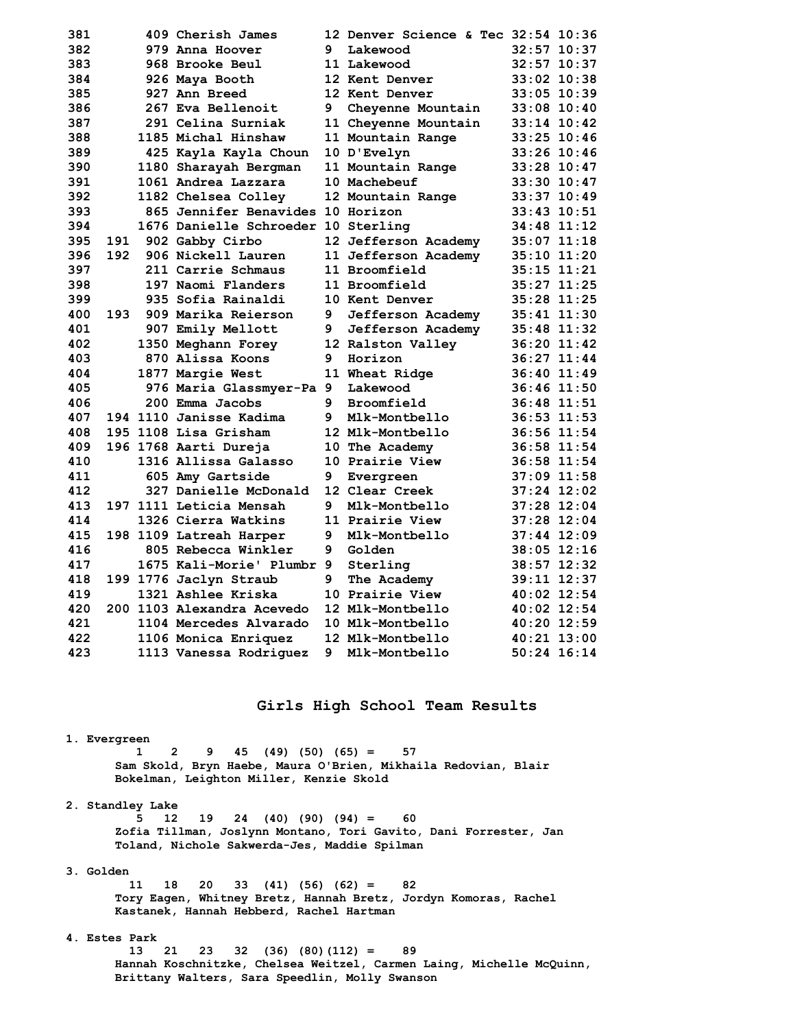| 381 |     | 409 Cherish James                   |   | 12 Denver Science & Tec 32:54 10:36 |                 |
|-----|-----|-------------------------------------|---|-------------------------------------|-----------------|
| 382 |     | 979 Anna Hoover                     | 9 | Lakewood                            | $32:57$ 10:37   |
| 383 |     | 968 Brooke Beul                     |   | 11 Lakewood                         | 32:57 10:37     |
| 384 |     | 926 Maya Booth                      |   | 12 Kent Denver                      | $33:02$ 10:38   |
| 385 |     | 927 Ann Breed                       |   | 12 Kent Denver                      | $33:05$ 10:39   |
| 386 |     | 267 Eva Bellenoit                   | 9 | Cheyenne Mountain                   | $33:08$ 10:40   |
| 387 |     | 291 Celina Surniak                  |   | 11 Cheyenne Mountain                | $33:14$ $10:42$ |
| 388 |     | 1185 Michal Hinshaw                 |   | 11 Mountain Range                   | $33:25$ $10:46$ |
| 389 |     | 425 Kayla Kayla Choun               |   | 10 D'Evelyn                         | $33:26$ 10:46   |
| 390 |     | 1180 Sharayah Bergman               |   | 11 Mountain Range                   | $33:28$ 10:47   |
| 391 |     | 1061 Andrea Lazzara                 |   | 10 Machebeuf                        | $33:30$ $10:47$ |
| 392 |     | 1182 Chelsea Colley                 |   | 12 Mountain Range                   | $33:37$ $10:49$ |
| 393 |     | 865 Jennifer Benavides 10 Horizon   |   |                                     | $33:43$ $10:51$ |
| 394 |     | 1676 Danielle Schroeder 10 Sterling |   |                                     | 34:48 11:12     |
| 395 | 191 | 902 Gabby Cirbo                     |   | 12 Jefferson Academy                | $35:07$ 11:18   |
| 396 | 192 | 906 Nickell Lauren                  |   | 11 Jefferson Academy                | 35:10 11:20     |
| 397 |     | 211 Carrie Schmaus                  |   | 11 Broomfield                       | $35:15$ $11:21$ |
| 398 |     | 197 Naomi Flanders                  |   | 11 Broomfield                       | $35:27$ 11:25   |
| 399 |     | 935 Sofia Rainaldi                  |   | 10 Kent Denver                      | 35:28 11:25     |
| 400 | 193 | 909 Marika Reierson                 | 9 | Jefferson Academy                   | $35:41$ $11:30$ |
| 401 |     | 907 Emily Mellott                   | 9 | Jefferson Academy                   | $35:48$ 11:32   |
| 402 |     | 1350 Meghann Forey                  |   | 12 Ralston Valley                   | $36:20$ $11:42$ |
| 403 |     | 870 Alissa Koons                    | 9 | Horizon                             | $36:27$ $11:44$ |
| 404 |     | 1877 Margie West                    |   | 11 Wheat Ridge                      | $36:40$ 11:49   |
| 405 |     | 976 Maria Glassmyer-Pa 9            |   | Lakewood                            | $36:46$ 11:50   |
| 406 |     | 200 Emma Jacobs                     | 9 | Broomfield                          | 36:48 11:51     |
| 407 |     | 194 1110 Janisse Kadima             | 9 | Mlk-Montbello                       | $36:53$ $11:53$ |
| 408 |     | 195 1108 Lisa Grisham               |   | 12 Mlk-Montbello                    | 36:56 11:54     |
| 409 |     | 196 1768 Aarti Dureja               |   | 10 The Academy                      | 36:58 11:54     |
| 410 |     | 1316 Allissa Galasso                |   | 10 Prairie View                     | $36:58$ 11:54   |
| 411 |     | 605 Amy Gartside                    | 9 | Evergreen                           | $37:09$ 11:58   |
| 412 |     | 327 Danielle McDonald               |   | 12 Clear Creek                      | $37:24$ 12:02   |
| 413 |     | 197 1111 Leticia Mensah             | 9 | Mlk-Montbello                       | $37:28$ 12:04   |
| 414 |     | 1326 Cierra Watkins                 |   | 11 Prairie View                     | $37:28$ 12:04   |
| 415 |     | 198 1109 Latreah Harper             | 9 | Mlk-Montbello                       | $37:44$ 12:09   |
| 416 |     | 805 Rebecca Winkler                 | 9 | Golden                              | $38:05$ 12:16   |
| 417 |     | 1675 Kali-Morie' Plumbr 9           |   | Sterling                            | 38:57 12:32     |
| 418 |     | 199 1776 Jaclyn Straub              | 9 | The Academy                         | 39:11 12:37     |
| 419 |     | 1321 Ashlee Kriska                  |   | 10 Prairie View                     | $40:02$ 12:54   |
| 420 |     | 200 1103 Alexandra Acevedo          |   | 12 Mlk-Montbello                    | $40:02$ 12:54   |
| 421 |     | 1104 Mercedes Alvarado              |   | 10 Mlk-Montbello                    | $40:20$ 12:59   |
| 422 |     | 1106 Monica Enriquez                |   | 12 Mlk-Montbello                    | 40:21 13:00     |
| 423 |     | 1113 Vanessa Rodriquez              | 9 | Mlk-Montbello                       | 50:24 16:14     |

### **Girls High School Team Results**

## **1. Evergreen**

 **1 2 9 45 (49) (50) (65) = 57 Sam Skold, Bryn Haebe, Maura O'Brien, Mikhaila Redovian, Blair Bokelman, Leighton Miller, Kenzie Skold** 

#### **2. Standley Lake**

 **5 12 19 24 (40) (90) (94) = 60 Zofia Tillman, Joslynn Montano, Tori Gavito, Dani Forrester, Jan Toland, Nichole Sakwerda-Jes, Maddie Spilman** 

#### **3. Golden**

 **11 18 20 33 (41) (56) (62) = 82 Tory Eagen, Whitney Bretz, Hannah Bretz, Jordyn Komoras, Rachel Kastanek, Hannah Hebberd, Rachel Hartman** 

## **4. Estes Park**

 **13 21 23 32 (36) (80)(112) = 89 Hannah Koschnitzke, Chelsea Weitzel, Carmen Laing, Michelle McQuinn, Brittany Walters, Sara Speedlin, Molly Swanson**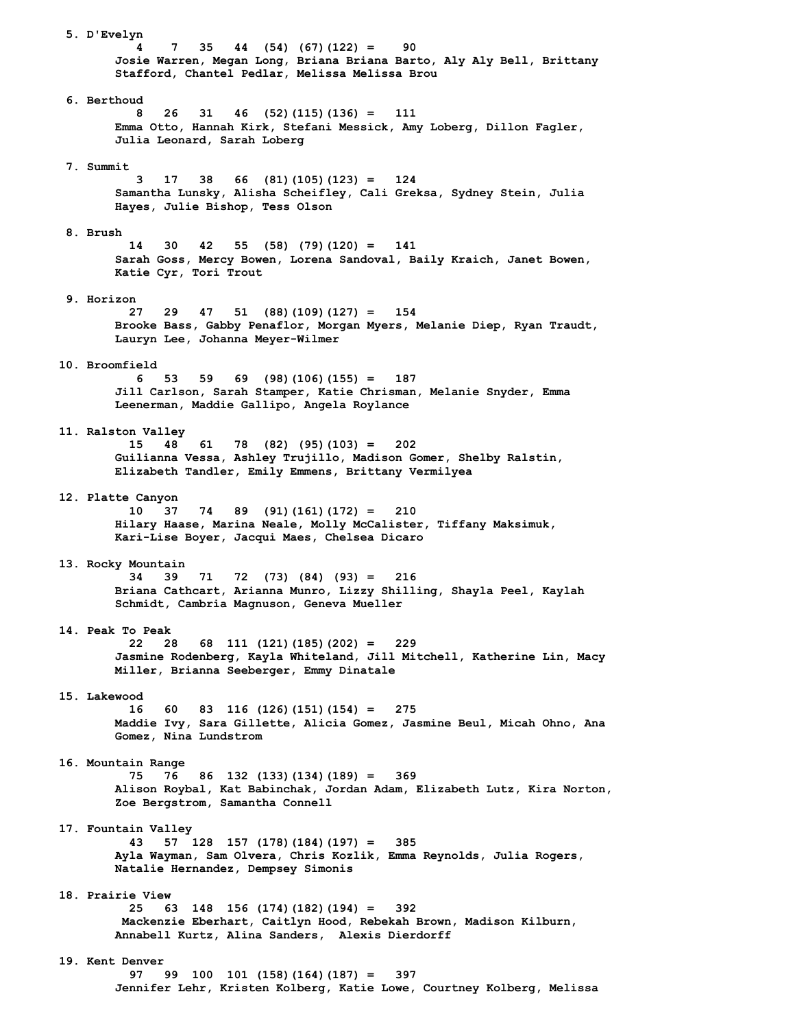**5. D'Evelyn 4 7 35 44 (54) (67)(122) = 90 Josie Warren, Megan Long, Briana Briana Barto, Aly Aly Bell, Brittany Stafford, Chantel Pedlar, Melissa Melissa Brou 6. Berthoud 8 26 31 46 (52)(115)(136) = 111 Emma Otto, Hannah Kirk, Stefani Messick, Amy Loberg, Dillon Fagler, Julia Leonard, Sarah Loberg 7. Summit 3 17 38 66 (81)(105)(123) = 124 Samantha Lunsky, Alisha Scheifley, Cali Greksa, Sydney Stein, Julia Hayes, Julie Bishop, Tess Olson 8. Brush 14 30 42 55 (58) (79)(120) = 141 Sarah Goss, Mercy Bowen, Lorena Sandoval, Baily Kraich, Janet Bowen, Katie Cyr, Tori Trout 9. Horizon 27 29 47 51 (88)(109)(127) = 154 Brooke Bass, Gabby Penaflor, Morgan Myers, Melanie Diep, Ryan Traudt, Lauryn Lee, Johanna Meyer-Wilmer 10. Broomfield 6 53 59 69 (98)(106)(155) = 187 Jill Carlson, Sarah Stamper, Katie Chrisman, Melanie Snyder, Emma Leenerman, Maddie Gallipo, Angela Roylance 11. Ralston Valley 15 48 61 78 (82) (95)(103) = 202 Guilianna Vessa, Ashley Trujillo, Madison Gomer, Shelby Ralstin, Elizabeth Tandler, Emily Emmens, Brittany Vermilyea 12. Platte Canyon 10 37 74 89 (91)(161)(172) = 210 Hilary Haase, Marina Neale, Molly McCalister, Tiffany Maksimuk, Kari-Lise Boyer, Jacqui Maes, Chelsea Dicaro 13. Rocky Mountain 34 39 71 72 (73) (84) (93) = 216 Briana Cathcart, Arianna Munro, Lizzy Shilling, Shayla Peel, Kaylah Schmidt, Cambria Magnuson, Geneva Mueller 14. Peak To Peak 22 28 68 111 (121)(185)(202) = 229 Jasmine Rodenberg, Kayla Whiteland, Jill Mitchell, Katherine Lin, Macy Miller, Brianna Seeberger, Emmy Dinatale 15. Lakewood 16 60 83 116 (126)(151)(154) = 275 Maddie Ivy, Sara Gillette, Alicia Gomez, Jasmine Beul, Micah Ohno, Ana Gomez, Nina Lundstrom 16. Mountain Range 75 76 86 132 (133)(134)(189) = 369 Alison Roybal, Kat Babinchak, Jordan Adam, Elizabeth Lutz, Kira Norton, Zoe Bergstrom, Samantha Connell 17. Fountain Valley 43 57 128 157 (178)(184)(197) = 385 Ayla Wayman, Sam Olvera, Chris Kozlik, Emma Reynolds, Julia Rogers, Natalie Hernandez, Dempsey Simonis 18. Prairie View 25 63 148 156 (174)(182)(194) = 392 Mackenzie Eberhart, Caitlyn Hood, Rebekah Brown, Madison Kilburn, Annabell Kurtz, Alina Sanders, Alexis Dierdorff 19. Kent Denver 97 99 100 101 (158)(164)(187) = 397 Jennifer Lehr, Kristen Kolberg, Katie Lowe, Courtney Kolberg, Melissa**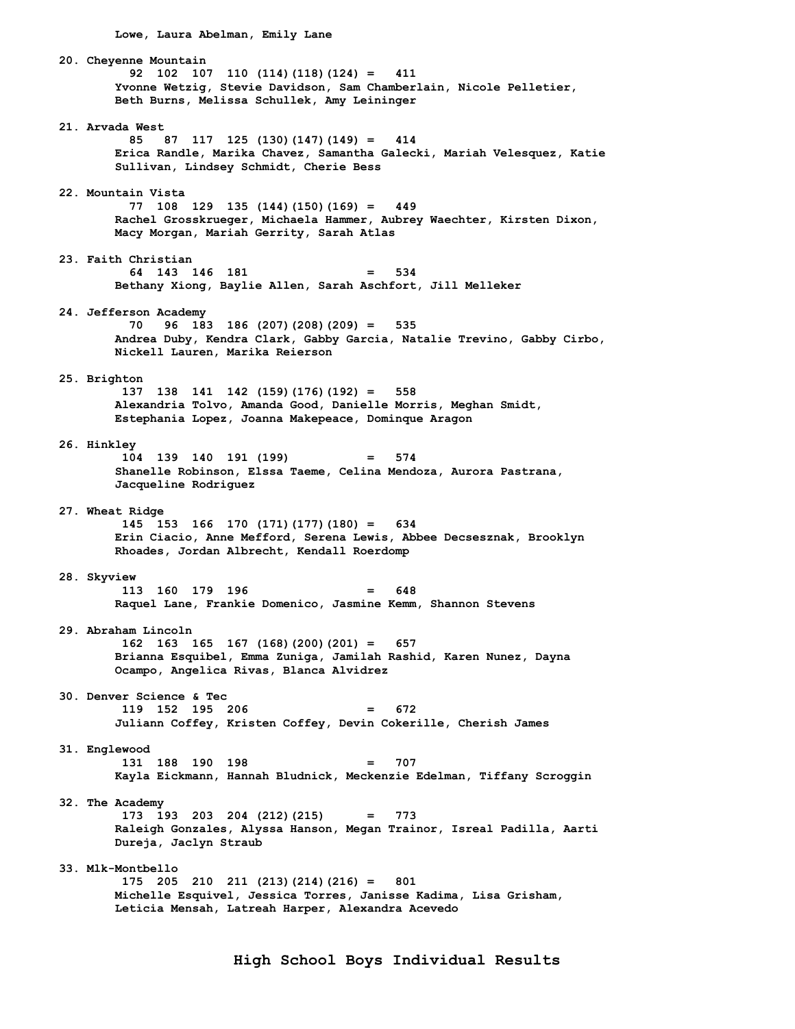**Lowe, Laura Abelman, Emily Lane** 

 **20. Cheyenne Mountain 92 102 107 110 (114)(118)(124) = 411 Yvonne Wetzig, Stevie Davidson, Sam Chamberlain, Nicole Pelletier, Beth Burns, Melissa Schullek, Amy Leininger 21. Arvada West 85 87 117 125 (130)(147)(149) = 414 Erica Randle, Marika Chavez, Samantha Galecki, Mariah Velesquez, Katie Sullivan, Lindsey Schmidt, Cherie Bess 22. Mountain Vista 77 108 129 135 (144)(150)(169) = 449 Rachel Grosskrueger, Michaela Hammer, Aubrey Waechter, Kirsten Dixon, Macy Morgan, Mariah Gerrity, Sarah Atlas 23. Faith Christian 64 143 146 181 = 534 Bethany Xiong, Baylie Allen, Sarah Aschfort, Jill Melleker 24. Jefferson Academy 70 96 183 186 (207)(208)(209) = 535 Andrea Duby, Kendra Clark, Gabby Garcia, Natalie Trevino, Gabby Cirbo, Nickell Lauren, Marika Reierson 25. Brighton 137 138 141 142 (159)(176)(192) = 558 Alexandria Tolvo, Amanda Good, Danielle Morris, Meghan Smidt, Estephania Lopez, Joanna Makepeace, Dominque Aragon 26. Hinkley 104 139 140 191 (199) = 574 Shanelle Robinson, Elssa Taeme, Celina Mendoza, Aurora Pastrana, Jacqueline Rodriguez 27. Wheat Ridge 145 153 166 170 (171)(177)(180) = 634 Erin Ciacio, Anne Mefford, Serena Lewis, Abbee Decsesznak, Brooklyn Rhoades, Jordan Albrecht, Kendall Roerdomp 28. Skyview 113 160 179 196 = 648 Raquel Lane, Frankie Domenico, Jasmine Kemm, Shannon Stevens 29. Abraham Lincoln 162 163 165 167 (168)(200)(201) = 657 Brianna Esquibel, Emma Zuniga, Jamilah Rashid, Karen Nunez, Dayna Ocampo, Angelica Rivas, Blanca Alvidrez 30. Denver Science & Tec 119 152 195 206 = 672 Juliann Coffey, Kristen Coffey, Devin Cokerille, Cherish James 31. Englewood 131 188 190 198 = 707 Kayla Eickmann, Hannah Bludnick, Meckenzie Edelman, Tiffany Scroggin 32. The Academy 173 193 203 204 (212)(215) = 773 Raleigh Gonzales, Alyssa Hanson, Megan Trainor, Isreal Padilla, Aarti Dureja, Jaclyn Straub 33. Mlk-Montbello 175 205 210 211 (213)(214)(216) = 801 Michelle Esquivel, Jessica Torres, Janisse Kadima, Lisa Grisham, Leticia Mensah, Latreah Harper, Alexandra Acevedo**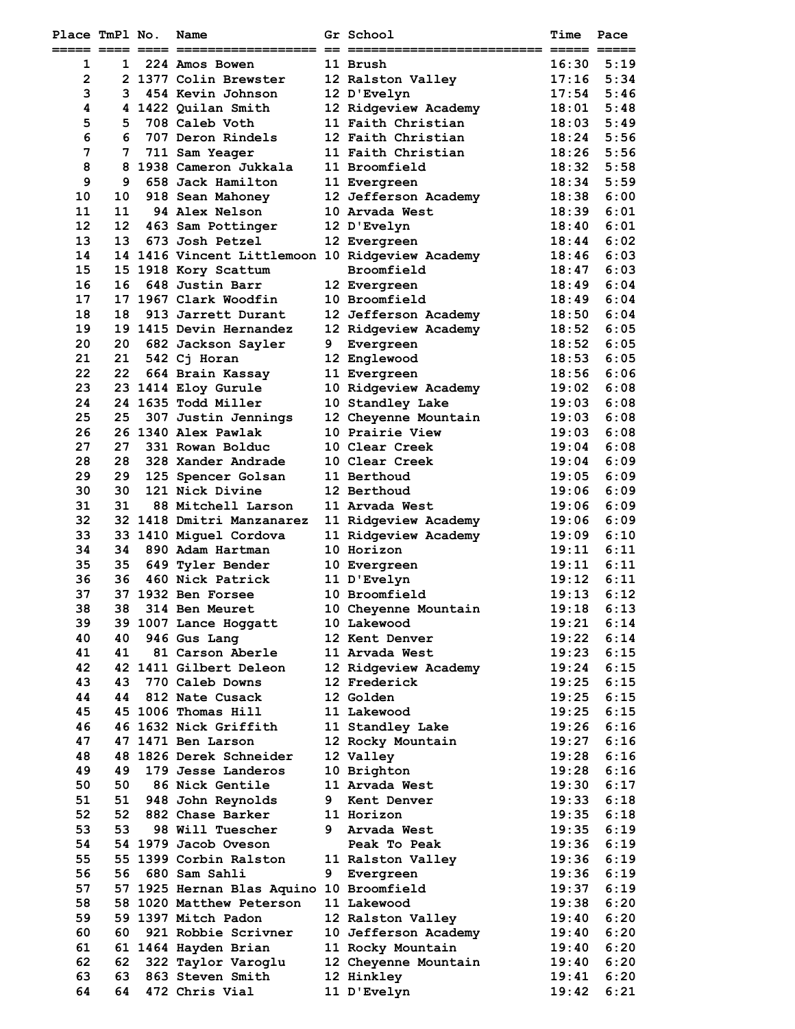| Place TmPl No. |          | Name                                            |    | <b>Gr</b> School                             | <b>Time</b>    | Pace                |
|----------------|----------|-------------------------------------------------|----|----------------------------------------------|----------------|---------------------|
| 1              | 1        | 224 Amos Bowen                                  |    | 11 Brush                                     | 16:30          | ----- -----<br>5:19 |
| $\overline{2}$ |          | 2 1377 Colin Brewster                           |    | 12 Ralston Valley                            | 17:16          | 5:34                |
| 3              | 3        | 454 Kevin Johnson                               |    | 12 D'Evelyn                                  | 17:54          | 5:46                |
| 4              |          | 4 1422 Quilan Smith                             |    | 12 Ridgeview Academy                         | 18:01          | 5:48                |
| 5              | 5        | 708 Caleb Voth                                  |    | 11 Faith Christian                           | 18:03          | 5:49                |
| 6              | 6        | 707 Deron Rindels                               |    | 12 Faith Christian                           | 18:24          | 5:56                |
| 7              | 7        | 711 Sam Yeager                                  |    | 11 Faith Christian                           | 18:26          | 5:56                |
| 8              |          | 8 1938 Cameron Jukkala                          |    | 11 Broomfield                                | 18:32          | 5:58                |
| 9              | 9        | 658 Jack Hamilton                               |    | 11 Evergreen                                 | 18:34          | 5:59                |
| 10             | 10       | 918 Sean Mahonev                                |    | 12 Jefferson Academy                         | 18:38          | 6:00                |
| 11             | 11       | <b>94 Alex Nelson</b>                           |    | 10 Arvada West                               | 18:39          | 6:01                |
| 12             | 12       | 463 Sam Pottinger                               |    | 12 D'Evelyn                                  | 18:40          | 6:01                |
| 13             | 13       | 673 Josh Petzel                                 |    | 12 Evergreen                                 | 18:44          | 6:02                |
| 14             |          | 14 1416 Vincent Littlemoon 10 Ridgeview Academy |    |                                              | 18:46          | 6:03                |
| 15<br>16       | 16       | 15 1918 Kory Scattum<br>648 Justin Barr         |    | Broomfield                                   | 18:47<br>18:49 | 6:03<br>6:04        |
| 17             |          | 17 1967 Clark Woodfin                           |    | 12 Evergreen<br>10 Broomfield                | 18:49          | 6:04                |
| 18             | 18       | 913 Jarrett Durant                              |    | 12 Jefferson Academy                         | 18:50          | 6:04                |
| 19             |          | 19 1415 Devin Hernandez                         |    | 12 Ridgeview Academy                         | 18:52          | 6:05                |
| 20             | 20       | 682 Jackson Sayler                              | 9. | Evergreen                                    | 18:52          | 6:05                |
| 21             | 21       | 542 Cj Horan                                    |    | 12 Englewood                                 | 18:53          | 6:05                |
| 22             | 22       | 664 Brain Kassay                                |    | 11 Evergreen                                 | 18:56          | 6:06                |
| 23             |          | 23 1414 Eloy Gurule                             |    | 10 Ridgeview Academy                         | 19:02          | 6:08                |
| 24             |          | 24 1635 Todd Miller                             |    | 10 Standley Lake                             | 19:03          | 6:08                |
| 25             | 25       | 307 Justin Jennings                             |    | 12 Cheyenne Mountain                         | 19:03          | 6:08                |
| 26             |          | 26 1340 Alex Pawlak                             |    | 10 Prairie View                              | 19:03          | 6:08                |
| 27             | 27       | 331 Rowan Bolduc                                |    | 10 Clear Creek                               | 19:04          | 6:08                |
| 28             | 28       | 328 Xander Andrade                              |    | 10 Clear Creek                               | 19:04          | 6:09                |
| 29             | 29       | 125 Spencer Golsan                              |    | <b>11 Berthoud</b>                           | 19:05          | 6:09                |
| 30             | 30       | 121 Nick Divine                                 |    | 12 Berthoud                                  | 19:06          | 6:09                |
| 31<br>32       | 31       | 88 Mitchell Larson<br>32 1418 Dmitri Manzanarez |    | 11 Arvada West                               | 19:06          | 6:09<br>6:09        |
| 33             |          | 33 1410 Miquel Cordova                          |    | 11 Ridgeview Academy<br>11 Ridgeview Academy | 19:06<br>19:09 | 6:10                |
| 34             | 34       | 890 Adam Hartman                                |    | 10 Horizon                                   | 19:11          | 6:11                |
| 35             | 35       | 649 Tyler Bender                                |    | 10 Evergreen                                 | 19:11          | 6:11                |
| 36             | 36       | 460 Nick Patrick                                |    | 11 D'Evelyn                                  | 19:12          | 6:11                |
| 37             |          | 37 1932 Ben Forsee                              |    | 10 Broomfield                                | 19:13          | 6:12                |
| 38             | 38       | 314 Ben Meuret                                  |    | 10 Cheyenne Mountain                         | 19:18          | 6:13                |
| 39             |          | 39 1007 Lance Hoggatt                           |    | 10 Lakewood                                  | 19:21          | 6:14                |
| 40             | 40       | 946 Gus Lang                                    |    | 12 Kent Denver                               | 19:22          | 6:14                |
| 41             | 41       | 81 Carson Aberle                                |    | 11 Arvada West                               | 19:23          | 6:15                |
| 42             |          | 42 1411 Gilbert Deleon                          |    | 12 Ridgeview Academy                         | 19:24          | 6:15                |
| 43             | 43       | 770 Caleb Downs                                 |    | 12 Frederick                                 | 19:25          | 6:15                |
| 44             | 44       | 812 Nate Cusack                                 |    | 12 Golden                                    | 19:25          | 6:15                |
| 45             |          | 45 1006 Thomas Hill                             |    | 11 Lakewood                                  | 19:25          | 6:15                |
| 46<br>47       |          | 46 1632 Nick Griffith<br>47 1471 Ben Larson     |    | 11 Standley Lake<br>12 Rocky Mountain        | 19:26<br>19:27 | 6:16<br>6:16        |
| 48             |          | 48 1826 Derek Schneider                         |    | 12 Valley                                    | 19:28          | 6:16                |
| 49             | 49       | 179 Jesse Landeros                              |    | 10 Brighton                                  | 19:28          | 6:16                |
| 50             | 50       | <b>86 Nick Gentile</b>                          |    | 11 Arvada West                               | 19:30          | 6:17                |
| 51             | 51       | 948 John Reynolds                               |    | 9 Kent Denver                                | 19:33          | 6:18                |
| 52             | 52       | 882 Chase Barker                                |    | 11 Horizon                                   | 19:35          | 6:18                |
| 53             | 53       | 98 Will Tuescher                                |    | 9 Arvada West                                | 19:35          | 6:19                |
| 54             |          | 54 1979 Jacob Oveson                            |    | Peak To Peak                                 | 19:36          | 6:19                |
| 55             |          | 55 1399 Corbin Ralston                          |    | 11 Ralston Valley                            | 19:36          | 6:19                |
| 56             | 56       | 680 Sam Sahli                                   | 9  | Evergreen                                    | 19:36          | 6:19                |
| 57             |          | 57 1925 Hernan Blas Aquino 10 Broomfield        |    |                                              | 19:37          | 6:19                |
| 58             |          | 58 1020 Matthew Peterson                        |    | 11 Lakewood                                  | 19:38          | 6:20                |
| 59             |          | 59 1397 Mitch Padon                             |    | 12 Ralston Valley                            | 19:40          | 6:20                |
| 60             | 60       | 921 Robbie Scrivner                             |    | 10 Jefferson Academy                         | 19:40          | 6:20                |
| 61<br>62       |          | 61 1464 Hayden Brian                            |    | 11 Rocky Mountain<br>12 Cheyenne Mountain    | 19:40<br>19:40 | 6:20<br>6:20        |
| 63             | 62<br>63 | 322 Taylor Varoglu<br>863 Steven Smith          |    | 12 Hinkley                                   | 19:41          | 6:20                |
| 64             | 64       | 472 Chris Vial                                  |    | 11 D'Evelyn                                  | 19:42          | 6:21                |
|                |          |                                                 |    |                                              |                |                     |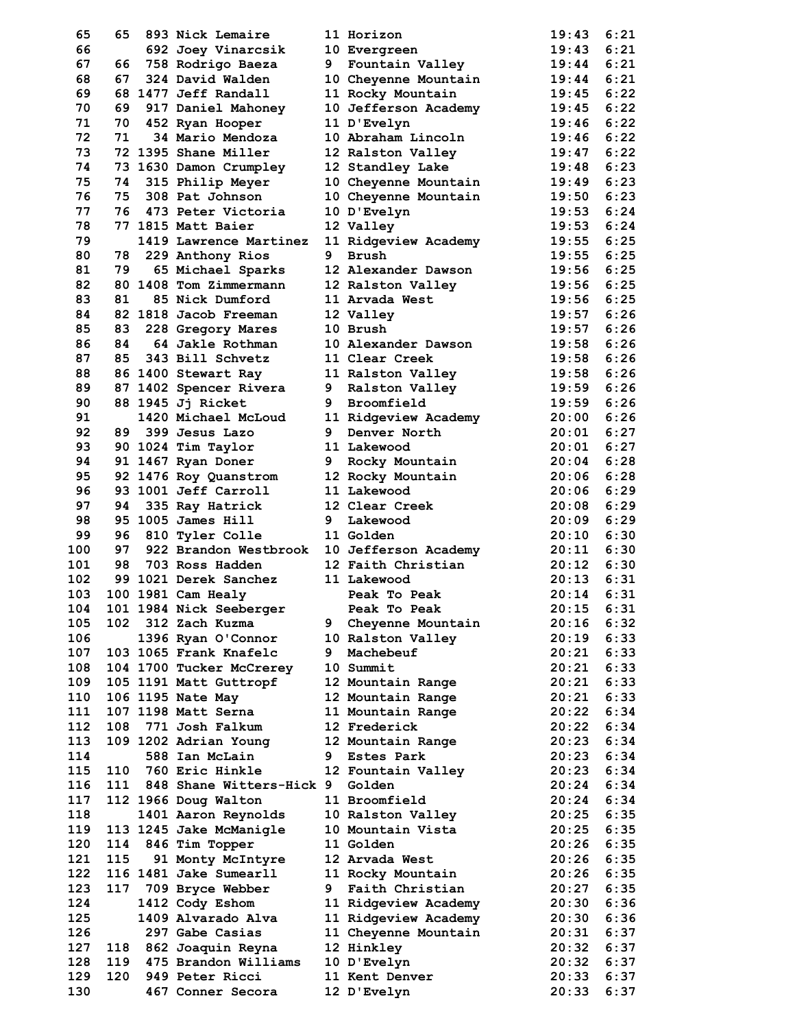| 65       | 65   | 893 Nick Lemaire                    |   | 11 Horizon           | 19:43          | 6:21 |
|----------|------|-------------------------------------|---|----------------------|----------------|------|
| 66       |      | 692 Joey Vinarcsik                  |   | 10 Evergreen         | 19:43          | 6:21 |
| 67       | 66   | 758 Rodrigo Baeza                   |   | 9 Fountain Valley    | 19:44          | 6:21 |
| 68       | 67 - | 324 David Walden                    |   | 10 Cheyenne Mountain | 19:44          | 6:21 |
| 69       |      | 68 1477 Jeff Randall                |   | 11 Rocky Mountain    | 19:45          | 6:22 |
| 70       | 69   | 917 Daniel Mahoney                  |   | 10 Jefferson Academy | 19:45          | 6:22 |
| 71       | 70   | 452 Ryan Hooper                     |   | 11 D'Evelyn          | 19:46          | 6:22 |
| 72       | 71   | 34 Mario Mendoza                    |   | 10 Abraham Lincoln   | 19:46          | 6:22 |
| 73       |      | 72 1395 Shane Miller                |   | 12 Ralston Valley    | 19:47          | 6:22 |
| 74       |      | 73 1630 Damon Crumpley              |   | 12 Standley Lake     | 19:48          | 6:23 |
| 75       | 74   | 315 Philip Meyer                    |   | 10 Cheyenne Mountain | 19:49          | 6:23 |
| 76       | 75   | 308 Pat Johnson                     |   | 10 Cheyenne Mountain | 19:50          | 6:23 |
| 77       | 76   | 473 Peter Victoria                  |   | 10 D'Evelyn          | 19:53          | 6:24 |
| 78       |      | 77 1815 Matt Baier                  |   | 12 Valley            | 19:53          | 6:24 |
| 79       |      | 1419 Lawrence Martinez              |   | 11 Ridgeview Academy | 19:55          | 6:25 |
| 80       | 78 - | 229 Anthony Rios                    | 9 | <b>Brush</b>         | 19:55          | 6:25 |
| 81       | 79   | 65 Michael Sparks                   |   | 12 Alexander Dawson  | 19:56          | 6:25 |
| 82       |      | 80 1408 Tom Zimmermann              |   | 12 Ralston Valley    | 19:56          | 6:25 |
| 83       | 81   | 85 Nick Dumford                     |   | 11 Arvada West       | 19:56          | 6:25 |
| 84       |      | 82 1818 Jacob Freeman               |   | 12 Valley            | 19:57          | 6:26 |
| 85       | 83 — | 228 Gregory Mares                   |   | 10 Brush             | 19:57          | 6:26 |
| 86       | 84   | 64 Jakle Rothman                    |   | 10 Alexander Dawson  | 19:58          | 6:26 |
| 87       | 85   | 343 Bill Schvetz                    |   | 11 Clear Creek       | 19:58          | 6:26 |
| 88       |      | 86 1400 Stewart Ray                 |   | 11 Ralston Valley    | 19:58          | 6:26 |
| 89       |      | 87 1402 Spencer Rivera              |   | 9 Ralston Valley     | 19:59          | 6:26 |
| 90       |      |                                     |   | 9 Broomfield         | 19:59          | 6:26 |
|          |      | 88 1945 Jj Ricket                   |   |                      |                | 6:26 |
| 91<br>92 |      | 1420 Michael McLoud                 |   | 11 Ridgeview Academy | 20:00          | 6:27 |
|          |      | 89 399 Jesus Lazo                   |   | 9 Denver North       | 20:01          |      |
| 93       |      | 90 1024 Tim Taylor                  |   | 11 Lakewood          | 20:01          | 6:27 |
| 94       |      | 91 1467 Ryan Doner                  |   | 9 Rocky Mountain     | 20:04          | 6:28 |
| 95       |      | 92 1476 Roy Quanstrom               |   | 12 Rocky Mountain    | 20:06          | 6:28 |
| 96       |      | 93 1001 Jeff Carroll                |   | 11 Lakewood          | 20:06          | 6:29 |
| 97       | 94   | 335 Ray Hatrick                     |   | 12 Clear Creek       | 20:08          | 6:29 |
| 98       |      | 95 1005 James Hill                  | 9 | Lakewood             | 20:09          | 6:29 |
| 99       | 96 - | 810 Tyler Colle                     |   | 11 Golden            | 20:10          | 6:30 |
| 100      | 97   | 922 Brandon Westbrook               |   | 10 Jefferson Academy | 20:11          | 6:30 |
| 101      | 98   | 703 Ross Hadden                     |   | 12 Faith Christian   | 20:12          | 6:30 |
| 102      |      | 99 1021 Derek Sanchez               |   | 11 Lakewood          | 20:13          | 6:31 |
| 103      |      | 100 1981 Cam Healy                  |   | Peak To Peak         | 20:14          | 6:31 |
| 104      |      | 101 1984 Nick Seeberger             |   | Peak To Peak         | $20:15$ $6:31$ |      |
| 105      |      | 102 312 Zach Kuzma                  | 9 | Cheyenne Mountain    | 20:16          | 6:32 |
| 106      |      | 1396 Ryan O'Connor                  |   | 10 Ralston Valley    | 20:19          | 6:33 |
| 107      |      | 103 1065 Frank Knafelc              | 9 | Machebeuf            | 20:21          | 6:33 |
| 108      |      | 104 1700 Tucker McCrerey            |   | 10 Summit            | 20:21          | 6:33 |
| 109      |      | 105 1191 Matt Guttropf              |   | 12 Mountain Range    | 20:21          | 6:33 |
| 110      |      | 106 1195 Nate May                   |   | 12 Mountain Range    | 20:21          | 6:33 |
| 111      |      | 107 1198 Matt Serna                 |   | 11 Mountain Range    | 20:22          | 6:34 |
| 112      |      | 108 771 Josh Falkum                 |   | 12 Frederick         | 20:22          | 6:34 |
| 113      |      | 109 1202 Adrian Young               |   | 12 Mountain Range    | 20:23          | 6:34 |
| 114      |      | 588 Ian McLain                      |   | 9 Estes Park         | 20:23          | 6:34 |
| 115      |      | 110 760 Eric Hinkle                 |   | 12 Fountain Valley   | 20:23          | 6:34 |
| 116      |      | 111 848 Shane Witters-Hick 9 Golden |   |                      | 20:24          | 6:34 |
| 117      |      | 112 1966 Doug Walton                |   | 11 Broomfield        | 20:24          | 6:34 |
| 118      |      | 1401 Aaron Reynolds                 |   | 10 Ralston Valley    | 20:25          | 6:35 |
| 119      |      | 113 1245 Jake McManigle             |   | 10 Mountain Vista    | 20:25          | 6:35 |
| 120      |      | 114 846 Tim Topper                  |   | 11 Golden            | 20:26          | 6:35 |
| 121      | 115  | 91 Monty McIntyre                   |   | 12 Arvada West       | 20:26          | 6:35 |
| 122      |      | 116 1481 Jake Sumearll              |   | 11 Rocky Mountain    | 20:26          | 6:35 |
| 123      |      | 117 709 Bryce Webber                | 9 | Faith Christian      | 20:27          | 6:35 |
| 124      |      | 1412 Cody Eshom                     |   | 11 Ridgeview Academy | 20:30          | 6:36 |
| 125      |      | 1409 Alvarado Alva                  |   | 11 Ridgeview Academy | 20:30          | 6:36 |
| 126      |      | 297 Gabe Casias                     |   | 11 Cheyenne Mountain | 20:31          | 6:37 |
| 127      |      | 118 862 Joaquin Reyna               |   | 12 Hinkley           | 20:32          | 6:37 |
| 128      |      | 119 475 Brandon Williams            |   | 10 D'Evelyn          | 20:32          | 6:37 |
| 129      | 120  | 949 Peter Ricci                     |   | 11 Kent Denver       | 20:33          | 6:37 |
| 130      |      | 467 Conner Secora                   |   | 12 D'Evelyn          | 20:33          | 6:37 |
|          |      |                                     |   |                      |                |      |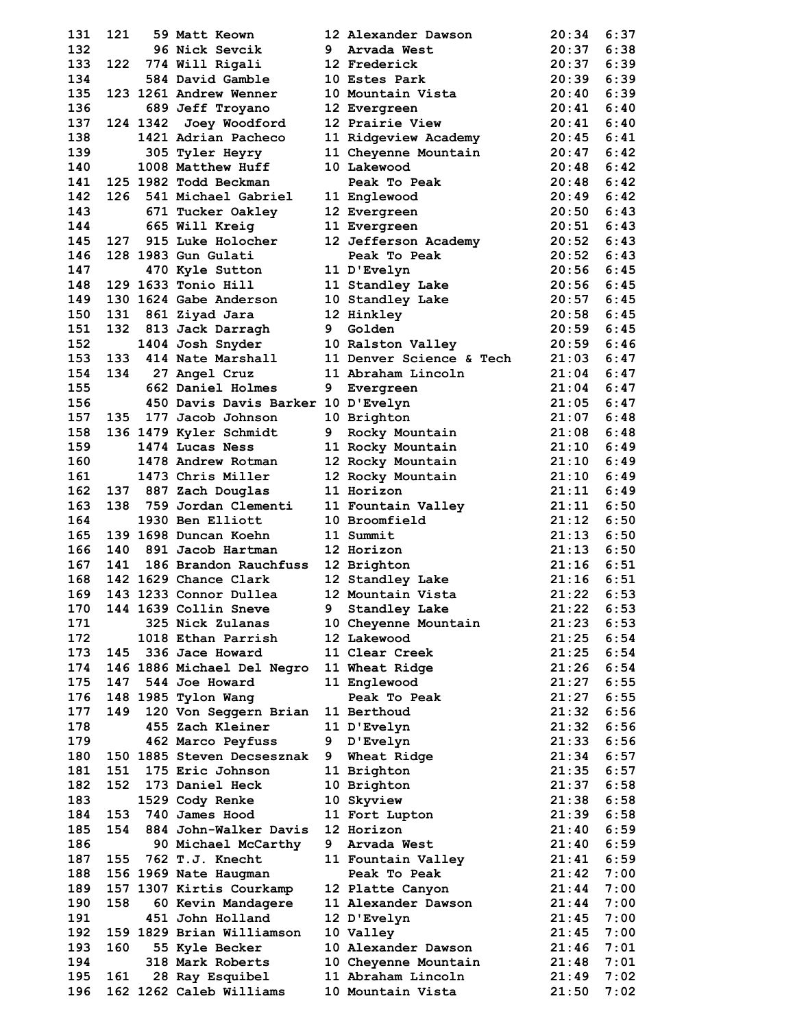| 131        | 121   | 59 Matt Keown                                       | 12 Alexander Dawson                         | 20:34                 | 6:37         |
|------------|-------|-----------------------------------------------------|---------------------------------------------|-----------------------|--------------|
| 132        |       | 96 Nick Sevcik                                      | 9 Arvada West                               | 20:37                 | 6:38         |
| 133        | 122   | 774 Will Rigali                                     | 12 Frederick                                | 20:37                 | 6:39         |
| 134        |       | 584 David Gamble                                    | 10 Estes Park                               | 20:39                 | 6:39         |
| 135        |       | 123 1261 Andrew Wenner                              | 10 Mountain Vista                           | 20:40                 | 6:39         |
| 136        |       | 689 Jeff Troyano                                    | 12 Evergreen                                | 20:41                 | 6:40         |
| 137        |       | 124 1342 Joey Woodford                              | 12 Prairie View                             | 20:41                 | 6:40         |
| 138        |       | 1421 Adrian Pacheco                                 | 11 Ridgeview Academy                        | 20:45                 | 6:41         |
| 139        |       | 305 Tyler Heyry                                     | 11 Cheyenne Mountain                        | 20:47                 | 6:42         |
| 140        |       | 1008 Matthew Huff                                   | 10 Lakewood                                 | 20:48                 | 6:42         |
| 141        |       | 125 1982 Todd Beckman                               | Peak To Peak                                | 20:48                 | 6:42         |
| 142        |       | 126 541 Michael Gabriel                             | 11 Englewood                                | 20:49                 | 6:42         |
| 143        |       | 671 Tucker Oakley                                   | 12 Evergreen                                | 20:50                 | 6:43         |
| 144<br>145 | 127   | 665 Will Kreig<br>915 Luke Holocher                 | 11 Evergreen                                | 20:51<br>20:52        | 6:43<br>6:43 |
| 146        |       | 128 1983 Gun Gulati                                 | 12 Jefferson Academy<br>Peak To Peak        | 20:52                 | 6:43         |
| 147        |       | 470 Kyle Sutton                                     | 11 D'Evelyn                                 | 20:56                 | 6:45         |
| 148        |       | 129 1633 Tonio Hill                                 | 11 Standley Lake                            | 20:56                 | 6:45         |
| 149        |       | 130 1624 Gabe Anderson                              | 10 Standley Lake                            | 20:57                 | 6:45         |
| 150        |       | 131 861 Ziyad Jara                                  | 12 Hinkley                                  | 20:58                 | 6:45         |
| 151        |       | 132 813 Jack Darragh                                | 9 Golden                                    | 20:59                 | 6:45         |
| 152        |       | 1404 Josh Snyder                                    | 10 Ralston Valley                           | 20:59                 | 6:46         |
| 153        |       | 133 414 Nate Marshall                               | 11 Denver Science & Tech                    | 21:03                 | 6:47         |
| 154        |       | 134 27 Angel Cruz                                   | 11 Abraham Lincoln                          | 21:04                 | 6:47         |
| 155        |       | 662 Daniel Holmes                                   | 9 Evergreen                                 | 21:04                 | 6:47         |
| 156        |       | 450 Davis Davis Barker 10 D'Evelyn                  |                                             | 21:05                 | 6:47         |
| 157        | 135   | 177 Jacob Johnson                                   | 10 Brighton                                 | 21:07                 | 6:48         |
| 158        |       | 136 1479 Kyler Schmidt                              | 9 Rocky Mountain                            | 21:08                 | 6:48         |
| 159        |       | 1474 Lucas Ness                                     | 11 Rocky Mountain                           | 21:10                 | 6:49         |
| 160        |       | 1478 Andrew Rotman                                  | 12 Rocky Mountain                           | 21:10                 | 6:49         |
| 161        |       | 1473 Chris Miller                                   | 12 Rocky Mountain                           | 21:10                 | 6:49         |
| 162        |       | 137 887 Zach Douglas                                | 11 Horizon                                  | 21:11                 | 6:49         |
| 163        | 138   | 759 Jordan Clementi                                 | 11 Fountain Valley                          | 21:11                 | 6:50         |
| 164        |       | 1930 Ben Elliott                                    | 10 Broomfield                               | 21:12                 | 6:50         |
| 165        |       | 139 1698 Duncan Koehn                               | 11 Summit                                   | 21:13                 | 6:50         |
| 166        |       | 140 891 Jacob Hartman                               | 12 Horizon                                  | 21:13                 | 6:50         |
| 167        | 141   | 186 Brandon Rauchfuss                               | 12 Brighton                                 | 21:16                 | 6:51         |
| 168        |       | 142 1629 Chance Clark                               | 12 Standley Lake                            | 21:16                 | 6:51<br>6:53 |
| 169        |       | 143 1233 Connor Dullea<br>170 144 1639 Collin Sneve | 12 Mountain Vista<br>9 Standley Lake        | 21:22<br>$21:22$ 6:53 |              |
| 171        |       | 325 Nick Zulanas                                    | 10 Cheyenne Mountain                        | 21:23                 | 6:53         |
| 172        |       | 1018 Ethan Parrish                                  | 12 Lakewood                                 | 21:25                 | 6:54         |
| 173        |       | 145 336 Jace Howard                                 | 11 Clear Creek                              | 21:25                 | 6:54         |
| 174        |       | 146 1886 Michael Del Negro                          | 11 Wheat Ridge                              | 21:26                 | 6:54         |
| 175        |       | 147 544 Joe Howard                                  | 11 Englewood                                | 21:27                 | 6:55         |
| 176        |       | 148 1985 Tylon Wang                                 | Peak To Peak                                | 21:27                 | 6:55         |
| 177        | 149   | 120 Von Seggern Brian                               | 11 Berthoud                                 | 21:32                 | 6:56         |
| 178        |       | 455 Zach Kleiner                                    | 11 D'Evelyn                                 | 21:32                 | 6:56         |
| 179        |       | 462 Marco Peyfuss                                   | 9 D'Evelyn                                  | 21:33                 | 6:56         |
| 180        |       | 150 1885 Steven Decsesznak                          | 9 Wheat Ridge                               | 21:34                 | 6:57         |
| 181        | 151   | 175 Eric Johnson                                    | 11 Brighton                                 | 21:35                 | 6:57         |
| 182        | 152   | 173 Daniel Heck                                     | 10 Brighton                                 | 21:37                 | 6:58         |
| 183        |       | 1529 Cody Renke                                     | 10 Skyview                                  | 21:38                 | 6:58         |
| 184        |       | 153 740 James Hood                                  | 11 Fort Lupton                              | 21:39                 | 6:58         |
| 185        | 154   | 884 John-Walker Davis                               | 12 Horizon                                  | 21:40                 | 6:59         |
| 186        |       | 90 Michael McCarthy                                 | 9 Arvada West                               | 21:40                 | 6:59         |
| 187        |       | 155 762 T.J. Knecht                                 | 11 Fountain Valley                          | 21:41                 | 6:59         |
| 188        |       | 156 1969 Nate Haugman                               | Peak To Peak                                | 21:42                 | 7:00         |
| 189        |       | 157 1307 Kirtis Courkamp                            | 12 Platte Canyon                            | 21:44                 | 7:00         |
| 190        | 158   | 60 Kevin Mandagere                                  | 11 Alexander Dawson                         | 21:44                 | 7:00         |
| 191        |       | 451 John Holland                                    | 12 D'Evelyn                                 | 21:45                 | 7:00         |
| 192<br>193 | 160   | 159 1829 Brian Williamson                           | 10 Valley                                   | 21:45<br>21:46        | 7:00         |
| 194        |       | 55 Kyle Becker<br>318 Mark Roberts                  | 10 Alexander Dawson<br>10 Cheyenne Mountain | 21:48                 | 7:01<br>7:01 |
| 195        | 161 — | 28 Ray Esquibel                                     | 11 Abraham Lincoln                          | 21:49                 | 7:02         |
| 196        |       | 162 1262 Caleb Williams                             | 10 Mountain Vista                           | 21:50                 | 7:02         |
|            |       |                                                     |                                             |                       |              |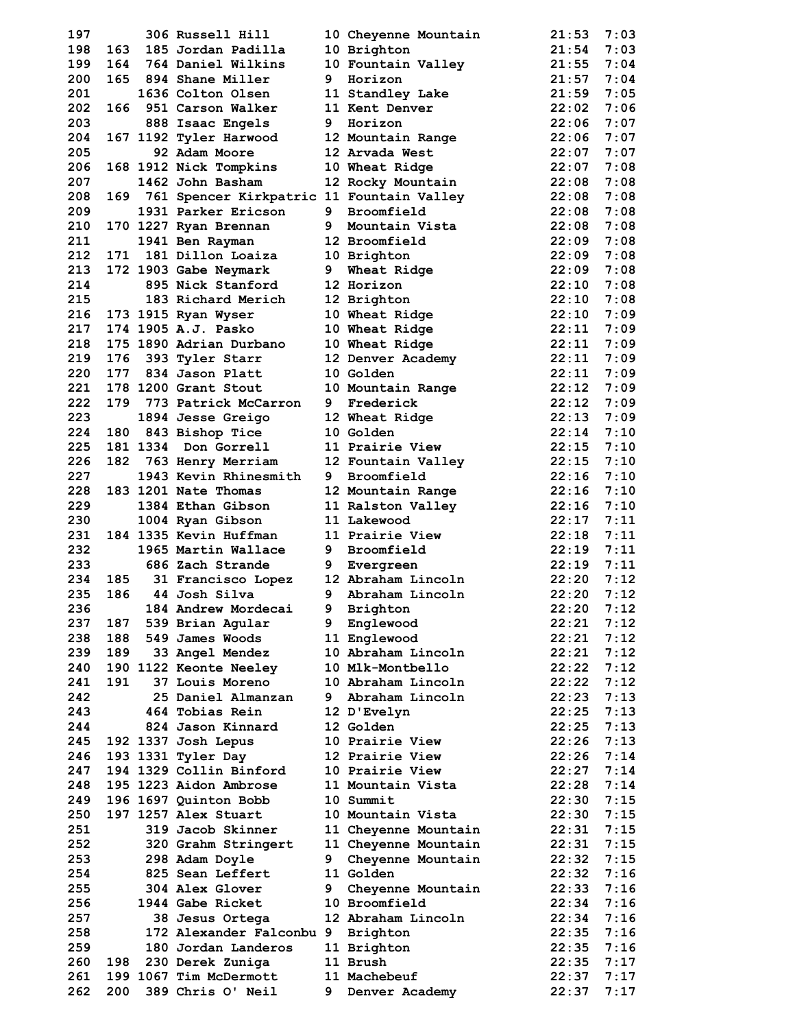| 197 |     | 306 Russell Hill                              |   | 10 Cheyenne Mountain | 21:53 | 7:03 |
|-----|-----|-----------------------------------------------|---|----------------------|-------|------|
| 198 | 163 | 185 Jordan Padilla                            |   | 10 Brighton          | 21:54 | 7:03 |
| 199 |     | 164 764 Daniel Wilkins                        |   | 10 Fountain Valley   | 21:55 | 7:04 |
| 200 |     | 165 894 Shane Miller                          | 9 | Horizon              | 21:57 | 7:04 |
| 201 |     | 1636 Colton Olsen                             |   | 11 Standley Lake     | 21:59 | 7:05 |
| 202 |     | 166 951 Carson Walker                         |   | 11 Kent Denver       | 22:02 | 7:06 |
| 203 |     | 888 Isaac Engels                              |   | 9 Horizon            | 22:06 | 7:07 |
| 204 |     | 167 1192 Tyler Harwood                        |   | 12 Mountain Range    | 22:06 | 7:07 |
| 205 |     | 92 Adam Moore                                 |   | 12 Arvada West       | 22:07 | 7:07 |
| 206 |     | 168 1912 Nick Tompkins                        |   | 10 Wheat Ridge       | 22:07 | 7:08 |
| 207 |     | 1462 John Basham                              |   | 12 Rocky Mountain    | 22:08 | 7:08 |
| 208 |     | 169 761 Spencer Kirkpatric 11 Fountain Valley |   |                      | 22:08 | 7:08 |
| 209 |     | 1931 Parker Ericson                           |   | 9 Broomfield         | 22:08 | 7:08 |
| 210 |     | 170 1227 Ryan Brennan                         |   | 9 Mountain Vista     | 22:08 | 7:08 |
| 211 |     | 1941 Ben Rayman                               |   | 12 Broomfield        | 22:09 | 7:08 |
| 212 | 171 | 181 Dillon Loaiza                             |   | 10 Brighton          | 22:09 | 7:08 |
| 213 |     | 172 1903 Gabe Neymark                         |   | 9 Wheat Ridge        | 22:09 | 7:08 |
| 214 |     | 895 Nick Stanford                             |   | 12 Horizon           | 22:10 | 7:08 |
| 215 |     | 183 Richard Merich                            |   | 12 Brighton          | 22:10 | 7:08 |
| 216 |     | 173 1915 Ryan Wyser                           |   | 10 Wheat Ridge       | 22:10 | 7:09 |
| 217 |     | 174 1905 A.J. Pasko                           |   | 10 Wheat Ridge       | 22:11 | 7:09 |
| 218 |     | 175 1890 Adrian Durbano                       |   | 10 Wheat Ridge       | 22:11 | 7:09 |
| 219 | 176 | 393 Tyler Starr                               |   | 12 Denver Academy    | 22:11 | 7:09 |
| 220 | 177 | 834 Jason Platt                               |   | 10 Golden            | 22:11 | 7:09 |
| 221 |     | 178 1200 Grant Stout                          |   | 10 Mountain Range    | 22:12 | 7:09 |
| 222 |     | 179 773 Patrick McCarron                      |   | 9 Frederick          | 22:12 | 7:09 |
|     |     |                                               |   |                      |       |      |
| 223 |     | 1894 Jesse Greigo                             |   | 12 Wheat Ridge       | 22:13 | 7:09 |
| 224 |     | 180 843 Bishop Tice                           |   | <b>10 Golden</b>     | 22:14 | 7:10 |
| 225 |     | 181 1334 Don Gorrell                          |   | 11 Prairie View      | 22:15 | 7:10 |
| 226 |     | 182 763 Henry Merriam                         |   | 12 Fountain Valley   | 22:15 | 7:10 |
| 227 |     | 1943 Kevin Rhinesmith                         | 9 | Broomfield           | 22:16 | 7:10 |
| 228 |     | 183 1201 Nate Thomas                          |   | 12 Mountain Range    | 22:16 | 7:10 |
| 229 |     | 1384 Ethan Gibson                             |   | 11 Ralston Valley    | 22:16 | 7:10 |
| 230 |     | 1004 Ryan Gibson                              |   | 11 Lakewood          | 22:17 | 7:11 |
| 231 |     | 184 1335 Kevin Huffman                        |   | 11 Prairie View      | 22:18 | 7:11 |
| 232 |     | 1965 Martin Wallace                           |   | 9 Broomfield         | 22:19 | 7:11 |
| 233 |     | 686 Zach Strande                              |   | 9 Evergreen          | 22:19 | 7:11 |
| 234 |     | 185 31 Francisco Lopez 12 Abraham Lincoln     |   |                      | 22:20 | 7:12 |
| 235 |     | 186 44 Josh Silva                             |   | 9 Abraham Lincoln    | 22:20 | 7:12 |
| 236 |     | 184 Andrew Mordecai                           |   | 9 Brighton           | 22:20 | 7:12 |
| 237 | 187 | 539 Brian Agular                              |   | 9 Englewood          | 22:21 | 7:12 |
| 238 |     | 188 549 James Woods                           |   | 11 Englewood         | 22:21 | 7:12 |
| 239 |     | 189 33 Angel Mendez                           |   | 10 Abraham Lincoln   | 22:21 | 7:12 |
| 240 |     | 190 1122 Keonte Neeley                        |   | 10 Mlk-Montbello     | 22:22 | 7:12 |
| 241 | 191 | <b>37 Louis Moreno</b>                        |   | 10 Abraham Lincoln   | 22:22 | 7:12 |
| 242 |     | 25 Daniel Almanzan                            |   | 9 Abraham Lincoln    | 22:23 | 7:13 |
| 243 |     | 464 Tobias Rein                               |   | 12 D'Evelyn          | 22:25 | 7:13 |
| 244 |     | 824 Jason Kinnard                             |   | 12 Golden            | 22:25 | 7:13 |
| 245 |     | 192 1337 Josh Lepus                           |   | 10 Prairie View      | 22:26 | 7:13 |
| 246 |     | 193 1331 Tyler Day                            |   | 12 Prairie View      | 22:26 | 7:14 |
| 247 |     | 194 1329 Collin Binford                       |   | 10 Prairie View      | 22:27 | 7:14 |
| 248 |     | 195 1223 Aidon Ambrose                        |   | 11 Mountain Vista    | 22:28 | 7:14 |
| 249 |     | 196 1697 Quinton Bobb                         |   | 10 Summit            | 22:30 | 7:15 |
| 250 |     | 197 1257 Alex Stuart                          |   | 10 Mountain Vista    | 22:30 | 7:15 |
| 251 |     | 319 Jacob Skinner                             |   | 11 Cheyenne Mountain | 22:31 | 7:15 |
| 252 |     | 320 Grahm Stringert                           |   | 11 Cheyenne Mountain | 22:31 | 7:15 |
| 253 |     | 298 Adam Doyle                                |   | 9 Cheyenne Mountain  | 22:32 | 7:15 |
| 254 |     | 825 Sean Leffert                              |   | 11 Golden            | 22:32 | 7:16 |
| 255 |     | 304 Alex Glover                               | 9 | Cheyenne Mountain    | 22:33 | 7:16 |
| 256 |     | 1944 Gabe Ricket                              |   | 10 Broomfield        | 22:34 | 7:16 |
| 257 |     | 38 Jesus Ortega                               |   | 12 Abraham Lincoln   | 22:34 | 7:16 |
| 258 |     | 172 Alexander Falconbu 9 Brighton             |   |                      | 22:35 | 7:16 |
| 259 |     | 180 Jordan Landeros                           |   | 11 Brighton          | 22:35 | 7:16 |
| 260 | 198 | 230 Derek Zuniga                              |   | 11 Brush             | 22:35 | 7:17 |
| 261 |     | 199 1067 Tim McDermott                        |   | 11 Machebeuf         | 22:37 | 7:17 |
| 262 | 200 | 389 Chris O' Neil                             | 9 | Denver Academy       | 22:37 | 7:17 |
|     |     |                                               |   |                      |       |      |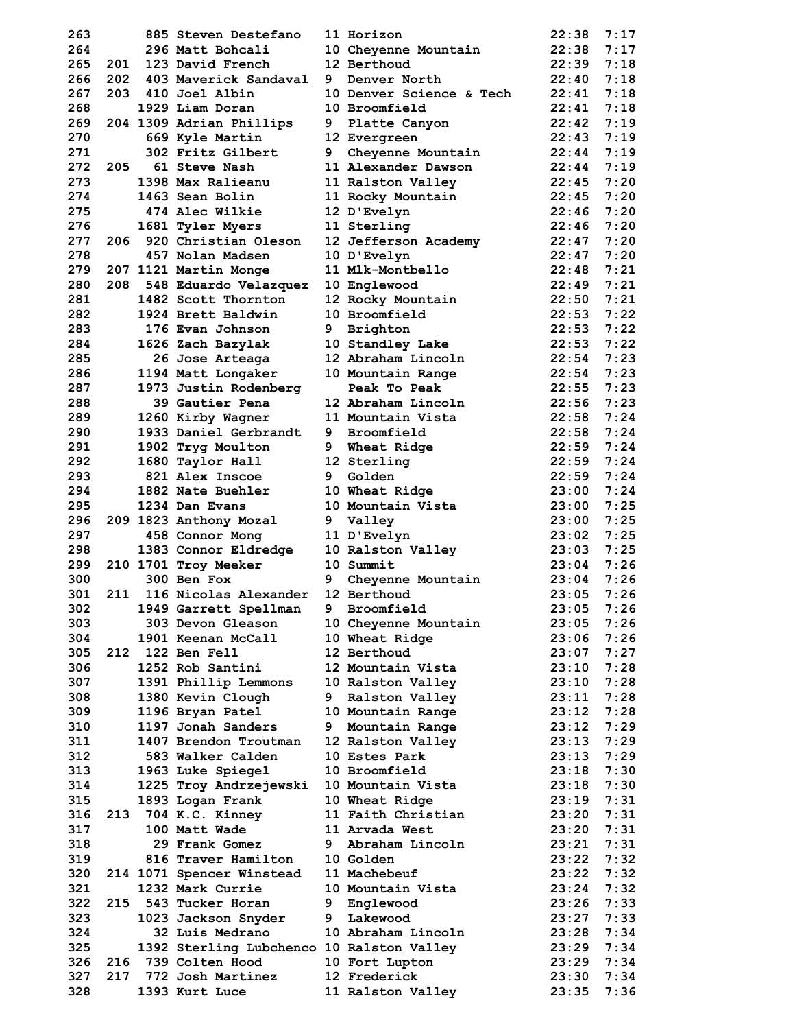| 263        |     | 885 Steven Destefano                      |   | 11 Horizon                        | 22:38          | 7:17         |
|------------|-----|-------------------------------------------|---|-----------------------------------|----------------|--------------|
| 264        |     | 296 Matt Bohcali                          |   | 10 Cheyenne Mountain              | 22:38          | 7:17         |
| 265        | 201 | 123 David French                          |   | 12 Berthoud                       | 22:39          | 7:18         |
| 266        | 202 | 403 Maverick Sandaval                     | 9 | Denver North                      | 22:40          | 7:18         |
| 267        |     | 203 410 Joel Albin                        |   | 10 Denver Science & Tech          | 22:41          | 7:18         |
| 268        |     | 1929 Liam Doran                           |   | 10 Broomfield                     | 22:41          | 7:18         |
| 269        |     | 204 1309 Adrian Phillips                  | 9 | Platte Canyon                     | 22:42          | 7:19         |
| 270        |     | 669 Kyle Martin                           |   | 12 Evergreen                      | 22:43          | 7:19         |
| 271        |     | 302 Fritz Gilbert                         |   | 9 Cheyenne Mountain               | 22:44          | 7:19         |
| 272        | 205 | 61 Steve Nash                             |   | 11 Alexander Dawson               | 22:44          | 7:19         |
| 273        |     | 1398 Max Ralieanu                         |   | 11 Ralston Valley                 | 22:45          | 7:20         |
| 274        |     | 1463 Sean Bolin                           |   | 11 Rocky Mountain                 | 22:45          | 7:20         |
| 275        |     | <b>474 Alec Wilkie</b>                    |   | 12 D'Evelyn                       | 22:46          | 7:20         |
| 276        |     | 1681 Tyler Myers                          |   | 11 Sterling                       | 22:46          | 7:20         |
| 277        | 206 | 920 Christian Oleson                      |   | 12 Jefferson Academy              | 22:47          | 7:20         |
| 278        |     | 457 Nolan Madsen                          |   | 10 D'Evelyn                       | 22:47          | 7:20         |
| 279        |     | 207 1121 Martin Monge                     |   | 11 Mlk-Montbello                  | 22:48          | 7:21         |
| 280        |     | 208 548 Eduardo Velazquez                 |   | 10 Englewood                      | 22:49          | 7:21         |
| 281        |     | 1482 Scott Thornton                       |   | 12 Rocky Mountain                 | 22:50          | 7:21         |
| 282        |     | 1924 Brett Baldwin                        |   | 10 Broomfield                     | 22:53          | 7:22         |
| 283        |     | 176 Evan Johnson                          |   | 9 Brighton                        | 22:53          | 7:22         |
| 284        |     | 1626 Zach Bazylak                         |   | 10 Standley Lake                  | 22:53          | 7:22         |
| 285        |     | 26 Jose Arteaga                           |   | 12 Abraham Lincoln                | 22:54          | 7:23         |
| 286        |     | 1194 Matt Longaker                        |   | 10 Mountain Range                 | 22:54          | 7:23         |
| 287        |     | 1973 Justin Rodenberg                     |   | Peak To Peak                      | 22:55          | 7:23         |
| 288        |     | 39 Gautier Pena                           |   | 12 Abraham Lincoln                | 22:56          | 7:23         |
| 289        |     | 1260 Kirby Wagner                         |   | 11 Mountain Vista                 | 22:58          | 7:24         |
| 290        |     | 1933 Daniel Gerbrandt                     |   | 9 Broomfield                      | 22:58          | 7:24         |
| 291        |     | 1902 Tryg Moulton                         |   | 9 Wheat Ridge                     | 22:59          | 7:24         |
| 292        |     | 1680 Taylor Hall                          |   | 12 Sterling                       | 22:59          | 7:24         |
| 293        |     | 821 Alex Inscoe                           | 9 | Golden                            | 22:59          | 7:24         |
| 294        |     | 1882 Nate Buehler                         |   | 10 Wheat Ridge                    | 23:00          | 7:24         |
| 295        |     | 1234 Dan Evans                            |   | 10 Mountain Vista                 | 23:00          | 7:25         |
| 296        |     | 209 1823 Anthony Mozal                    |   | 9 Valley                          | 23:00          | 7:25         |
| 297        |     | 458 Connor Mong                           |   | 11 D'Evelyn                       | 23:02          | 7:25         |
| 298        |     | 1383 Connor Eldredge                      |   | 10 Ralston Valley                 | 23:03          | 7:25         |
| 299        |     | 210 1701 Troy Meeker                      |   | 10 Summit                         | 23:04          | 7:26         |
| 300        |     | 300 Ben Fox                               | 9 | Cheyenne Mountain                 | 23:04          | 7:26         |
| 301        | 211 | 116 Nicolas Alexander                     |   | 12 Berthoud                       | 23:05          | 7:26         |
| 302        |     |                                           |   | 9 Broomfield                      | 23:05          | 7:26         |
| 303        |     | 1949 Garrett Spellman                     |   |                                   | 23:05          | 7:26         |
|            |     | 303 Devon Gleason                         |   | 10 Cheyenne Mountain              |                |              |
| 304        |     | 1901 Keenan McCall                        |   | 10 Wheat Ridge                    | 23:06          | 7:26         |
| 305        |     | 212 122 Ben Fell                          |   | 12 Berthoud                       | 23:07          | 7:27         |
| 306        |     |                                           |   |                                   |                |              |
| 307        |     | 1252 Rob Santini                          |   | 12 Mountain Vista                 | 23:10          | 7:28         |
| 308        |     | 1391 Phillip Lemmons                      |   | 10 Ralston Valley                 | 23:10          | 7:28         |
|            |     | 1380 Kevin Clough                         |   | 9 Ralston Valley                  | 23:11          | 7:28         |
| 309        |     | 1196 Bryan Patel                          |   | 10 Mountain Range                 | 23:12          | 7:28         |
| 310        |     | 1197 Jonah Sanders                        |   | 9 Mountain Range                  | 23:12          | 7:29         |
| 311        |     | 1407 Brendon Troutman                     |   | 12 Ralston Valley                 | 23:13          | 7:29         |
| 312        |     | 583 Walker Calden                         |   | 10 Estes Park                     | 23:13          | 7:29         |
| 313        |     | 1963 Luke Spiegel                         |   | 10 Broomfield                     | 23:18          | 7:30         |
| 314        |     | 1225 Troy Andrzejewski                    |   | 10 Mountain Vista                 | 23:18          | 7:30         |
| 315        |     | 1893 Logan Frank                          |   | 10 Wheat Ridge                    | 23:19          | 7:31         |
| 316        |     | 213 704 K.C. Kinney                       |   | 11 Faith Christian                | 23:20          | 7:31         |
| 317        |     | 100 Matt Wade                             |   | 11 Arvada West                    | 23:20          | 7:31         |
| 318        |     | 29 Frank Gomez                            |   | 9 Abraham Lincoln                 | 23:21          | 7:31         |
| 319        |     | 816 Traver Hamilton                       |   | 10 Golden                         | 23:22          | 7:32         |
| 320        |     | 214 1071 Spencer Winstead                 |   | 11 Machebeuf                      | 23:22          | 7:32         |
| 321        |     | 1232 Mark Currie                          |   | 10 Mountain Vista                 | 23:24          | 7:32         |
| 322        |     | 215 543 Tucker Horan                      |   | 9 Englewood                       | 23:26          | 7:33         |
| 323        |     | 1023 Jackson Snyder                       |   | 9 Lakewood                        | 23:27          | 7:33         |
| 324        |     | 32 Luis Medrano                           |   | 10 Abraham Lincoln                | 23:28          | 7:34         |
| 325        |     | 1392 Sterling Lubchenco 10 Ralston Valley |   |                                   | 23:29          | 7:34         |
| 326        |     | 216 739 Colten Hood                       |   | 10 Fort Lupton                    | 23:29          | 7:34         |
| 327<br>328 |     | 217 772 Josh Martinez<br>1393 Kurt Luce   |   | 12 Frederick<br>11 Ralston Valley | 23:30<br>23:35 | 7:34<br>7:36 |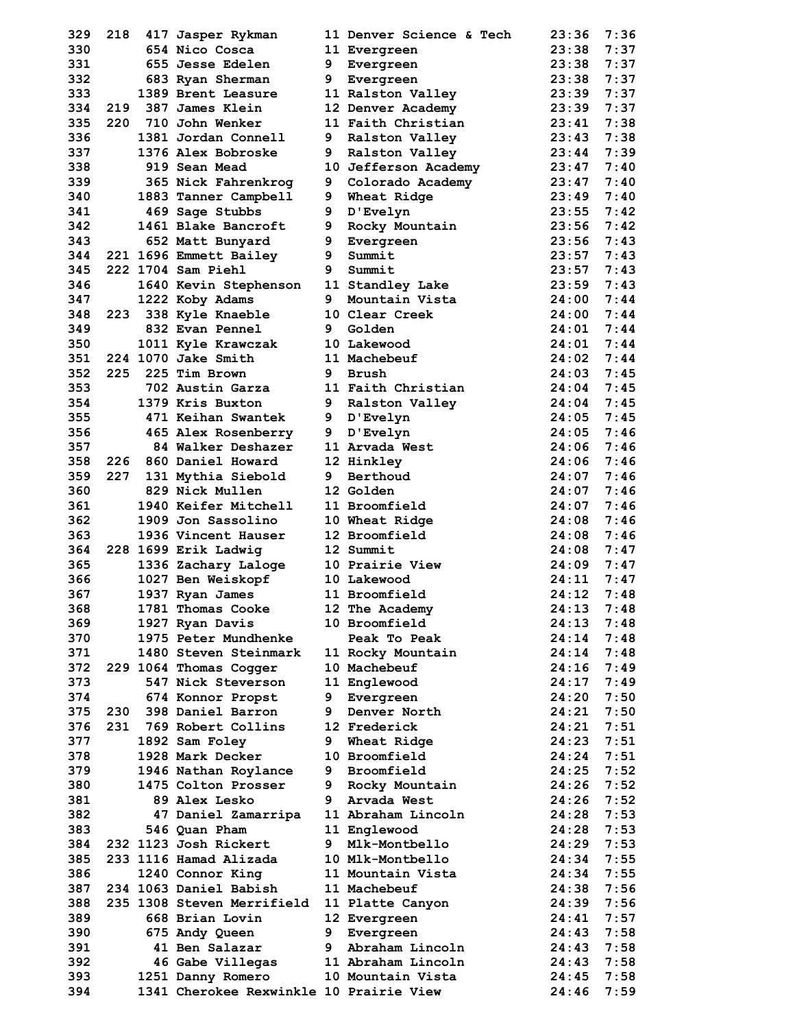| 329        |     | 218 417 Jasper Rykman                   |    | 11 Denver Science & Tech      | 23:36 | 7:36 |
|------------|-----|-----------------------------------------|----|-------------------------------|-------|------|
| 330        |     | 654 Nico Cosca                          |    | 11 Evergreen                  | 23:38 | 7:37 |
| 331        |     | 655 Jesse Edelen                        |    | 9 Evergreen                   | 23:38 | 7:37 |
| 332        |     | 683 Ryan Sherman                        | 9  | Evergreen                     | 23:38 | 7:37 |
| 333        |     | 1389 Brent Leasure                      |    | 11 Ralston Valley             | 23:39 | 7:37 |
| 334        |     | 219 387 James Klein                     |    | 12 Denver Academy             | 23:39 | 7:37 |
| 335        |     | 220 710 John Wenker                     |    | 11 Faith Christian            | 23:41 | 7:38 |
| 336        |     | 1381 Jordan Connell                     |    | 9 Ralston Valley              | 23:43 | 7:38 |
| 337        |     | 1376 Alex Bobroske                      |    | 9 Ralston Valley              | 23:44 | 7:39 |
| 338        |     | 919 Sean Mead                           |    | 10 Jefferson Academy          | 23:47 | 7:40 |
| 339        |     | 365 Nick Fahrenkrog                     |    | 9 Colorado Academy            | 23:47 | 7:40 |
| 340        |     | 1883 Tanner Campbell                    |    | 9 Wheat Ridge                 | 23:49 | 7:40 |
| 341        |     | 469 Sage Stubbs                         | 9. | D'Evelyn                      | 23:55 | 7:42 |
| 342        |     | 1461 Blake Bancroft                     | 9  | Rocky Mountain                | 23:56 | 7:42 |
| 343        |     | 652 Matt Bunyard                        | 9  | Evergreen                     | 23:56 | 7:43 |
| 344        |     | 221 1696 Emmett Bailey                  | 9  | Summit                        | 23:57 | 7:43 |
| 345        |     | 222 1704 Sam Piehl                      | 9  | Summit                        | 23:57 | 7:43 |
| 346        |     | 1640 Kevin Stephenson                   |    | 11 Standley Lake              | 23:59 | 7:43 |
| 347        |     | 1222 Koby Adams                         |    | 9 Mountain Vista              | 24:00 | 7:44 |
| 348        |     | 223 338 Kyle Knaeble                    |    | 10 Clear Creek                | 24:00 | 7:44 |
| 349        |     | 832 Evan Pennel                         |    | 9 Golden                      | 24:01 | 7:44 |
| 350        |     | 1011 Kyle Krawczak                      |    | 10 Lakewood                   | 24:01 | 7:44 |
| 351        |     | 224 1070 Jake Smith                     |    | 11 Machebeuf                  | 24:02 | 7:44 |
| 352        | 225 | 225 Tim Brown                           | 9  | Brush                         | 24:03 | 7:45 |
| 353        |     | 702 Austin Garza                        |    | 11 Faith Christian            | 24:04 | 7:45 |
| 354        |     | 1379 Kris Buxton                        |    | 9 Ralston Valley              | 24:04 | 7:45 |
| 355        |     | 471 Keihan Swantek                      |    | 9 D'Evelyn                    | 24:05 | 7:45 |
| 356        |     | 465 Alex Rosenberry                     |    | 9 D'Evelyn                    | 24:05 | 7:46 |
| 357        |     | 84 Walker Deshazer                      |    | 11 Arvada West                | 24:06 | 7:46 |
| 358        |     | 226 860 Daniel Howard                   |    | 12 Hinkley                    | 24:06 | 7:46 |
| 359        | 227 | 131 Mythia Siebold                      | 9  | Berthoud                      | 24:07 | 7:46 |
| 360        |     | 829 Nick Mullen                         |    | 12 Golden                     | 24:07 | 7:46 |
| 361        |     | 1940 Keifer Mitchell                    |    | 11 Broomfield                 | 24:07 | 7:46 |
| 362        |     | 1909 Jon Sassolino                      |    | 10 Wheat Ridge                | 24:08 | 7:46 |
| 363        |     | 1936 Vincent Hauser                     |    | 12 Broomfield                 | 24:08 | 7:46 |
| 364        |     | 228 1699 Erik Ladwig                    |    | 12 Summit                     | 24:08 | 7:47 |
| 365        |     | 1336 Zachary Laloge                     |    | 10 Prairie View               | 24:09 | 7:47 |
| 366        |     | 1027 Ben Weiskopf                       |    | 10 Lakewood                   | 24:11 | 7:47 |
| 367        |     | 1937 Ryan James                         |    | 11 Broomfield                 | 24:12 | 7:48 |
| 368        |     | 1781 Thomas Cooke                       |    | 12 The Academy                | 24:13 | 7:48 |
| 369        |     | 1927 Ryan Davis                         |    | 10 Broomfield                 | 24:13 | 7:48 |
| 370        |     | 1975 Peter Mundhenke                    |    | Peak To Peak                  | 24:14 | 7:48 |
| 371        |     | 1480 Steven Steinmark                   |    | 11 Rocky Mountain             | 24:14 | 7:48 |
| 372        |     |                                         |    | 10 Machebeuf                  | 24:16 | 7:49 |
| 373        |     | 229 1064 Thomas Cogger                  |    |                               | 24:17 | 7:49 |
|            |     | 547 Nick Steverson<br>674 Konnor Propst |    | 11 Englewood                  | 24:20 | 7:50 |
| 374<br>375 |     | 230 398 Daniel Barron                   |    | 9 Evergreen<br>9 Denver North | 24:21 | 7:50 |
|            |     | 231 769 Robert Collins                  |    | 12 Frederick                  | 24:21 | 7:51 |
| 376<br>377 |     | 1892 Sam Foley                          |    |                               | 24:23 | 7:51 |
|            |     |                                         |    | 9 Wheat Ridge                 |       |      |
| 378        |     | 1928 Mark Decker                        |    | 10 Broomfield                 | 24:24 | 7:51 |
| 379        |     | 1946 Nathan Roylance                    |    | 9 Broomfield                  | 24:25 | 7:52 |
| 380        |     | 1475 Colton Prosser                     |    | 9 Rocky Mountain              | 24:26 | 7:52 |
| 381        |     | 89 Alex Lesko                           |    | 9 Arvada West                 | 24:26 | 7:52 |
| 382        |     | 47 Daniel Zamarripa                     |    | 11 Abraham Lincoln            | 24:28 | 7:53 |
| 383        |     | 546 Quan Pham                           |    | 11 Englewood                  | 24:28 | 7:53 |
| 384        |     | 232 1123 Josh Rickert                   |    | 9 Mlk-Montbello               | 24:29 | 7:53 |
| 385        |     | 233 1116 Hamad Alizada                  |    | 10 Mlk-Montbello              | 24:34 | 7:55 |
| 386        |     | 1240 Connor King                        |    | 11 Mountain Vista             | 24:34 | 7:55 |
| 387        |     | 234 1063 Daniel Babish                  |    | 11 Machebeuf                  | 24:38 | 7:56 |
| 388        |     | 235 1308 Steven Merrifield              |    | 11 Platte Canyon              | 24:39 | 7:56 |
| 389        |     | 668 Brian Lovin                         |    | 12 Evergreen                  | 24:41 | 7:57 |
| 390        |     | 675 Andy Queen                          |    | 9 Evergreen                   | 24:43 | 7:58 |
| 391        |     | 41 Ben Salazar                          |    | 9 Abraham Lincoln             | 24:43 | 7:58 |
| 392        |     | 46 Gabe Villegas                        |    | 11 Abraham Lincoln            | 24:43 | 7:58 |
| 393        |     | 1251 Danny Romero                       |    | 10 Mountain Vista             | 24:45 | 7:58 |
| 394        |     | 1341 Cherokee Rexwinkle 10 Prairie View |    |                               | 24:46 | 7:59 |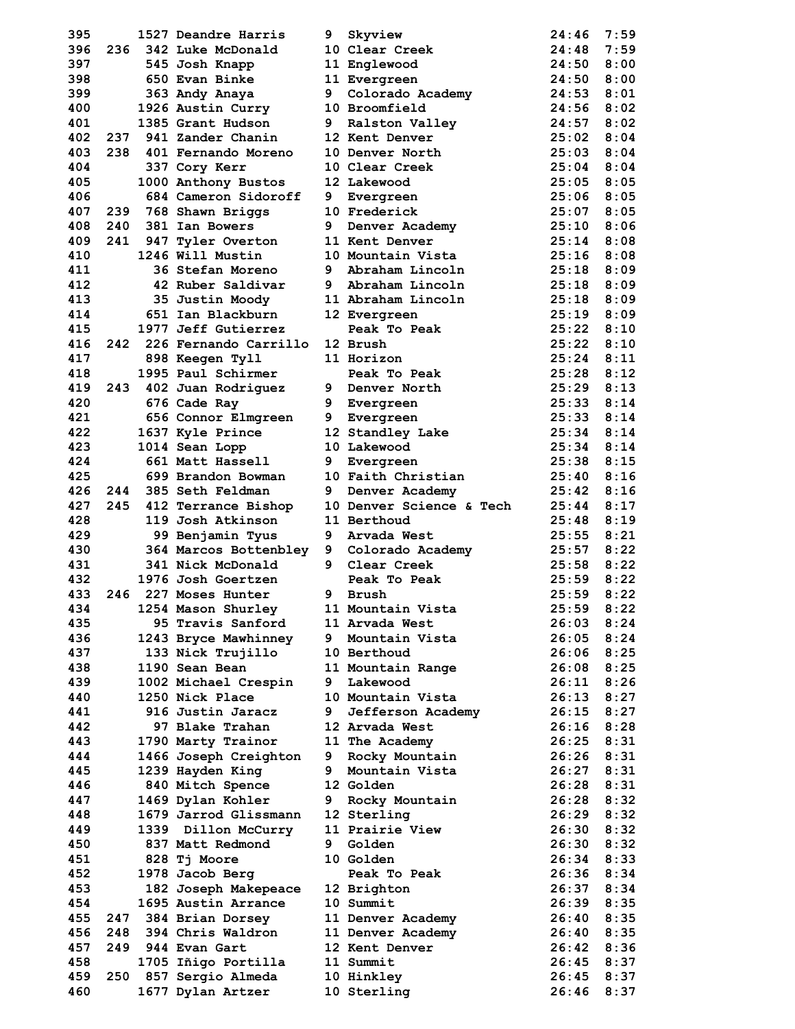| 395        |     | 1527 Deandre Harris                         | 9 | Skyview                                | 24:46          | 7:59         |
|------------|-----|---------------------------------------------|---|----------------------------------------|----------------|--------------|
| 396        |     | 236 342 Luke McDonald                       |   | 10 Clear Creek                         | 24:48          | 7:59         |
| 397        |     | 545 Josh Knapp                              |   | 11 Englewood                           | 24:50          | 8:00         |
| 398        |     | 650 Evan Binke                              |   | 11 Evergreen                           | 24:50          | 8:00         |
| 399        |     | 363 Andy Anaya                              | 9 | Colorado Academy                       | 24:53          | 8:01         |
| 400        |     | 1926 Austin Curry                           |   | 10 Broomfield                          | 24:56          | 8:02         |
| 401        |     | 1385 Grant Hudson                           | 9 | Ralston Valley                         | 24:57          | 8:02         |
| 402        |     | 237 941 Zander Chanin                       |   | 12 Kent Denver                         | 25:02          | 8:04         |
| 403        |     | 238 401 Fernando Moreno                     |   | 10 Denver North                        | 25:03          | 8:04         |
| 404        |     | 337 Cory Kerr                               |   | 10 Clear Creek                         | 25:04          | 8:04         |
| 405        |     | 1000 Anthony Bustos                         |   | 12 Lakewood                            | 25:05          | 8:05         |
| 406        |     | 684 Cameron Sidoroff                        |   | 9 Evergreen                            | 25:06          | 8:05         |
| 407        |     | 239 768 Shawn Briggs                        |   | 10 Frederick                           | 25:07          | 8:05         |
| 408        | 240 | 381 Ian Bowers                              | 9 | Denver Academy                         | 25:10          | 8:06         |
| 409        | 241 | 947 Tyler Overton                           |   | 11 Kent Denver                         | 25:14          | 8:08<br>8:08 |
| 410<br>411 |     | 1246 Will Mustin<br>36 Stefan Moreno        |   | 10 Mountain Vista<br>9 Abraham Lincoln | 25:16<br>25:18 | 8:09         |
| 412        |     | 42 Ruber Saldivar                           |   | 9 Abraham Lincoln                      | 25:18          | 8:09         |
| 413        |     | 35 Justin Moody                             |   | 11 Abraham Lincoln                     | 25:18          | 8:09         |
| 414        |     | 651 Ian Blackburn                           |   | 12 Evergreen                           | 25:19          | 8:09         |
| 415        |     | 1977 Jeff Gutierrez                         |   | Peak To Peak                           | 25:22          | 8:10         |
| 416        |     | 242 226 Fernando Carrillo                   |   | 12 Brush                               | 25:22          | 8:10         |
| 417        |     | 898 Keegen Tyll                             |   | 11 Horizon                             | 25:24          | 8:11         |
| 418        |     | 1995 Paul Schirmer                          |   | Peak To Peak                           | 25:28          | 8:12         |
| 419        |     | 243 402 Juan Rodriguez                      |   | 9 Denver North                         | 25:29          | 8:13         |
| 420        |     | 676 Cade Ray                                |   | 9 Evergreen                            | 25:33          | 8:14         |
| 421        |     | 656 Connor Elmgreen                         |   | 9 Evergreen                            | 25:33          | 8:14         |
| 422        |     | 1637 Kyle Prince                            |   | 12 Standley Lake                       | 25:34          | 8:14         |
| 423        |     | 1014 Sean Lopp                              |   | 10 Lakewood                            | 25:34          | 8:14         |
| 424        |     | 661 Matt Hassell                            | 9 | Evergreen                              | 25:38          | 8:15         |
| 425        |     | 699 Brandon Bowman                          |   | 10 Faith Christian                     | 25:40          | 8:16         |
| 426        |     | 244 385 Seth Feldman                        | 9 | Denver Academy                         | 25:42          | 8:16         |
| 427        | 245 | 412 Terrance Bishop                         |   | 10 Denver Science & Tech               | 25:44          | 8:17         |
| 428        |     | 119 Josh Atkinson                           |   | 11 Berthoud                            | 25:48          | 8:19         |
| 429        |     | 99 Benjamin Tyus                            |   | 9 Arvada West                          | 25:55          | 8:21         |
| 430        |     | 364 Marcos Bottenbley                       |   | 9 Colorado Academy                     | 25:57          | 8:22         |
| 431        |     | 341 Nick McDonald                           |   | 9 Clear Creek                          | 25:58          | 8:22         |
| 432        |     | 1976 Josh Goertzen                          |   | Peak To Peak                           | $25:59$ 8:22   |              |
| 433        |     | 246 227 Moses Hunter                        |   | 9 Brush                                | 25:59          | 8:22         |
| 434        |     | 1254 Mason Shurley                          |   | 11 Mountain Vista                      | $25:59$ 8:22   |              |
| 435        |     | 95 Travis Sanford                           |   | 11 Arvada West                         | 26:03          | 8:24         |
| 436        |     | 1243 Bryce Mawhinney                        |   | 9 Mountain Vista                       | 26:05          | 8:24         |
| 437        |     | 133 Nick Trujillo                           |   | 10 Berthoud                            | 26:06          | 8:25         |
| 438        |     | 1190 Sean Bean                              |   | 11 Mountain Range                      | 26:08          | 8:25         |
| 439        |     | 1002 Michael Crespin                        |   | 9 Lakewood                             | 26:11          | 8:26         |
| 440        |     | 1250 Nick Place                             |   | 10 Mountain Vista                      | 26:13          | 8:27         |
| 441        |     | 916 Justin Jaracz                           |   | 9 Jefferson Academy                    | 26:15          | 8:27         |
| 442<br>443 |     | 97 Blake Trahan                             |   | 12 Arvada West                         | 26:16<br>26:25 | 8:28<br>8:31 |
| 444        |     | 1790 Marty Trainor<br>1466 Joseph Creighton |   | 11 The Academy<br>9 Rocky Mountain     | 26:26          | 8:31         |
| 445        |     | 1239 Hayden King                            |   | 9 Mountain Vista                       | 26:27          | 8:31         |
| 446        |     | 840 Mitch Spence                            |   | 12 Golden                              | 26:28          | 8:31         |
| 447        |     | 1469 Dylan Kohler                           |   | 9 Rocky Mountain                       | 26:28          | 8:32         |
| 448        |     | 1679 Jarrod Glissmann                       |   | 12 Sterling                            | 26:29          | 8:32         |
| 449        |     | 1339 Dillon McCurry                         |   | 11 Prairie View                        | 26:30 8:32     |              |
| 450        |     | 837 Matt Redmond                            |   | 9 Golden                               | 26:30 8:32     |              |
| 451        |     | <b>828 Tj Moore</b>                         |   | 10 Golden                              | $26:34$ 8:33   |              |
| 452        |     | 1978 Jacob Berg                             |   | Peak To Peak                           | 26:36          | 8:34         |
| 453        |     | 182 Joseph Makepeace                        |   | 12 Brighton                            | 26:37          | 8:34         |
| 454        |     | 1695 Austin Arrance                         |   | 10 Summit                              | 26:39          | 8:35         |
| 455        |     | 247 384 Brian Dorsey                        |   | 11 Denver Academy                      | 26:40          | 8:35         |
| 456        |     | 248 394 Chris Waldron                       |   | 11 Denver Academy                      | 26:40          | 8:35         |
| 457        |     | 249 944 Evan Gart                           |   | 12 Kent Denver                         | 26:42          | 8:36         |
| 458        |     | 1705 Iñigo Portilla                         |   | 11 Summit                              | 26:45          | 8:37         |
|            |     |                                             |   |                                        |                |              |
| 459        |     | 250 857 Sergio Almeda                       |   | 10 Hinkley                             | 26:45          | 8:37         |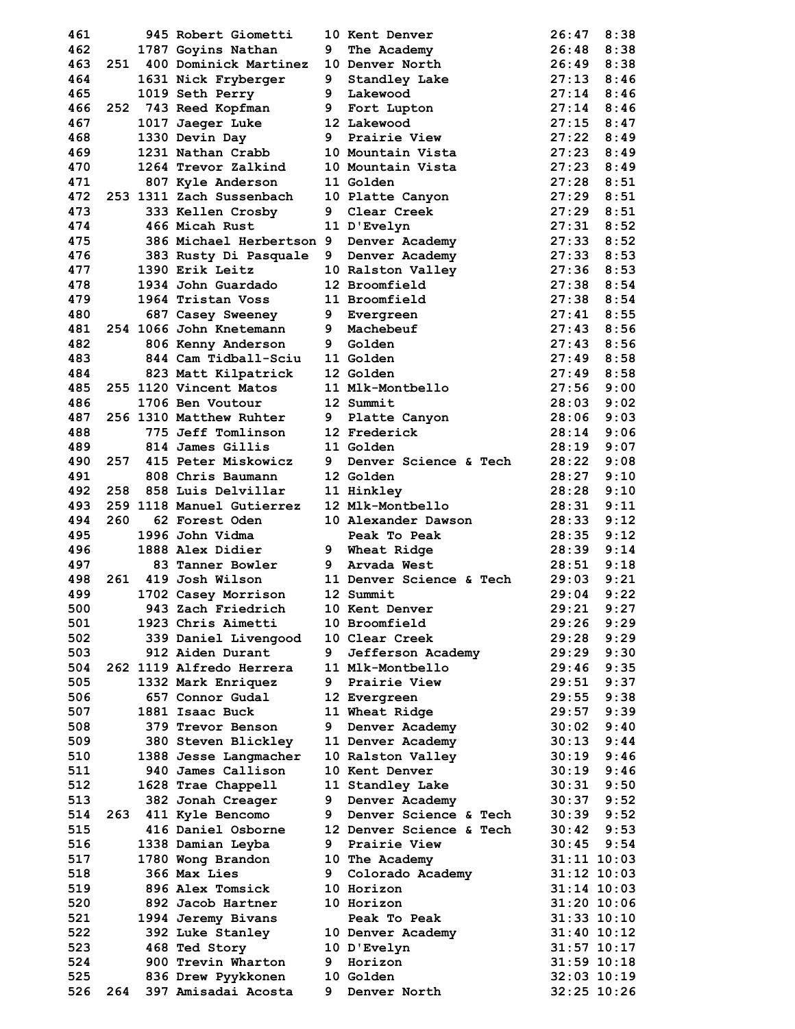| 461        |     | 945 Robert Giometti                           |   | 10 Kent Denver                   | 26:47           | 8:38                               |
|------------|-----|-----------------------------------------------|---|----------------------------------|-----------------|------------------------------------|
| 462        |     | 1787 Goyins Nathan                            | 9 | The Academy                      | 26:48           | 8:38                               |
| 463        |     | 251 400 Dominick Martinez                     |   | 10 Denver North                  | 26:49           | 8:38                               |
| 464        |     | 1631 Nick Fryberger                           | 9 | Standley Lake                    | 27:13           | 8:46                               |
| 465        |     | 1019 Seth Perry                               |   | 9 Lakewood                       | 27:14           | 8:46                               |
| 466        |     | 252 743 Reed Kopfman                          |   | 9 Fort Lupton                    | 27:14           | 8:46                               |
| 467        |     | 1017 Jaeger Luke                              |   | 12 Lakewood                      | 27:15           | 8:47                               |
| 468        |     | 1330 Devin Day                                |   | 9 Prairie View                   | 27:22           | 8:49                               |
| 469        |     | 1231 Nathan Crabb                             |   | 10 Mountain Vista                | 27:23           | 8:49                               |
| 470        |     | 1264 Trevor Zalkind                           |   | 10 Mountain Vista                | 27:23           | 8:49                               |
| 471        |     | 807 Kyle Anderson                             |   | 11 Golden                        | 27:28           | 8:51                               |
| 472        |     | 253 1311 Zach Sussenbach                      |   | 10 Platte Canyon                 | 27:29           | 8:51                               |
| 473        |     | 333 Kellen Crosby                             | 9 | Clear Creek                      | 27:29           | 8:51                               |
| 474        |     | 466 Micah Rust                                |   | 11 D'Evelyn                      | 27:31           | 8:52                               |
| 475        |     | 386 Michael Herbertson 9 Denver Academy       |   |                                  | 27:33           | 8:52                               |
| 476        |     | 383 Rusty Di Pasquale                         |   | 9 Denver Academy                 | 27:33           | 8:53                               |
| 477        |     | 1390 Erik Leitz                               |   | 10 Ralston Valley                | 27:36           | 8:53                               |
| 478        |     | 1934 John Guardado                            |   | 12 Broomfield                    | 27:38           | 8:54                               |
| 479        |     | 1964 Tristan Voss                             |   | 11 Broomfield                    | 27:38           | 8:54                               |
| 480        |     | 687 Casey Sweeney                             |   | 9 Evergreen                      | 27:41           | 8:55                               |
| 481        |     | 254 1066 John Knetemann                       |   | 9 Machebeuf                      | 27:43           | 8:56                               |
| 482        |     | 806 Kenny Anderson                            |   | <b>9</b> Golden                  | 27:43           | 8:56                               |
| 483        |     | 844 Cam Tidball-Sciu                          |   | 11 Golden                        | 27:49           | 8:58                               |
| 484        |     |                                               |   | 12 Golden                        | 27:49           | 8:58                               |
| 485        |     | 823 Matt Kilpatrick<br>255 1120 Vincent Matos |   | 11 Mlk-Montbello                 | 27:56           | 9:00                               |
|            |     | 1706 Ben Voutour                              |   | 12 Summit                        |                 | 9:02                               |
| 486        |     |                                               |   |                                  | 28:03           |                                    |
| 487        |     | 256 1310 Matthew Ruhter                       |   | 9 Platte Canyon                  | 28:06           | 9:03                               |
| 488        |     | 775 Jeff Tomlinson                            |   | 12 Frederick                     | 28:14           | 9:06                               |
| 489        |     | 814 James Gillis                              |   | 11 Golden                        | 28:19           | 9:07                               |
| 490        |     | 257 415 Peter Miskowicz                       | 9 | <b>Denver Science &amp; Tech</b> | 28:22           | 9:08                               |
| 491        |     | 808 Chris Baumann                             |   | 12 Golden                        | 28:27           | 9:10                               |
| 492        |     | 258 858 Luis Delvillar                        |   | 11 Hinkley                       | 28:28           | 9:10                               |
|            |     |                                               |   |                                  |                 |                                    |
| 493        |     | 259 1118 Manuel Gutierrez                     |   | 12 Mlk-Montbello                 | 28:31           | 9:11                               |
| 494        | 260 | 62 Forest Oden                                |   | 10 Alexander Dawson              | 28:33           | 9:12                               |
| 495        |     | 1996 John Vidma                               |   | Peak To Peak                     | 28:35           | 9:12                               |
| 496        |     | 1888 Alex Didier                              |   | 9 Wheat Ridge                    | 28:39           | 9:14                               |
| 497        |     | 83 Tanner Bowler                              |   | 9 Arvada West                    | 28:51           | 9:18                               |
| 498        |     | 261 419 Josh Wilson                           |   | 11 Denver Science & Tech         | 29:03           | 9:21                               |
| 499        |     | 1702 Casey Morrison                           |   | 12 Summit                        | 29:04           | 9:22                               |
| 500        |     | 943 Zach Friedrich                            |   | 10 Kent Denver                   | 29:21           | 9:27                               |
| 501        |     | 1923 Chris Aimetti                            |   | 10 Broomfield                    | 29:26           | 9:29                               |
| 502        |     | 339 Daniel Livengood                          |   | 10 Clear Creek                   | 29:28           | 9:29                               |
| 503        |     | 912 Aiden Durant                              | 9 | Jefferson Academy                | 29:29           | 9:30                               |
| 504        |     | 262 1119 Alfredo Herrera                      |   | 11 Mlk-Montbello                 | 29:46           | 9:35                               |
|            |     |                                               |   | 9 Prairie View                   | 29:51           | 9:37                               |
| 505        |     | 1332 Mark Enriquez<br>657 Connor Gudal        |   |                                  | 29:55           |                                    |
| 506        |     |                                               |   | 12 Evergreen                     |                 | 9:38                               |
| 507        |     | 1881 Isaac Buck                               |   | 11 Wheat Ridge                   | 29:57           | 9:39                               |
| 508        |     | 379 Trevor Benson                             | 9 | Denver Academy                   | 30:02           | 9:40                               |
| 509        |     | 380 Steven Blickley                           |   | 11 Denver Academy                | 30:13           | 9:44                               |
| 510        |     | 1388 Jesse Langmacher                         |   | 10 Ralston Valley                | 30:19           | 9:46                               |
| 511        |     | 940 James Callison                            |   | 10 Kent Denver                   | 30:19           | 9:46                               |
| 512        |     | 1628 Trae Chappell                            |   | 11 Standley Lake                 | 30:31           | 9:50                               |
| 513        |     | 382 Jonah Creager                             | 9 | Denver Academy                   | 30:37           | 9:52                               |
| 514        | 263 | 411 Kyle Bencomo                              | 9 | Denver Science & Tech            | 30:39           | 9:52                               |
| 515        |     | 416 Daniel Osborne                            |   | 12 Denver Science & Tech         | 30:42           | 9:53                               |
| 516        |     | 1338 Damian Leyba                             | 9 | Prairie View                     | 30:45           | 9:54                               |
| 517        |     | 1780 Wong Brandon                             |   | 10 The Academy                   |                 | $31:11$ $10:03$                    |
| 518        |     | 366 Max Lies                                  | 9 | Colorado Academy                 | $31:12$ $10:03$ |                                    |
| 519        |     | 896 Alex Tomsick                              |   | 10 Horizon                       |                 | $31:14$ $10:03$                    |
| 520        |     | 892 Jacob Hartner                             |   | 10 Horizon                       | 31:20 10:06     |                                    |
| 521        |     | 1994 Jeremy Bivans                            |   | Peak To Peak                     | $31:33$ $10:10$ |                                    |
| 522        |     | 392 Luke Stanley                              |   | 10 Denver Academy                | $31:40$ $10:12$ |                                    |
| 523        |     | 468 Ted Story                                 |   | 10 D'Evelyn                      |                 | $31:57$ $10:17$                    |
| 524        |     | 900 Trevin Wharton                            | 9 | Horizon                          |                 | $31:59$ $10:18$                    |
| 525<br>526 |     | 836 Drew Pyykkonen<br>397 Amisadai Acosta     |   | <b>10 Golden</b><br>Denver North |                 | $32:03$ $10:19$<br>$32:25$ $10:26$ |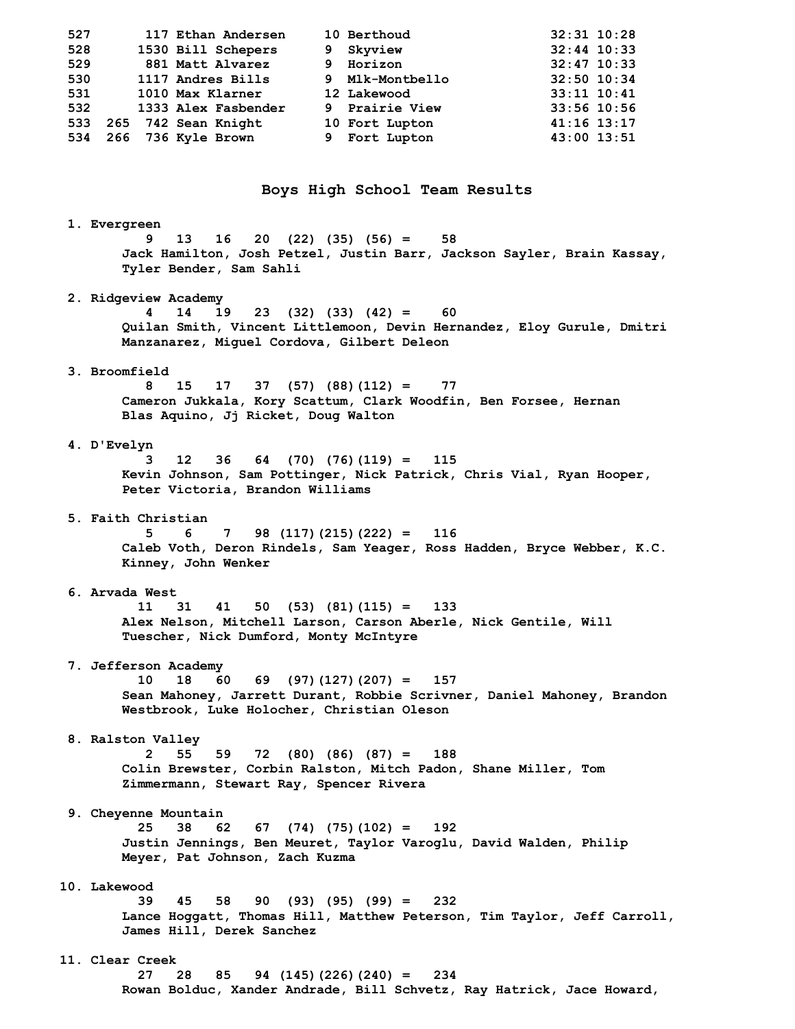| 527 | 117 Ethan Andersen     | 10 Berthoud     | $32:31$ $10:28$ |  |
|-----|------------------------|-----------------|-----------------|--|
| 528 | 1530 Bill Schepers     | 9 Skyview       | $32:44$ 10:33   |  |
| 529 | 881 Matt Alvarez       | 9 Horizon       | $32:47$ 10:33   |  |
| 530 | 1117 Andres Bills      | 9 Mlk-Montbello | 32:50 10:34     |  |
| 531 | 1010 Max Klarner       | 12 Lakewood     | $33:11$ $10:41$ |  |
| 532 | 1333 Alex Fasbender    | 9 Prairie View  | 33:56 10:56     |  |
| 533 | 265 742 Sean Knight    | 10 Fort Lupton  | $41:16$ $13:17$ |  |
|     | 534 266 736 Kyle Brown | 9 Fort Lupton   | 43:00 13:51     |  |
|     |                        |                 |                 |  |

**Boys High School Team Results** 

#### **1. Evergreen**

 **9 13 16 20 (22) (35) (56) = 58 Jack Hamilton, Josh Petzel, Justin Barr, Jackson Sayler, Brain Kassay, Tyler Bender, Sam Sahli** 

#### **2. Ridgeview Academy**

 **4 14 19 23 (32) (33) (42) = 60 Quilan Smith, Vincent Littlemoon, Devin Hernandez, Eloy Gurule, Dmitri Manzanarez, Miguel Cordova, Gilbert Deleon** 

# **3. Broomfield**

 **8 15 17 37 (57) (88)(112) = 77 Cameron Jukkala, Kory Scattum, Clark Woodfin, Ben Forsee, Hernan Blas Aquino, Jj Ricket, Doug Walton** 

#### **4. D'Evelyn**

 **3 12 36 64 (70) (76)(119) = 115 Kevin Johnson, Sam Pottinger, Nick Patrick, Chris Vial, Ryan Hooper, Peter Victoria, Brandon Williams** 

#### **5. Faith Christian**

 **5 6 7 98 (117)(215)(222) = 116 Caleb Voth, Deron Rindels, Sam Yeager, Ross Hadden, Bryce Webber, K.C. Kinney, John Wenker** 

#### **6. Arvada West**

 **11 31 41 50 (53) (81)(115) = 133 Alex Nelson, Mitchell Larson, Carson Aberle, Nick Gentile, Will Tuescher, Nick Dumford, Monty McIntyre** 

#### **7. Jefferson Academy**

 **10 18 60 69 (97)(127)(207) = 157 Sean Mahoney, Jarrett Durant, Robbie Scrivner, Daniel Mahoney, Brandon Westbrook, Luke Holocher, Christian Oleson** 

#### **8. Ralston Valley**

 **2 55 59 72 (80) (86) (87) = 188 Colin Brewster, Corbin Ralston, Mitch Padon, Shane Miller, Tom Zimmermann, Stewart Ray, Spencer Rivera** 

#### **9. Cheyenne Mountain**

 **25 38 62 67 (74) (75)(102) = 192 Justin Jennings, Ben Meuret, Taylor Varoglu, David Walden, Philip Meyer, Pat Johnson, Zach Kuzma** 

### **10. Lakewood**

 **39 45 58 90 (93) (95) (99) = 232 Lance Hoggatt, Thomas Hill, Matthew Peterson, Tim Taylor, Jeff Carroll, James Hill, Derek Sanchez** 

## **11. Clear Creek**

 **27 28 85 94 (145)(226)(240) = 234 Rowan Bolduc, Xander Andrade, Bill Schvetz, Ray Hatrick, Jace Howard,**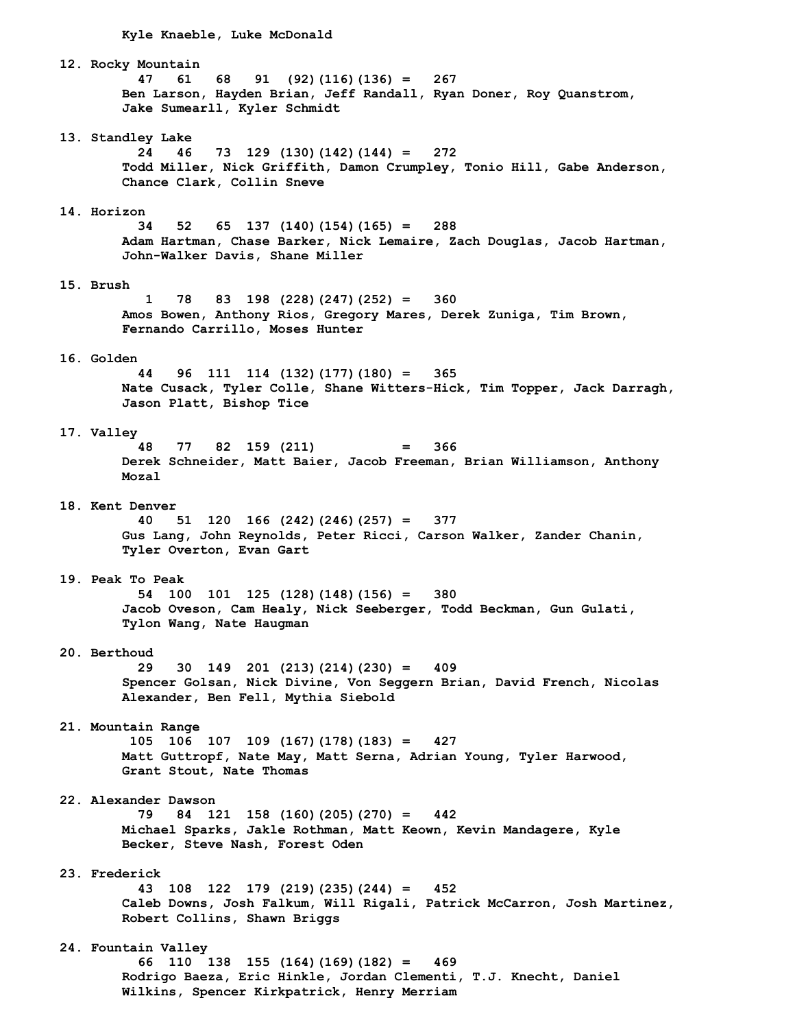**Kyle Knaeble, Luke McDonald** 

 **12. Rocky Mountain 47 61 68 91 (92)(116)(136) = 267 Ben Larson, Hayden Brian, Jeff Randall, Ryan Doner, Roy Quanstrom, Jake Sumearll, Kyler Schmidt 13. Standley Lake 24 46 73 129 (130)(142)(144) = 272 Todd Miller, Nick Griffith, Damon Crumpley, Tonio Hill, Gabe Anderson, Chance Clark, Collin Sneve 14. Horizon 34 52 65 137 (140)(154)(165) = 288 Adam Hartman, Chase Barker, Nick Lemaire, Zach Douglas, Jacob Hartman, John-Walker Davis, Shane Miller 15. Brush 1 78 83 198 (228)(247)(252) = 360 Amos Bowen, Anthony Rios, Gregory Mares, Derek Zuniga, Tim Brown, Fernando Carrillo, Moses Hunter 16. Golden 44 96 111 114 (132)(177)(180) = 365 Nate Cusack, Tyler Colle, Shane Witters-Hick, Tim Topper, Jack Darragh, Jason Platt, Bishop Tice 17. Valley 48 77 82 159 (211) = 366 Derek Schneider, Matt Baier, Jacob Freeman, Brian Williamson, Anthony Mozal 18. Kent Denver 40 51 120 166 (242)(246)(257) = 377 Gus Lang, John Reynolds, Peter Ricci, Carson Walker, Zander Chanin, Tyler Overton, Evan Gart 19. Peak To Peak 54 100 101 125 (128)(148)(156) = 380 Jacob Oveson, Cam Healy, Nick Seeberger, Todd Beckman, Gun Gulati, Tylon Wang, Nate Haugman 20. Berthoud 29 30 149 201 (213)(214)(230) = 409 Spencer Golsan, Nick Divine, Von Seggern Brian, David French, Nicolas Alexander, Ben Fell, Mythia Siebold 21. Mountain Range 105 106 107 109 (167)(178)(183) = 427 Matt Guttropf, Nate May, Matt Serna, Adrian Young, Tyler Harwood, Grant Stout, Nate Thomas 22. Alexander Dawson 79 84 121 158 (160)(205)(270) = 442 Michael Sparks, Jakle Rothman, Matt Keown, Kevin Mandagere, Kyle Becker, Steve Nash, Forest Oden 23. Frederick 43 108 122 179 (219)(235)(244) = 452 Caleb Downs, Josh Falkum, Will Rigali, Patrick McCarron, Josh Martinez, Robert Collins, Shawn Briggs 24. Fountain Valley 66 110 138 155 (164)(169)(182) = 469 Rodrigo Baeza, Eric Hinkle, Jordan Clementi, T.J. Knecht, Daniel Wilkins, Spencer Kirkpatrick, Henry Merriam**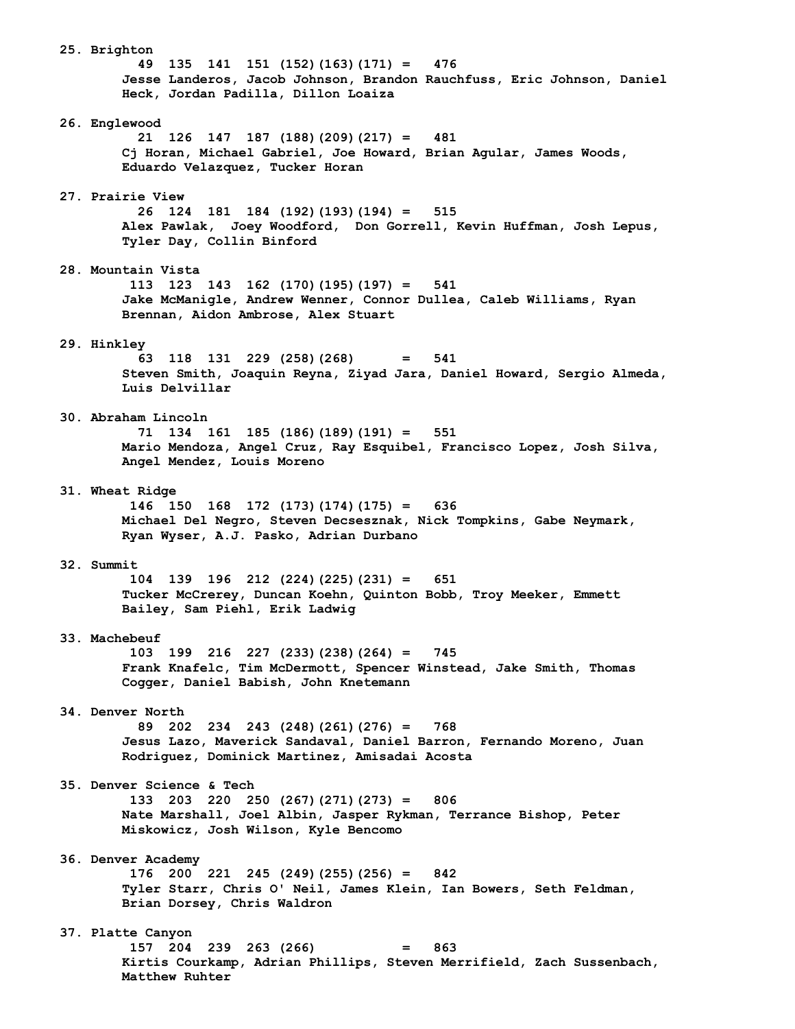**25. Brighton 49 135 141 151 (152)(163)(171) = 476 Jesse Landeros, Jacob Johnson, Brandon Rauchfuss, Eric Johnson, Daniel Heck, Jordan Padilla, Dillon Loaiza 26. Englewood 21 126 147 187 (188)(209)(217) = 481 Cj Horan, Michael Gabriel, Joe Howard, Brian Agular, James Woods, Eduardo Velazquez, Tucker Horan 27. Prairie View 26 124 181 184 (192)(193)(194) = 515 Alex Pawlak, Joey Woodford, Don Gorrell, Kevin Huffman, Josh Lepus, Tyler Day, Collin Binford 28. Mountain Vista 113 123 143 162 (170)(195)(197) = 541 Jake McManigle, Andrew Wenner, Connor Dullea, Caleb Williams, Ryan Brennan, Aidon Ambrose, Alex Stuart 29. Hinkley 63 118 131 229 (258)(268) = 541 Steven Smith, Joaquin Reyna, Ziyad Jara, Daniel Howard, Sergio Almeda, Luis Delvillar 30. Abraham Lincoln 71 134 161 185 (186)(189)(191) = 551 Mario Mendoza, Angel Cruz, Ray Esquibel, Francisco Lopez, Josh Silva, Angel Mendez, Louis Moreno 31. Wheat Ridge 146 150 168 172 (173)(174)(175) = 636 Michael Del Negro, Steven Decsesznak, Nick Tompkins, Gabe Neymark, Ryan Wyser, A.J. Pasko, Adrian Durbano 32. Summit 104 139 196 212 (224)(225)(231) = 651 Tucker McCrerey, Duncan Koehn, Quinton Bobb, Troy Meeker, Emmett Bailey, Sam Piehl, Erik Ladwig 33. Machebeuf 103 199 216 227 (233)(238)(264) = 745 Frank Knafelc, Tim McDermott, Spencer Winstead, Jake Smith, Thomas Cogger, Daniel Babish, John Knetemann 34. Denver North 89 202 234 243 (248)(261)(276) = 768 Jesus Lazo, Maverick Sandaval, Daniel Barron, Fernando Moreno, Juan Rodriguez, Dominick Martinez, Amisadai Acosta 35. Denver Science & Tech 133 203 220 250 (267)(271)(273) = 806 Nate Marshall, Joel Albin, Jasper Rykman, Terrance Bishop, Peter Miskowicz, Josh Wilson, Kyle Bencomo 36. Denver Academy 176 200 221 245 (249)(255)(256) = 842 Tyler Starr, Chris O' Neil, James Klein, Ian Bowers, Seth Feldman, Brian Dorsey, Chris Waldron 37. Platte Canyon 157 204 239 263 (266) = 863 Kirtis Courkamp, Adrian Phillips, Steven Merrifield, Zach Sussenbach, Matthew Ruhter**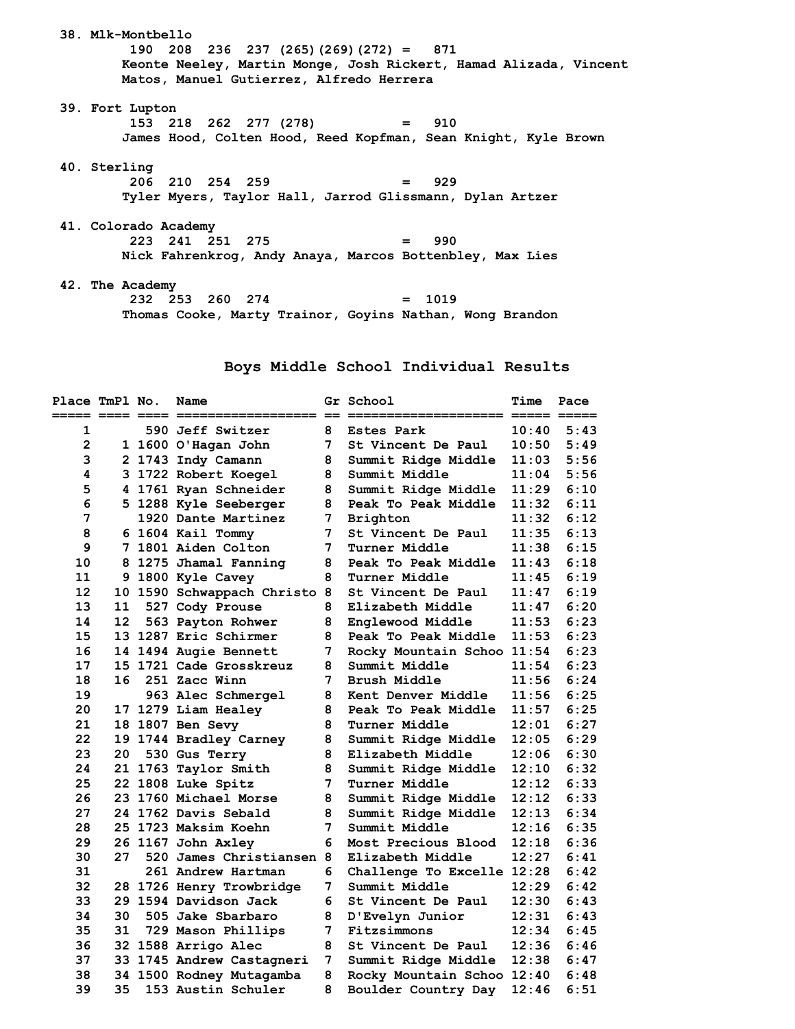**38. Mlk-Montbello 190 208 236 237 (265)(269)(272) = 871 Keonte Neeley, Martin Monge, Josh Rickert, Hamad Alizada, Vincent Matos, Manuel Gutierrez, Alfredo Herrera 39. Fort Lupton 153 218 262 277 (278) = 910 James Hood, Colten Hood, Reed Kopfman, Sean Knight, Kyle Brown 40. Sterling 206 210 254 259 = 929 Tyler Myers, Taylor Hall, Jarrod Glissmann, Dylan Artzer 41. Colorado Academy 223 241 251 275 = 990 Nick Fahrenkrog, Andy Anaya, Marcos Bottenbley, Max Lies 42. The Academy 232 253 260 274 = 1019** 

 **Thomas Cooke, Marty Trainor, Goyins Nathan, Wong Brandon** 

## **Boys Middle School Individual Results**

| Place TmPl No. |     | Name                       |    | <b>Gr School</b>           | Time  | Pace |
|----------------|-----|----------------------------|----|----------------------------|-------|------|
| 1              |     | 590 Jeff Switzer<br>8      |    | <b>Estes Park</b>          | 10:40 | 5:43 |
| $\mathbf{2}$   |     | 1 1600 O'Hagan John        | 7  | St Vincent De Paul         | 10:50 | 5:49 |
| 3              |     | 2 1743 Indy Camann         | 8  | Summit Ridge Middle        | 11:03 | 5:56 |
| 4              |     | 3 1722 Robert Koegel       | 8  | Summit Middle              | 11:04 | 5:56 |
| 5              |     | 4 1761 Ryan Schneider      | 8  | Summit Ridge Middle        | 11:29 | 6:10 |
| 6              |     | 5 1288 Kyle Seeberger      | 8  | Peak To Peak Middle        | 11:32 | 6:11 |
| 7              |     | 1920 Dante Martinez        | 7  | <b>Brighton</b>            | 11:32 | 6:12 |
| 8              |     | 6 1604 Kail Tommy          | 7  | St Vincent De Paul         | 11:35 | 6:13 |
| 9              |     | 7 1801 Aiden Colton        | 7  | Turner Middle              | 11:38 | 6:15 |
| 10             |     | 8 1275 Jhamal Fanning      | 8  | Peak To Peak Middle        | 11:43 | 6:18 |
| 11             |     | 9 1800 Kyle Cavey          | 8  | <b>Turner Middle</b>       | 11:45 | 6:19 |
| 12             |     | 10 1590 Schwappach Christo | 8  | St Vincent De Paul         | 11:47 | 6:19 |
| 13             | 11  | 527 Cody Prouse            | 8  | Elizabeth Middle           | 11:47 | 6:20 |
| 14             | 12  | 563 Payton Rohwer          | 8  | Englewood Middle           | 11:53 | 6:23 |
| 15             |     | 13 1287 Eric Schirmer      | 8  | Peak To Peak Middle        | 11:53 | 6:23 |
| 16             |     | 14 1494 Augie Bennett      | 7  | Rocky Mountain Schoo 11:54 |       | 6:23 |
| 17             |     | 15 1721 Cade Grosskreuz    | 8  | Summit Middle              | 11:54 | 6:23 |
| 18             | 16  | 251 Zacc Winn              | 7  | Brush Middle               | 11:56 | 6:24 |
| 19             |     | 963 Alec Schmergel         | 8  | <b>Kent Denver Middle</b>  | 11:56 | 6:25 |
| 20             |     | 17 1279 Liam Healey        | 8  | Peak To Peak Middle        | 11:57 | 6:25 |
| 21             |     | 18 1807 Ben Sevy           | 8  | Turner Middle              | 12:01 | 6:27 |
| 22             |     | 19 1744 Bradley Carney     | 8  | Summit Ridge Middle        | 12:05 | 6:29 |
| 23             | 20  | 530 Gus Terry              | 8  | Elizabeth Middle           | 12:06 | 6:30 |
| 24             |     | 21 1763 Taylor Smith       | 8  | Summit Ridge Middle        | 12:10 | 6:32 |
| 25             |     | 22 1808 Luke Spitz         | 7  | Turner Middle              | 12:12 | 6:33 |
| 26             |     | 23 1760 Michael Morse      | 8  | Summit Ridge Middle        | 12:12 | 6:33 |
| 27             |     | 24 1762 Davis Sebald       | 8  | Summit Ridge Middle        | 12:13 | 6:34 |
| 28             |     | 25 1723 Maksim Koehn       | 7  | Summit Middle              | 12:16 | 6:35 |
| 29             |     | 26 1167 John Axley         | 6  | Most Precious Blood        | 12:18 | 6:36 |
| 30             | 27  | 520 James Christiansen 8   |    | Elizabeth Middle           | 12:27 | 6:41 |
| 31             |     | 261 Andrew Hartman         | 6. | Challenge To Excelle 12:28 |       | 6:42 |
| 32             |     | 28 1726 Henry Trowbridge   | 7  | Summit Middle              | 12:29 | 6:42 |
| 33             |     | 29 1594 Davidson Jack      | 6  | St Vincent De Paul         | 12:30 | 6:43 |
| 34             | 30. | 505 Jake Sbarbaro          | 8  | D'Evelyn Junior            | 12:31 | 6:43 |
| 35             | 31  | 729 Mason Phillips         | 7  | Fitzsimmons                | 12:34 | 6:45 |
| 36             |     | 32 1588 Arrigo Alec        | 8  | St Vincent De Paul         | 12:36 | 6:46 |
| 37             |     | 33 1745 Andrew Castagneri  | 7  | Summit Ridge Middle        | 12:38 | 6:47 |
| 38             |     | 34 1500 Rodney Mutagamba   | 8  | Rocky Mountain Schoo 12:40 |       | 6:48 |
| 39             | 35  | 153 Austin Schuler         | 8  | Boulder Country Day        | 12:46 | 6:51 |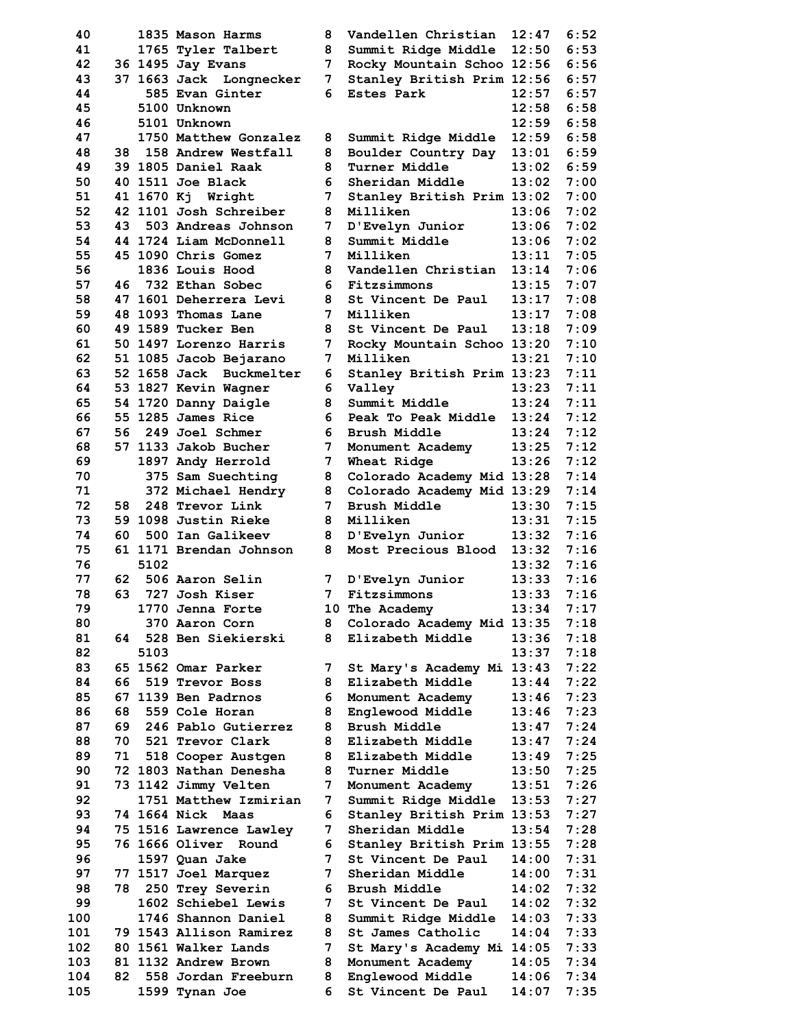| 40  |    |      | 1835 Mason Harms        | 8              | Vandellen Christian        | 12:47            | 6:52 |
|-----|----|------|-------------------------|----------------|----------------------------|------------------|------|
| 41  |    |      | 1765 Tyler Talbert      | 8              | Summit Ridge Middle        | 12:50            | 6:53 |
| 42  |    |      | 36 1495 Jay Evans       | 7              | Rocky Mountain Schoo 12:56 |                  | 6:56 |
| 43  |    |      | 37 1663 Jack Longnecker | 7              | Stanley British Prim 12:56 |                  | 6:57 |
| 44  |    |      | 585 Evan Ginter         | 6              | <b>Estes Park</b>          | 12:57            | 6:57 |
| 45  |    |      | 5100 Unknown            |                |                            | 12:58            | 6:58 |
| 46  |    |      | 5101 Unknown            |                |                            | 12:59            | 6:58 |
| 47  |    |      | 1750 Matthew Gonzalez   |                |                            | 12:59            | 6:58 |
|     |    |      |                         | 8              | Summit Ridge Middle        |                  |      |
| 48  |    |      | 38 158 Andrew Westfall  | 8              | Boulder Country Day        | 13:01            | 6:59 |
| 49  |    |      | 39 1805 Daniel Raak     | 8              | <b>Turner Middle</b>       | 13:02            | 6:59 |
| 50  |    |      | 40 1511 Joe Black       | 6              | Sheridan Middle            | 13:02            | 7:00 |
| 51  |    |      | 41 1670 Kj Wright       | 7              | Stanley British Prim 13:02 |                  | 7:00 |
| 52  |    |      | 42 1101 Josh Schreiber  | 8              | Milliken                   | 13:06            | 7:02 |
| 53  | 43 |      | 503 Andreas Johnson     | 7 <sup>7</sup> | D'Evelyn Junior            | 13:06            | 7:02 |
| 54  |    |      | 44 1724 Liam McDonnell  | 8              | Summit Middle<br>Milliken  | 13:06            | 7:02 |
| 55  |    |      | 45 1090 Chris Gomez     | 7              |                            | 13:11            | 7:05 |
| 56  |    |      | 1836 Louis Hood         | 8              | Vandellen Christian        | 13:14            | 7:06 |
| 57  |    |      | 46 732 Ethan Sobec      | 6              | Fitzsimmons                | 13:15            | 7:07 |
| 58  |    |      | 47 1601 Deherrera Levi  | 8              | St Vincent De Paul         | 13:17            | 7:08 |
| 59  |    |      | 48 1093 Thomas Lane     | 7              | Milliken                   | 13:17            | 7:08 |
| 60  |    |      | 49 1589 Tucker Ben      | 8              | St Vincent De Paul         | 13:18            | 7:09 |
| 61  |    |      | 50 1497 Lorenzo Harris  | $7\phantom{.}$ | Rocky Mountain Schoo 13:20 |                  | 7:10 |
| 62  |    |      | 51 1085 Jacob Bejarano  | 7              | Milliken                   | 13:21            | 7:10 |
| 63  |    |      | 52 1658 Jack Buckmelter | 6.             | Stanley British Prim 13:23 |                  | 7:11 |
| 64  |    |      | 53 1827 Kevin Wagner    | 6.             | Valley                     | 13:23            | 7:11 |
| 65  |    |      | 54 1720 Danny Daigle    | 8              | Summit Middle              | 13:24            | 7:11 |
| 66  |    |      | 55 1285 James Rice      | 6.             | Peak To Peak Middle        | 13:24            | 7:12 |
| 67  | 56 |      | 249 Joel Schmer         | 6.             | Brush Middle               | 13:24            | 7:12 |
| 68  |    |      | 57 1133 Jakob Bucher    | $7\phantom{.}$ | Monument Academy           | 13:25            | 7:12 |
| 69  |    |      | 1897 Andy Herrold       | $7\phantom{.}$ | Wheat Ridge                | 13:26            | 7:12 |
| 70  |    |      | 375 Sam Suechting       | 8              | Colorado Academy Mid 13:28 |                  | 7:14 |
| 71  |    |      | 372 Michael Hendry      | 8              | Colorado Academy Mid 13:29 |                  | 7:14 |
| 72  | 58 |      | 248 Trevor Link         | 7              | Brush Middle               | 13:30            | 7:15 |
| 73  |    |      | 59 1098 Justin Rieke    | 8              | Milliken                   | 13:31            | 7:15 |
| 74  | 60 |      | 500 Ian Galikeev        | 8              | D'Evelyn Junior            | 13:32            | 7:16 |
| 75  |    |      | 61 1171 Brendan Johnson | 8              | Most Precious Blood        | 13:32            | 7:16 |
| 76  |    | 5102 |                         |                |                            | 13:32            | 7:16 |
| 77  |    |      | 62 506 Aaron Selin      | 7              | D'Evelyn Junior            | 13:33            | 7:16 |
| 78  | 63 |      | 727 Josh Kiser          | $7^{\circ}$    | Fitzsimmons                | 13:33            | 7:16 |
| 79  |    |      | 1770 Jenna Forte        |                | 10 The Academy             | 13:34            | 7:17 |
| 80  |    |      | 370 Aaron Corn          | 8              | Colorado Academy Mid 13:35 |                  | 7:18 |
| 81  |    |      | 64 528 Ben Siekierski   | 8              | Elizabeth Middle           | 13:36            | 7:18 |
| 82  |    | 5103 |                         |                |                            | 13:37            | 7:18 |
| 83  |    |      | 65 1562 Omar Parker     | 7              | St Mary's Academy Mi 13:43 |                  | 7:22 |
| 84  | 66 |      | 519 Trevor Boss         | 8              | Elizabeth Middle           | 13:44            | 7:22 |
| 85  |    |      | 67 1139 Ben Padrnos     | 6              | Monument Academy           | 13:46            | 7:23 |
| 86  | 68 |      | 559 Cole Horan          | 8              | Englewood Middle           | 13:46            | 7:23 |
| 87  |    |      | 69 246 Pablo Gutierrez  | 8              | Brush Middle               | 13:47            | 7:24 |
| 88  |    |      | 70 521 Trevor Clark     | 8              | Elizabeth Middle           | 13:47            | 7:24 |
| 89  |    |      | 71 518 Cooper Austgen   | 8              | Elizabeth Middle           | 13:49            | 7:25 |
| 90  |    |      | 72 1803 Nathan Denesha  | 8              | <b>Turner Middle</b>       | 13:50            | 7:25 |
| 91  |    |      | 73 1142 Jimmy Velten    | 7              | Monument Academy           | 13:51            | 7:26 |
| 92  |    |      | 1751 Matthew Izmirian   | 7              | Summit Ridge Middle 13:53  |                  | 7:27 |
| 93  |    |      | 74 1664 Nick Maas       | 6              | Stanley British Prim 13:53 |                  | 7:27 |
| 94  |    |      | 75 1516 Lawrence Lawley | 7              | Sheridan Middle            | 13:54            | 7:28 |
| 95  |    |      | 76 1666 Oliver Round    | 6              | Stanley British Prim 13:55 |                  | 7:28 |
| 96  |    |      | 1597 Quan Jake          | $7\phantom{.}$ | St Vincent De Paul         | 14:00            | 7:31 |
| 97  |    |      | 77 1517 Joel Marquez    | 7              | Sheridan Middle            | 14:00            | 7:31 |
| 98  |    |      | 78 250 Trey Severin     | 6              | Brush Middle               | 14:02            | 7:32 |
| 99  |    |      | 1602 Schiebel Lewis     | 7              | St Vincent De Paul         | 14:02            | 7:32 |
| 100 |    |      | 1746 Shannon Daniel     | 8              | Summit Ridge Middle        | 14:03            | 7:33 |
| 101 |    |      | 79 1543 Allison Ramirez | 8              | St James Catholic          | 14:04            | 7:33 |
| 102 |    |      | 80 1561 Walker Lands    | 7              | St Mary's Academy Mi 14:05 |                  | 7:33 |
| 103 |    |      | 81 1132 Andrew Brown    | 8              | Monument Academy           | 14:05            | 7:34 |
| 104 |    |      | 82 558 Jordan Freeburn  | 8              | Englewood Middle           | 14:06            | 7:34 |
| 105 |    |      | 1599 Tynan Joe          | 6              | St Vincent De Paul         | $\textbf{14:07}$ | 7:35 |

| 40  |      |      | 1835 Mason Harms        | 8               | Vandellen Christian        | 12:47 | 6:52 |
|-----|------|------|-------------------------|-----------------|----------------------------|-------|------|
| 41  |      |      | 1765 Tyler Talbert      | 8               | Summit Ridge Middle        | 12:50 | 6:53 |
| 42  |      |      | 36 1495 Jay Evans       | 7               | Rocky Mountain Schoo 12:56 |       | 6:56 |
| 43  |      |      | 37 1663 Jack Longnecker | 7               | Stanley British Prim 12:56 |       | 6:57 |
| 44  |      |      | 585 Evan Ginter         | 6.              | Estes Park                 | 12:57 | 6:57 |
| 45  |      |      | 5100 Unknown            |                 |                            | 12:58 | 6:58 |
| 46  |      |      | 5101 Unknown            |                 |                            | 12:59 | 6:58 |
|     |      |      | 1750 Matthew Gonzalez   |                 |                            | 12:59 | 6:58 |
| 47  |      |      |                         | 8               | Summit Ridge Middle        |       |      |
| 48  |      |      | 38 158 Andrew Westfall  | 8               | Boulder Country Day        | 13:01 | 6:59 |
| 49  |      |      | 39 1805 Daniel Raak     | 8               | Turner Middle              | 13:02 | 6:59 |
| 50  |      |      | 40 1511 Joe Black       | 6               | Sheridan Middle            | 13:02 | 7:00 |
| 51  |      |      | 41 1670 Kj Wright       | 7               | Stanley British Prim 13:02 |       | 7:00 |
| 52  |      |      | 42 1101 Josh Schreiber  | 8               | Milliken                   | 13:06 | 7:02 |
| 53  | 43   |      | 503 Andreas Johnson     | 7               | D'Evelyn Junior            | 13:06 | 7:02 |
| 54  |      |      | 44 1724 Liam McDonnell  | 8               | Summit Middle              | 13:06 | 7:02 |
|     |      |      |                         |                 |                            |       |      |
| 55  |      |      | 45 1090 Chris Gomez     | 7               | Milliken                   | 13:11 | 7:05 |
| 56  |      |      | 1836 Louis Hood         | 8               | Vandellen Christian        | 13:14 | 7:06 |
| 57  | 46   |      | 732 Ethan Sobec         | 6.              | Fitzsimmons                | 13:15 | 7:07 |
| 58  |      |      | 47 1601 Deherrera Levi  | 8               | St Vincent De Paul         | 13:17 | 7:08 |
| 59  |      |      | 48 1093 Thomas Lane     | 7               | Milliken                   | 13:17 | 7:08 |
| 60  |      |      | 49 1589 Tucker Ben      | 8               | St Vincent De Paul         | 13:18 | 7:09 |
| 61  |      |      | 50 1497 Lorenzo Harris  | 7               | Rocky Mountain Schoo 13:20 |       | 7:10 |
| 62  |      |      | 51 1085 Jacob Bejarano  | 7               | Milliken                   | 13:21 | 7:10 |
|     |      |      |                         |                 |                            |       | 7:11 |
| 63  |      |      | 52 1658 Jack Buckmelter | 6               | Stanley British Prim 13:23 |       |      |
| 64  |      |      | 53 1827 Kevin Wagner    | 6.              | Valley                     | 13:23 | 7:11 |
| 65  |      |      | 54 1720 Danny Daigle    | 8               | Summit Middle              | 13:24 | 7:11 |
| 66  |      |      | 55 1285 James Rice      | 6.              | Peak To Peak Middle        | 13:24 | 7:12 |
| 67  | 56   |      | 249 Joel Schmer         | 6.              | Brush Middle               | 13:24 | 7:12 |
| 68  |      |      | 57 1133 Jakob Bucher    | 7               | Monument Academy           | 13:25 | 7:12 |
| 69  |      |      | 1897 Andy Herrold       | 7               | Wheat Ridge                | 13:26 | 7:12 |
| 70  |      |      |                         |                 |                            |       | 7:14 |
|     |      |      | 375 Sam Suechting       | 8               | Colorado Academy Mid 13:28 |       |      |
| 71  |      |      | 372 Michael Hendry      | 8               | Colorado Academy Mid 13:29 |       | 7:14 |
| 72  | 58   |      | 248 Trevor Link         | 7               | Brush Middle               | 13:30 | 7:15 |
| 73  |      |      | 59 1098 Justin Rieke    | 8               | Milliken                   | 13:31 | 7:15 |
| 74  | 60   |      | 500 Ian Galikeev        | 8               | D'Evelyn Junior            | 13:32 | 7:16 |
| 75  |      |      | 61 1171 Brendan Johnson | 8               | Most Precious Blood        | 13:32 | 7:16 |
| 76  |      | 5102 |                         |                 |                            | 13:32 | 7:16 |
| 77  | 62   |      | 506 Aaron Selin         | 7               | D'Evelyn Junior            | 13:33 | 7:16 |
| 78  | 63   |      | 727 Josh Kiser          | $7\overline{ }$ | Fitzsimmons                | 13:33 | 7:16 |
|     |      |      |                         |                 |                            |       |      |
| 79  |      |      | 1770 Jenna Forte        |                 | 10 The Academy             | 13:34 | 7:17 |
| 80  |      |      | 370 Aaron Corn          | 8               | Colorado Academy Mid 13:35 |       | 7:18 |
| 81  | 64   |      | 528 Ben Siekierski      | 8               | Elizabeth Middle           | 13:36 | 7:18 |
| 82  |      | 5103 |                         |                 |                            | 13:37 | 7:18 |
| 83  |      |      | 65 1562 Omar Parker     | 7               | St Mary's Academy Mi 13:43 |       | 7:22 |
| 84  | 66   |      | 519 Trevor Boss         | 8               | Elizabeth Middle           | 13:44 | 7:22 |
| 85  |      |      | 67 1139 Ben Padrnos     | 6               | Monument Academy           | 13:46 | 7:23 |
| 86  | 68   |      | 559 Cole Horan          | 8               | Englewood Middle           | 13:46 | 7:23 |
|     |      |      |                         |                 |                            |       |      |
| 87  | 69   |      | 246 Pablo Gutierrez     | 8               | Brush Middle               | 13:47 | 7:24 |
| 88  | 70   |      | 521 Trevor Clark        | 8               | Elizabeth Middle           | 13:47 | 7:24 |
| 89  | 71   |      | 518 Cooper Austgen      | 8               | Elizabeth Middle           | 13:49 | 7:25 |
| 90  |      |      | 72 1803 Nathan Denesha  | 8               | Turner Middle              | 13:50 | 7:25 |
| 91  |      |      | 73 1142 Jimmy Velten    | 7               | Monument Academy           | 13:51 | 7:26 |
| 92  |      |      | 1751 Matthew Izmirian   | 7               | Summit Ridge Middle        | 13:53 | 7:27 |
| 93  |      |      | 74 1664 Nick Maas       | 6               | Stanley British Prim 13:53 |       | 7:27 |
| 94  |      |      | 75 1516 Lawrence Lawley | 7               | Sheridan Middle            | 13:54 | 7:28 |
|     |      |      |                         |                 |                            |       |      |
| 95  |      |      | 76 1666 Oliver Round    | 6               | Stanley British Prim 13:55 |       | 7:28 |
| 96  |      |      | 1597 Quan Jake          | 7               | St Vincent De Paul         | 14:00 | 7:31 |
| 97  |      |      | 77 1517 Joel Marquez    | 7               | Sheridan Middle            | 14:00 | 7:31 |
| 98  | 78 - |      | 250 Trey Severin        | 6               | Brush Middle               | 14:02 | 7:32 |
| 99  |      |      | 1602 Schiebel Lewis     | 7               | St Vincent De Paul         | 14:02 | 7:32 |
| 100 |      |      | 1746 Shannon Daniel     | 8               | Summit Ridge Middle        | 14:03 | 7:33 |
| 101 |      |      | 79 1543 Allison Ramirez | 8               | St James Catholic          | 14:04 | 7:33 |
| 102 |      |      | 80 1561 Walker Lands    | 7               | St Mary's Academy Mi 14:05 |       | 7:33 |
| 103 |      |      | 81 1132 Andrew Brown    | 8               | Monument Academy           | 14:05 | 7:34 |
| 104 | 82   |      | 558 Jordan Freeburn     | 8               |                            |       |      |
|     |      |      |                         |                 | Englewood Middle           | 14:06 | 7:34 |
| 105 |      |      | 1599 Tynan Joe          | 6               | St Vincent De Paul         | 14:07 | 7:35 |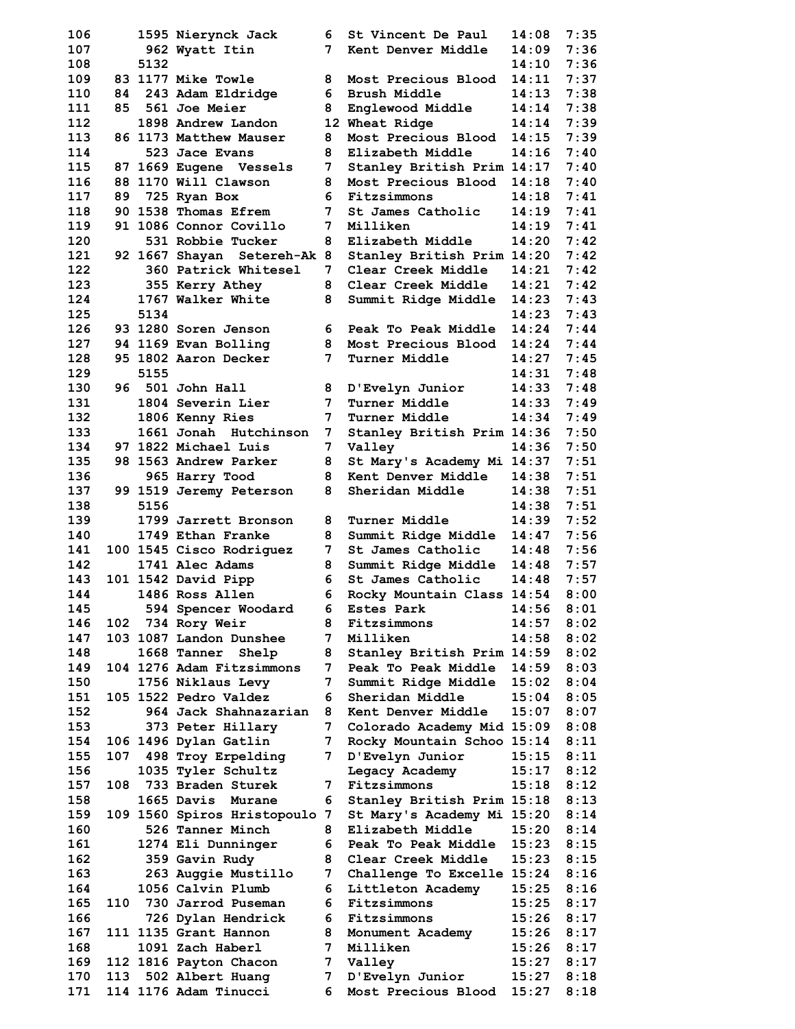**106 1595 Nierynck Jack 6 St Vincent De Paul 14:08 7:35 107 962 Wyatt Itin 7 Kent Denver Middle 14:09 7:36 108 5132 14:10 7:36 109 83 1177 Mike Towle 8 Most Precious Blood 14:11 7:37 110 84 243 Adam Eldridge 6 Brush Middle 14:13 7:38 111 85 561 Joe Meier 8 Englewood Middle 14:14 7:38 112 1898 Andrew Landon 12 Wheat Ridge 14:14 7:39 113 86 1173 Matthew Mauser 8 Most Precious Blood 14:15 7:39 114 523 Jace Evans 8 Elizabeth Middle 14:16 7:40 115 87 1669 Eugene Vessels 7 Stanley British Prim 14:17 7:40 116 88 1170 Will Clawson 8 Most Precious Blood 14:18 7:40 117 89 725 Ryan Box 6 Fitzsimmons 14:18 7:41 118 90 1538 Thomas Efrem 7 St James Catholic 14:19 7:41 119 91 1086 Connor Covillo 7 Milliken 14:19 7:41 120 531 Robbie Tucker 8 Elizabeth Middle 14:20 7:42 121 92 1667 Shayan Setereh-Ak 8 Stanley British Prim 14:20 7:42 122 360 Patrick Whitesel 7 Clear Creek Middle 14:21 7:42 123 355 Kerry Athey 8 Clear Creek Middle 14:21 7:42 124 1767 Walker White 8 Summit Ridge Middle 14:23 7:43 125 5134 14:23 7:43 126 93 1280 Soren Jenson 6 Peak To Peak Middle 14:24 7:44 127 94 1169 Evan Bolling 8 Most Precious Blood 14:24 7:44 128 95 1802 Aaron Decker 7 Turner Middle 14:27 7:45 129 5155 14:31 7:48 130 96 501 John Hall 8 D'Evelyn Junior 14:33 7:48 131 1804 Severin Lier 7 Turner Middle 14:33 7:49 132 1806 Kenny Ries 7 Turner Middle 14:34 7:49 133 1661 Jonah Hutchinson 7 Stanley British Prim 14:36 7:50 134 97 1822 Michael Luis 7 Valley 14:36 7:50 135 98 1563 Andrew Parker 8 St Mary's Academy Mi 14:37 7:51 136 965 Harry Tood 8 Kent Denver Middle 14:38 7:51 137 99 1519 Jeremy Peterson 8 Sheridan Middle 14:38 7:51 138 5156 14:38 7:51 139 1799 Jarrett Bronson 8 Turner Middle 14:39 7:52 140 1749 Ethan Franke 8 Summit Ridge Middle 14:47 7:56 141 100 1545 Cisco Rodriguez 7 St James Catholic 14:48 7:56 142 1741 Alec Adams 8 Summit Ridge Middle 14:48 7:57 143 101 1542 David Pipp 6 St James Catholic 14:48 7:57 144 1486 Ross Allen 6 Rocky Mountain Class 14:54 8:00 145 594 Spencer Woodard 6 Estes Park 14:56 8:01 146 102 734 Rory Weir 8 Fitzsimmons 14:57 8:02 147 103 1087 Landon Dunshee 7 Milliken 14:58 8:02 148 1668 Tanner Shelp 8 Stanley British Prim 14:59 8:02 149 104 1276 Adam Fitzsimmons 7 Peak To Peak Middle 14:59 8:03 150 1756 Niklaus Levy 7 Summit Ridge Middle 15:02 8:04 151 105 1522 Pedro Valdez 6 Sheridan Middle 15:04 8:05 152 964 Jack Shahnazarian 8 Kent Denver Middle 15:07 8:07 153 373 Peter Hillary 7 Colorado Academy Mid 15:09 8:08 154 106 1496 Dylan Gatlin 7 Rocky Mountain Schoo 15:14 8:11 155 107 498 Troy Erpelding 7 D'Evelyn Junior 15:15 8:11 156 1035 Tyler Schultz Legacy Academy 15:17 8:12 157 108 733 Braden Sturek 7 Fitzsimmons 15:18 8:12 158 1665 Davis Murane 6 Stanley British Prim 15:18 8:13 159 109 1560 Spiros Hristopoulo 7 St Mary's Academy Mi 15:20 8:14 160 526 Tanner Minch 8 Elizabeth Middle 15:20 8:14 161 1274 Eli Dunninger 6 Peak To Peak Middle 15:23 8:15 162 359 Gavin Rudy 8 Clear Creek Middle 15:23 8:15 163 263 Auggie Mustillo 7 Challenge To Excelle 15:24 8:16 164 1056 Calvin Plumb 6 Littleton Academy 15:25 8:16 165 110 730 Jarrod Puseman 6 Fitzsimmons 15:25 8:17 166 726 Dylan Hendrick 6 Fitzsimmons 15:26 8:17 167 111 1135 Grant Hannon 8 Monument Academy 15:26 8:17 168 1091 Zach Haberl 7 Milliken 15:26 8:17 169 112 1816 Payton Chacon 7 Valley 15:27 8:17 170 113 502 Albert Huang 7 D'Evelyn Junior 15:27 8:18 171 114 1176 Adam Tinucci 6 Most Precious Blood 15:27 8:18**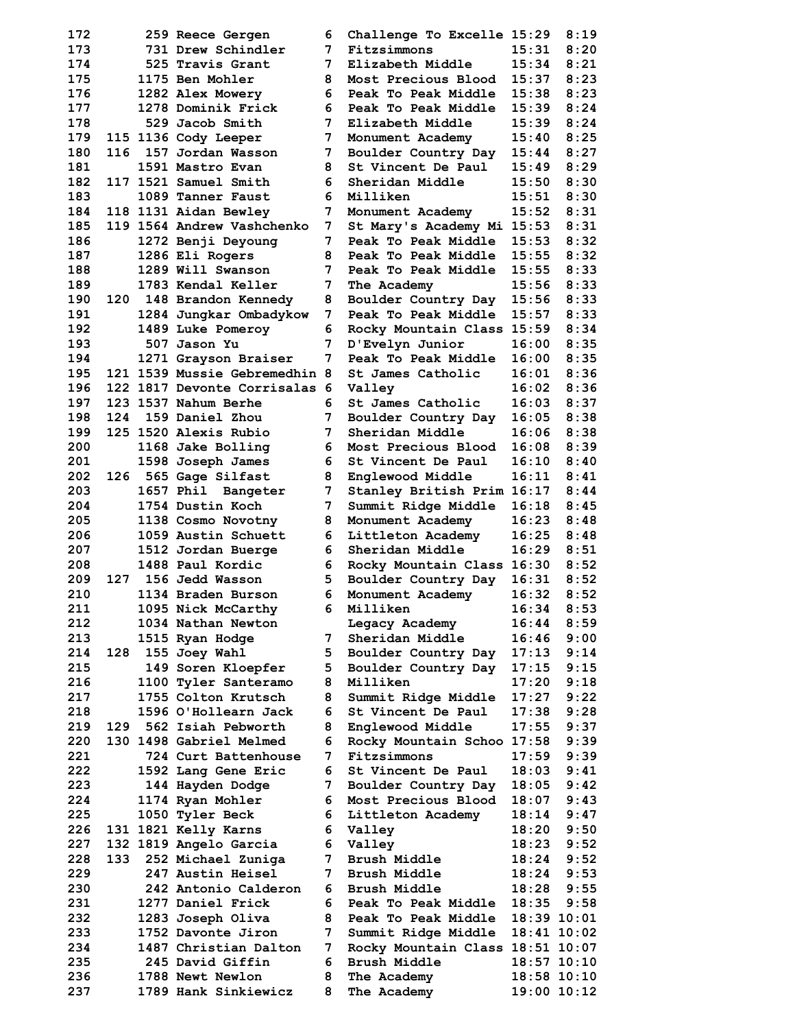**172 259 Reece Gergen 6 Challenge To Excelle 15:29 8:19 173 731 Drew Schindler 7 Fitzsimmons 15:31 8:20 174 525 Travis Grant 7 Elizabeth Middle 15:34 8:21 175 1175 Ben Mohler 8 Most Precious Blood 15:37 8:23 176 1282 Alex Mowery 6 Peak To Peak Middle 15:38 8:23 177 1278 Dominik Frick 6 Peak To Peak Middle 15:39 8:24 178 529 Jacob Smith 7 Elizabeth Middle 15:39 8:24 179 115 1136 Cody Leeper 7 Monument Academy 15:40 8:25 180 116 157 Jordan Wasson 7 Boulder Country Day 15:44 8:27 181 1591 Mastro Evan 8 St Vincent De Paul 15:49 8:29 182 117 1521 Samuel Smith 6 Sheridan Middle 15:50 8:30 183 1089 Tanner Faust 6 Milliken 15:51 8:30 184 118 1131 Aidan Bewley 7 Monument Academy 15:52 8:31 185 119 1564 Andrew Vashchenko 7 St Mary's Academy Mi 15:53 8:31 186 1272 Benji Deyoung 7 Peak To Peak Middle 15:53 8:32 187 1286 Eli Rogers 8 Peak To Peak Middle 15:55 8:32 188 1289 Will Swanson 7 Peak To Peak Middle 15:55 8:33 189 1783 Kendal Keller 7 The Academy 15:56 8:33 190 120 148 Brandon Kennedy 8 Boulder Country Day 15:56 8:33 191 1284 Jungkar Ombadykow 7 Peak To Peak Middle 15:57 8:33 192 1489 Luke Pomeroy 6 Rocky Mountain Class 15:59 8:34 193 507 Jason Yu 7 D'Evelyn Junior 16:00 8:35 194 1271 Grayson Braiser 7 Peak To Peak Middle 16:00 8:35 195 121 1539 Mussie Gebremedhin 8 St James Catholic 16:01 8:36 196 122 1817 Devonte Corrisalas 6 Valley 16:02 8:36 197 123 1537 Nahum Berhe 6 St James Catholic 16:03 8:37 198 124 159 Daniel Zhou 7 Boulder Country Day 16:05 8:38 199 125 1520 Alexis Rubio 7 Sheridan Middle 16:06 8:38 200 1168 Jake Bolling 6 Most Precious Blood 16:08 8:39 201 1598 Joseph James 6 St Vincent De Paul 16:10 8:40 202 126 565 Gage Silfast 8 Englewood Middle 16:11 8:41 203 1657 Phil Bangeter 7 Stanley British Prim 16:17 8:44 204 1754 Dustin Koch 7 Summit Ridge Middle 16:18 8:45 205 1138 Cosmo Novotny 8 Monument Academy 16:23 8:48 206 1059 Austin Schuett 6 Littleton Academy 16:25 8:48 207 1512 Jordan Buerge 6 Sheridan Middle 16:29 8:51 208 1488 Paul Kordic 6 Rocky Mountain Class 16:30 8:52 209 127 156 Jedd Wasson 5 Boulder Country Day 16:31 8:52 210 1134 Braden Burson 6 Monument Academy 16:32 8:52 211 1095 Nick McCarthy 6 Milliken 16:34 8:53 212 1034 Nathan Newton Legacy Academy 16:44 8:59 213 1515 Ryan Hodge 7 Sheridan Middle 16:46 9:00 214 128 155 Joey Wahl 5 Boulder Country Day 17:13 9:14 215 149 Soren Kloepfer 5 Boulder Country Day 17:15 9:15 216 1100 Tyler Santeramo 8 Milliken 17:20 9:18 217 1755 Colton Krutsch 8 Summit Ridge Middle 17:27 9:22 218 1596 O'Hollearn Jack 6 St Vincent De Paul 17:38 9:28 219 129 562 Isiah Pebworth 8 Englewood Middle 17:55 9:37 220 130 1498 Gabriel Melmed 6 Rocky Mountain Schoo 17:58 9:39 221 724 Curt Battenhouse 7 Fitzsimmons 17:59 9:39 222 1592 Lang Gene Eric 6 St Vincent De Paul 18:03 9:41 223 144 Hayden Dodge 7 Boulder Country Day 18:05 9:42 224 1174 Ryan Mohler 6 Most Precious Blood 18:07 9:43 225 1050 Tyler Beck 6 Littleton Academy 18:14 9:47 226 131 1821 Kelly Karns 6 Valley 18:20 9:50 227 132 1819 Angelo Garcia 6 Valley 18:23 9:52 228 133 252 Michael Zuniga 7 Brush Middle 18:24 9:52 229 247 Austin Heisel 7 Brush Middle 18:24 9:53 230 242 Antonio Calderon 6 Brush Middle 18:28 9:55 231 1277 Daniel Frick 6 Peak To Peak Middle 18:35 9:58 232 1283 Joseph Oliva 8 Peak To Peak Middle 18:39 10:01 233 1752 Davonte Jiron 7 Summit Ridge Middle 18:41 10:02 234 1487 Christian Dalton 7 Rocky Mountain Class 18:51 10:07 235 245 David Giffin 6 Brush Middle 18:57 10:10 236 1788 Newt Newlon 8 The Academy 18:58 10:10** 

 **237 1789 Hank Sinkiewicz 8 The Academy 19:00 10:12**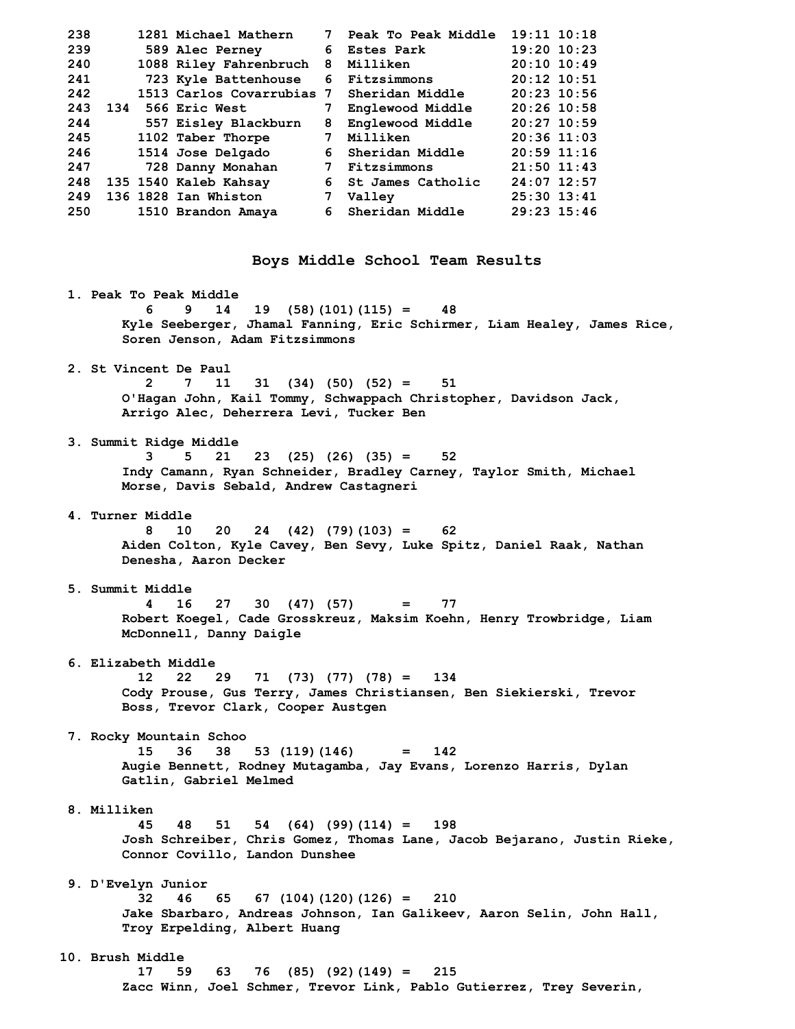| 238 |     | 1281 Michael Mathern      | 7 | Peak To Peak Middle | $19:11$ $10:18$ |
|-----|-----|---------------------------|---|---------------------|-----------------|
| 239 |     | 589 Alec Perney           | 6 | <b>Estes Park</b>   | $19:20$ $10:23$ |
| 240 |     | 1088 Riley Fahrenbruch    | 8 | Milliken            | $20:10$ 10:49   |
| 241 |     | 723 Kyle Battenhouse      |   | 6 Fitzsimmons       | $20:12$ 10:51   |
| 242 |     | 1513 Carlos Covarrubias 7 |   | Sheridan Middle     | $20:23$ 10:56   |
| 243 | 134 | <b>566 Eric West</b>      |   | Englewood Middle    | $20:26$ 10:58   |
| 244 |     | 557 Eisley Blackburn      | 8 | Englewood Middle    | $20:27$ 10:59   |
| 245 |     | 1102 Taber Thorpe         | 7 | Milliken            | $20:36$ 11:03   |
| 246 |     | 1514 Jose Delgado         |   | 6 Sheridan Middle   | $20:59$ 11:16   |
| 247 |     | 728 Danny Monahan         | 7 | Fitzsimmons         | $21:50$ $11:43$ |
| 248 |     | 135 1540 Kaleb Kahsay     | 6 | St James Catholic   | $24:07$ 12:57   |
| 249 |     | 136 1828 Ian Whiston      |   | Valley              | $25:30$ $13:41$ |
| 250 |     | 1510 Brandon Amaya        |   | 6 Sheridan Middle   | $29:23$ 15:46   |
|     |     |                           |   |                     |                 |

**Boys Middle School Team Results** 

 **1. Peak To Peak Middle 6 9 14 19 (58)(101)(115) = 48 Kyle Seeberger, Jhamal Fanning, Eric Schirmer, Liam Healey, James Rice, Soren Jenson, Adam Fitzsimmons 2. St Vincent De Paul 2 7 11 31 (34) (50) (52) = 51 O'Hagan John, Kail Tommy, Schwappach Christopher, Davidson Jack, Arrigo Alec, Deherrera Levi, Tucker Ben 3. Summit Ridge Middle 3 5 21 23 (25) (26) (35) = 52 Indy Camann, Ryan Schneider, Bradley Carney, Taylor Smith, Michael Morse, Davis Sebald, Andrew Castagneri 4. Turner Middle 8 10 20 24 (42) (79)(103) = 62 Aiden Colton, Kyle Cavey, Ben Sevy, Luke Spitz, Daniel Raak, Nathan Denesha, Aaron Decker 5. Summit Middle 4 16 27 30 (47) (57) = 77 Robert Koegel, Cade Grosskreuz, Maksim Koehn, Henry Trowbridge, Liam McDonnell, Danny Daigle 6. Elizabeth Middle 12 22 29 71 (73) (77) (78) = 134 Cody Prouse, Gus Terry, James Christiansen, Ben Siekierski, Trevor Boss, Trevor Clark, Cooper Austgen 7. Rocky Mountain Schoo 15 36 38 53 (119)(146) = 142 Augie Bennett, Rodney Mutagamba, Jay Evans, Lorenzo Harris, Dylan Gatlin, Gabriel Melmed 8. Milliken 45 48 51 54 (64) (99)(114) = 198 Josh Schreiber, Chris Gomez, Thomas Lane, Jacob Bejarano, Justin Rieke, Connor Covillo, Landon Dunshee 9. D'Evelyn Junior 32 46 65 67 (104)(120)(126) = 210 Jake Sbarbaro, Andreas Johnson, Ian Galikeev, Aaron Selin, John Hall, Troy Erpelding, Albert Huang 10. Brush Middle 17 59 63 76 (85) (92)(149) = 215 Zacc Winn, Joel Schmer, Trevor Link, Pablo Gutierrez, Trey Severin,**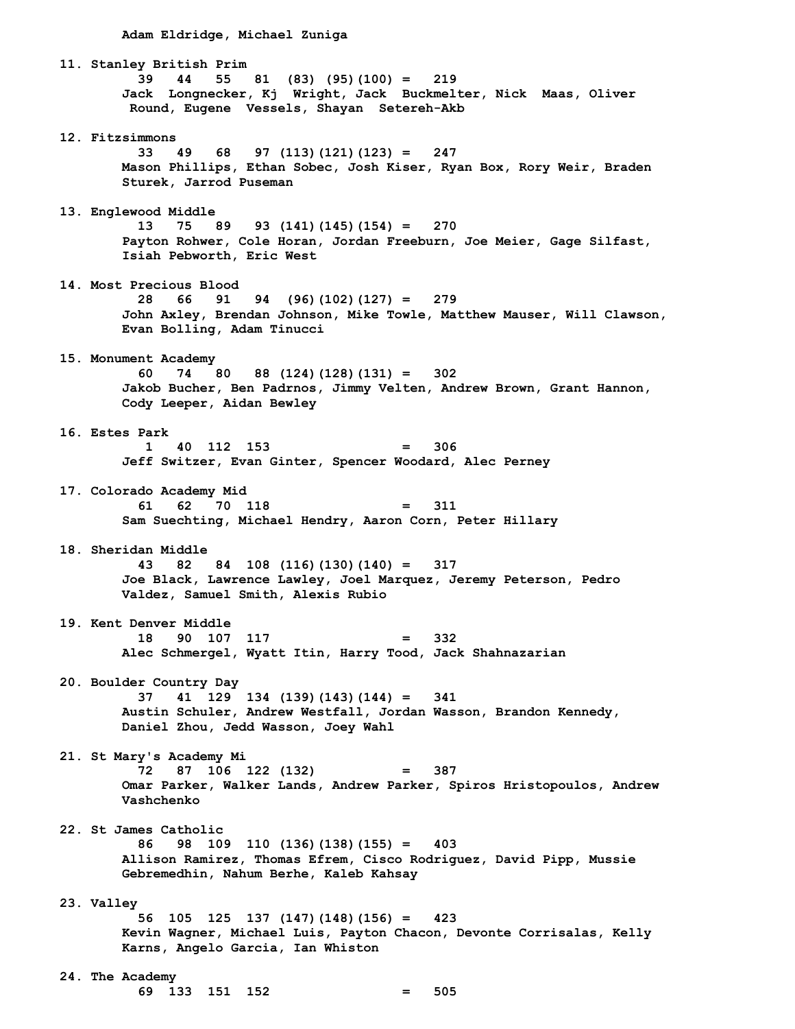**Adam Eldridge, Michael Zuniga 11. Stanley British Prim 39 44 55 81 (83) (95)(100) = 219 Jack Longnecker, Kj Wright, Jack Buckmelter, Nick Maas, Oliver Round, Eugene Vessels, Shayan Setereh-Akb 12. Fitzsimmons 33 49 68 97 (113)(121)(123) = 247 Mason Phillips, Ethan Sobec, Josh Kiser, Ryan Box, Rory Weir, Braden Sturek, Jarrod Puseman 13. Englewood Middle 13 75 89 93 (141)(145)(154) = 270 Payton Rohwer, Cole Horan, Jordan Freeburn, Joe Meier, Gage Silfast, Isiah Pebworth, Eric West 14. Most Precious Blood 28 66 91 94 (96)(102)(127) = 279 John Axley, Brendan Johnson, Mike Towle, Matthew Mauser, Will Clawson, Evan Bolling, Adam Tinucci 15. Monument Academy 60 74 80 88 (124)(128)(131) = 302 Jakob Bucher, Ben Padrnos, Jimmy Velten, Andrew Brown, Grant Hannon, Cody Leeper, Aidan Bewley 16. Estes Park 1 40 112 153 = 306 Jeff Switzer, Evan Ginter, Spencer Woodard, Alec Perney 17. Colorado Academy Mid 61 62 70 118 = 311 Sam Suechting, Michael Hendry, Aaron Corn, Peter Hillary 18. Sheridan Middle 43 82 84 108 (116)(130)(140) = 317 Joe Black, Lawrence Lawley, Joel Marquez, Jeremy Peterson, Pedro Valdez, Samuel Smith, Alexis Rubio 19. Kent Denver Middle 18 90 107 117 = 332 Alec Schmergel, Wyatt Itin, Harry Tood, Jack Shahnazarian 20. Boulder Country Day 37 41 129 134 (139)(143)(144) = 341 Austin Schuler, Andrew Westfall, Jordan Wasson, Brandon Kennedy, Daniel Zhou, Jedd Wasson, Joey Wahl 21. St Mary's Academy Mi 72 87 106 122 (132) = 387 Omar Parker, Walker Lands, Andrew Parker, Spiros Hristopoulos, Andrew Vashchenko 22. St James Catholic 86 98 109 110 (136)(138)(155) = 403 Allison Ramirez, Thomas Efrem, Cisco Rodriguez, David Pipp, Mussie Gebremedhin, Nahum Berhe, Kaleb Kahsay 23. Valley 56 105 125 137 (147)(148)(156) = 423 Kevin Wagner, Michael Luis, Payton Chacon, Devonte Corrisalas, Kelly Karns, Angelo Garcia, Ian Whiston 24. The Academy 69 133 151 152 = 505**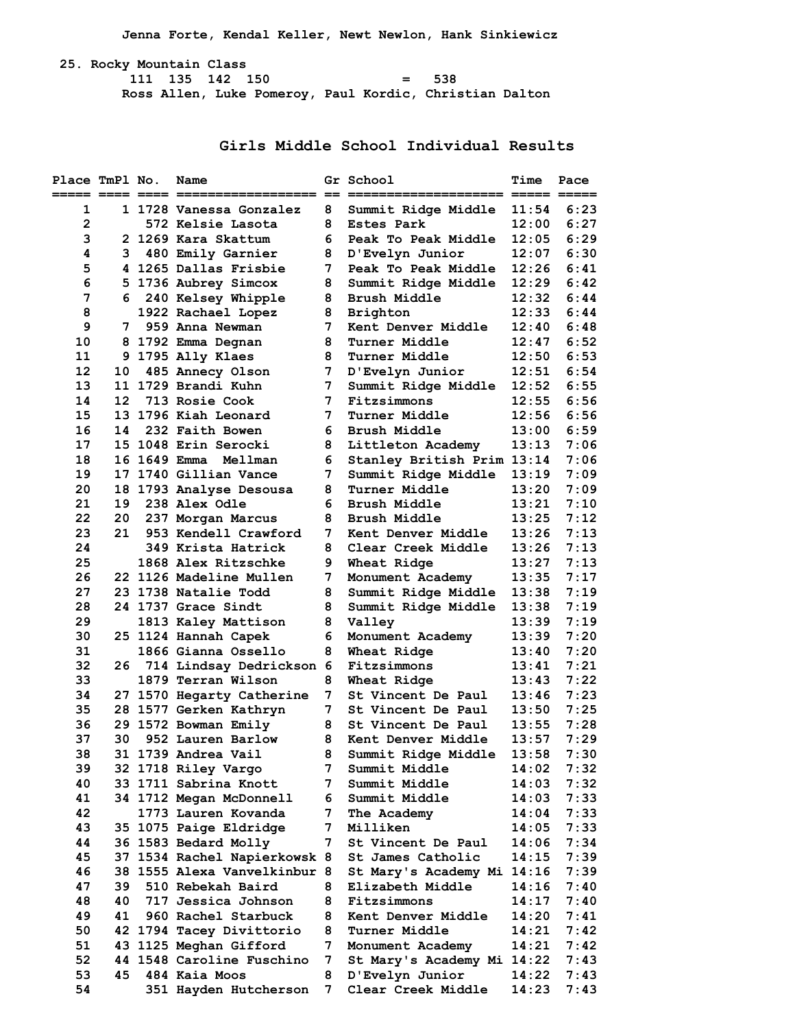**Jenna Forte, Kendal Keller, Newt Newlon, Hank Sinkiewicz** 

 **25. Rocky Mountain Class 111 135 142 150 = 538 Ross Allen, Luke Pomeroy, Paul Kordic, Christian Dalton** 

**Girls Middle School Individual Results** 

| Place TmPl No.              |                     |                           | Name                         |                 | Gr School                  | <b>Time</b> | Pace |
|-----------------------------|---------------------|---------------------------|------------------------------|-----------------|----------------------------|-------------|------|
|                             |                     |                           |                              |                 |                            |             |      |
| 1                           |                     |                           | 1 1728 Vanessa Gonzalez      | 8               | Summit Ridge Middle        | 11:54       | 6:23 |
| $\overline{2}$              |                     |                           | 572 Kelsie Lasota            | 8               | <b>Estes Park</b>          | 12:00       | 6:27 |
| з                           |                     |                           | 2 1269 Kara Skattum          | 6               | Peak To Peak Middle        | 12:05       | 6:29 |
| 4                           | 3                   |                           | 480 Emily Garnier            | 8               | D'Evelyn Junior            | 12:07       | 6:30 |
| 5                           |                     |                           | 4 1265 Dallas Frisbie        | 7               | Peak To Peak Middle        | 12:26       | 6:41 |
| 6                           |                     |                           | 5 1736 Aubrey Simcox         | 8               | Summit Ridge Middle        | 12:29       | 6:42 |
| 7                           | 6.                  |                           | 240 Kelsey Whipple           | 8               | Brush Middle               | 12:32       | 6:44 |
| 8                           |                     |                           | 1922 Rachael Lopez           | 8               | Brighton                   | 12:33       | 6:44 |
| 9                           | 7                   |                           | 959 Anna Newman              | 7               | Kent Denver Middle         | 12:40       | 6:48 |
| 10                          |                     |                           | 8 1792 Emma Degnan           | 8               | Turner Middle              | 12:47       | 6:52 |
| 11                          |                     |                           | 9 1795 Ally Klaes            | 8               | Turner Middle              | 12:50       | 6:53 |
| 12                          | 10                  |                           | 485 Annecy Olson             | 7               | D'Evelyn Junior            | 12:51       | 6:54 |
| 13                          |                     |                           | 11 1729 Brandi Kuhn          | 7               | Summit Ridge Middle        | 12:52       | 6:55 |
| 14                          | 12                  |                           | 713 Rosie Cook               | 7               | Fitzsimmons                | 12:55       | 6:56 |
| 15                          |                     |                           | 13 1796 Kiah Leonard         | 7               | <b>Turner Middle</b>       | 12:56       | 6:56 |
| 16                          | 14                  |                           | 232 Faith Bowen              | 6.              | Brush Middle               | 13:00       | 6:59 |
| 17                          |                     |                           | 15 1048 Erin Serocki         | 8               | Littleton Academy          | 13:13       | 7:06 |
| 18                          |                     |                           | 16 1649 Emma Mellman         | 6               | Stanley British Prim 13:14 |             | 7:06 |
| 19                          |                     |                           | 17 1740 Gillian Vance        | 7               | Summit Ridge Middle        | 13:19       | 7:09 |
| 20                          |                     |                           | 18 1793 Analyse Desousa      | 8               | Turner Middle              | 13:20       | 7:09 |
| 21                          | 19                  |                           | 238 Alex Odle                | 6               | Brush Middle               | 13:21       | 7:10 |
| 22                          | 20                  |                           | 237 Morgan Marcus            | 8               | Brush Middle               | 13:25       | 7:12 |
| 23                          | 21                  |                           | 953 Kendell Crawford         | 7               | Kent Denver Middle         | 13:26       | 7:13 |
| 24                          |                     |                           | 349 Krista Hatrick           | 8               | Clear Creek Middle         | 13:26       | 7:13 |
| 25                          |                     |                           | 1868 Alex Ritzschke          | 9               | Wheat Ridge                | 13:27       | 7:13 |
| 26                          |                     |                           | 22 1126 Madeline Mullen      | 7               | Monument Academy           | 13:35       | 7:17 |
| 27                          |                     |                           | 23 1738 Natalie Todd         | 8               | Summit Ridge Middle        | 13:38       | 7:19 |
| 28                          |                     |                           | 24 1737 Grace Sindt          | 8               | Summit Ridge Middle        | 13:38       | 7:19 |
| 29                          |                     |                           | 1813 Kaley Mattison          | 8               | Valley                     | 13:39       | 7:19 |
| 30                          |                     |                           | 25 1124 Hannah Capek         | 6               | Monument Academy           | 13:39       | 7:20 |
| 31                          |                     |                           | 1866 Gianna Ossello          | 8               | Wheat Ridge                | 13:40       | 7:20 |
| 32                          | 26                  |                           | 714 Lindsay Dedrickson       | -6              | Fitzsimmons                | 13:41       | 7:21 |
| 33                          |                     |                           | 1879 Terran Wilson           | 8               | Wheat Ridge                | 13:43       | 7:22 |
| 34                          |                     |                           | 27 1570 Hegarty Catherine    | 7               | St Vincent De Paul         | 13:46       | 7:23 |
| 35                          |                     |                           | 28 1577 Gerken Kathryn       | 7               | St Vincent De Paul         | 13:50       | 7:25 |
| 36                          |                     |                           | 29 1572 Bowman Emily         | 8               | St Vincent De Paul         | 13:55       | 7:28 |
| 37                          | 30                  |                           | 952 Lauren Barlow            | 8               | Kent Denver Middle         | 13:57       | 7:29 |
| 38                          |                     |                           | 31 1739 Andrea Vail          | 8               | Summit Ridge Middle 13:58  |             | 7:30 |
| 39                          |                     |                           | 32 1718 Riley Vargo          | 7               | Summit Middle              | 14:02       | 7:32 |
| 40                          |                     |                           | 33 1711 Sabrina Knott        | 7               | Summit Middle              | 14:03       | 7:32 |
| 41                          |                     |                           | 34 1712 Megan McDonnell      | 6 <sup>1</sup>  | Summit Middle              | 14:03       | 7:33 |
| 42                          |                     |                           | 1773 Lauren Kovanda          | 7               | The Academy                | 14:04       | 7:33 |
| 43                          |                     |                           | 35 1075 Paige Eldridge       | 7               | Milliken                   | 14:05       | 7:33 |
| 44                          |                     |                           | 36 1583 Bedard Molly         | 7               | St Vincent De Paul         | 14:06       | 7:34 |
| 45                          |                     |                           | 37 1534 Rachel Napierkowsk 8 |                 | St James Catholic          | 14:15       | 7:39 |
| 46                          |                     |                           | 38 1555 Alexa Vanvelkinbur 8 |                 | St Mary's Academy Mi 14:16 |             | 7:39 |
| 47                          | 39                  |                           | 510 Rebekah Baird            | 8               | Elizabeth Middle           | 14:16       | 7:40 |
| 48                          | 40.                 |                           | 717 Jessica Johnson          | 8               | Fitzsimmons                | 14:17       | 7:40 |
| 49                          | 41                  |                           | 960 Rachel Starbuck          | 8               | Kent Denver Middle         | 14:20       | 7:41 |
| 50                          |                     |                           | 42 1794 Tacey Divittorio     | 8               | Turner Middle              | 14:21       | 7:42 |
| 51                          |                     |                           | 43 1125 Meghan Gifford       | 7               | Monument Academy           | 14:21       | 7:42 |
| 52                          |                     | 44 1548 Caroline Fuschino |                              | 7               | St Mary's Academy Mi 14:22 |             | 7:43 |
| 53                          | 45<br>484 Kaia Moos |                           | 8                            | D'Evelyn Junior | 14:22                      | 7:43        |      |
| 54<br>351 Hayden Hutcherson |                     | 7                         | Clear Creek Middle           | 14:23           | 7:43                       |             |      |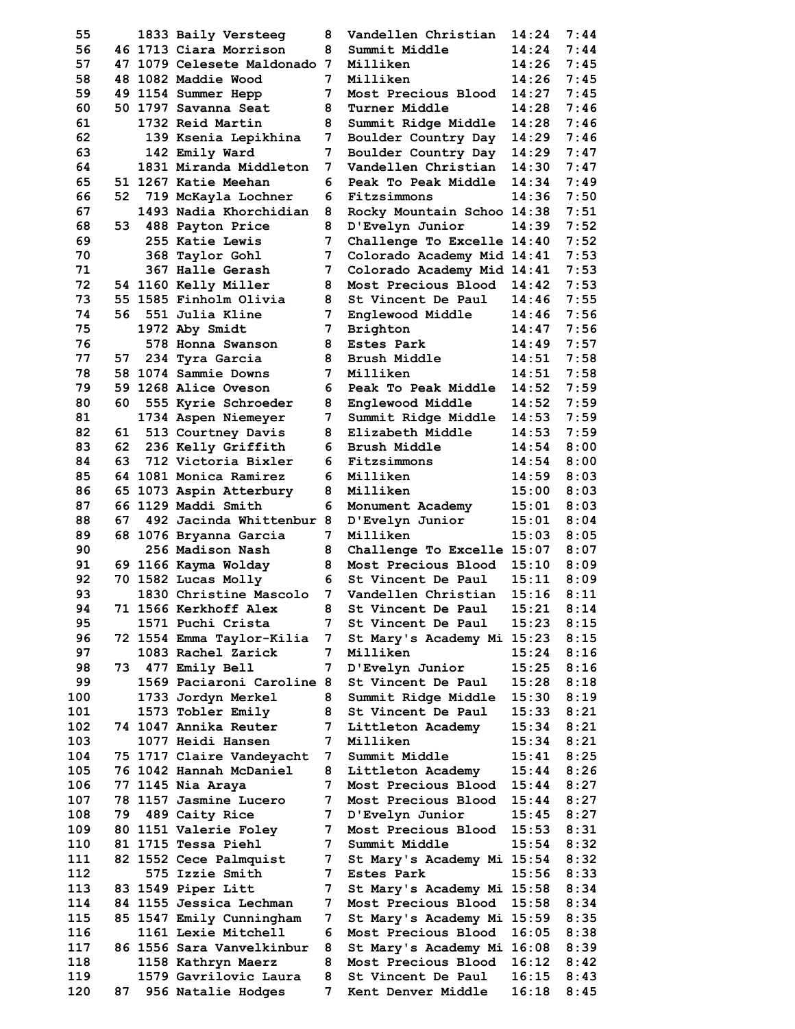55 1833 Baily Versteeg 8 56 46 1713 Ciara Morrison 8 57 47 1079 Celesete Maldonado 7  **58 48 1082 Maddie Wood 7 Milliken 14:26 7:45**  59 49 1154 Summer Hepp 7  **60 50 1797 Savanna Seat 8 Turner Middle 14:28 7:46 61 1732 Reid Martin 8 Summit Ridge Middle 14:28 7:46 62** 139 Ksenia Lepikhina 7  **63 142 Emily Ward 7 Boulder Country Day 14:29 7:47**  64 1831 Miranda Middleton 7  **65 51 1267 Katie Meehan 6 Peak To Peak Middle 14:34 7:49 66 52 719 McKayla Lochner 6 Fitzsimmons 14:36 7:50 67 1493 Nadia Khorchidian 8 Rocky Mountain Schoo 14:38 7:51 68 53 488 Payton Price 8 D'Evelyn Junior 14:39 7:52 69 255 Katie Lewis 7 Challenge To Excelle 14:40 7:52**  70 368 Taylor Gohl 7 71 367 Halle Gerash 7  **72 54 1160 Kelly Miller 8 Most Precious Blood 14:42 7:53 73 55 1585 Finholm Olivia 8 St Vincent De Paul 14:46 7:55 74 56 551 Julia Kline 7 Englewood Middle 14:46 7:56 75 1972 Aby Smidt 7 Brighton 14:47 7:56 76 578 Honna Swanson 8 Estes Park 14:49 7:57 77 57 234 Tyra Garcia 8 Brush Middle 14:51 7:58 78 58 1074 Sammie Downs 7 Milliken 14:51 7:58 79 59 1268 Alice Oveson 6 Peak To Peak Middle 14:52 7:59 80 60 555 Kyrie Schroeder 8 Englewood Middle 14:52 7:59**  81 1734 Aspen Niemeyer 7  **82 61 513 Courtney Davis 8 Elizabeth Middle 14:53 7:59 83 62 236 Kelly Griffith 6 Brush Middle 14:54 8:00 84 63 712 Victoria Bixler 6 Fitzsimmons 14:54 8:00 85 64 1081 Monica Ramirez 6 Milliken 14:59 8:03**  86 65 1073 Aspin Atterbury 8 87 66 1129 Maddi Smith 6 88 67 492 Jacinda Whittenbur 8  **89 68 1076 Bryanna Garcia 7 Milliken 15:03 8:05 90 256 Madison Nash 8 Challenge To Excelle 15:07 8:07 91 69 1166 Kayma Wolday 8 Most Precious Blood 15:10 8:09**  92 70 1582 Lucas Molly 6 93 1830 Christine Mascolo 7 94 71 1566 Kerkhoff Alex 8 **95** 1571 Puchi Crista 17 96 72 1554 Emma Taylor-Kilia 7  **97 1083 Rachel Zarick 7 Milliken 15:24 8:16 98 73 477 Emily Bell 7 D'Evelyn Junior 15:25 8:16**  99 1569 Paciaroni Caroline 8 100 1733 Jordyn Merkel 8 101 **1573 Tobler Emily** 8 102 74 1047 Annika Reuter 7 103 **1077 Heidi Hansen** 7 104 75 1717 Claire Vandeyacht 7 105 76 1042 Hannah McDaniel 8 106 77 1145 Nia Araya **7** 107 78 1157 Jasmine Lucero 7 108 79 489 Caity Rice 7 109 80 1151 Valerie Foley 7 110 81 1715 Tessa Piehl 7<br>111 82 1552 Cece Palmquist 7 82 1552 Cece Palmquist 7  **112 575 Izzie Smith 7 Estes Park 15:56 8:33**  113 83 1549 Piper Litt 7 114 84 1155 Jessica Lechman 7 115 85 1547 Emily Cunningham 7 116 **1161 Lexie Mitchell** 6 117 86 1556 Sara Vanvelkinbur 8 118 **1158 Kathryn Maerz** 8 119 1579 Gavrilovic Laura 8 120 87 956 Natalie Hodges 7

| Vandellen Christian                      | 14:24          | 7:44         |
|------------------------------------------|----------------|--------------|
| Summit Middle                            | 14:24          | 7:44         |
| Milliken                                 | 14:26          | 7:45         |
| Milliken                                 | 14:26          | 7:45         |
| Most Precious Blood                      | 14:27          | 7:45         |
| Turner Middle                            | 14:28          | 7:46         |
| Summit Ridge Middle                      | 14:28          | 7:46         |
| Boulder Country Day                      | 14:29          | 7:46         |
| Boulder Country Day                      | 14:29          | 7:47         |
| Vandellen Christian                      | 14:30          | 7:47         |
| Peak To Peak Middle                      | 14:34          | 7:49         |
| Fitzsimmons                              | 14:36          | 7:50         |
| Rocky Mountain Schoo                     | 14:38          | 7:51         |
| D'Evelyn Junior                          | 14:39          | 7:52         |
| Challenge To Excelle 14:40               |                | 7:52         |
| Colorado Academy Mid 14:41               |                | 7:53         |
| Colorado Academy Mid                     | 14:41          | 7:53         |
| Most Precious Blood                      | 14:42          | 7:53         |
| St Vincent De Paul                       | 14:46          | 7:55         |
| Englewood Middle                         | 14:46          | 7:56         |
| Brighton                                 | 14:47          | 7:56         |
| <b>Estes Park</b>                        | 14:49          | 7:57         |
| Brush Middle                             | 14:51          | 7:58         |
| Milliken                                 | 14:51          | 7:58         |
| Peak To Peak Middle                      | 14:52          | 7:59         |
| Englewood Middle                         | 14:52          | 7:59         |
| Summit Ridge Middle                      | 14:53          | 7:59         |
| Elizabeth Middle                         | 14:53          | 7:59         |
| Brush Middle                             | 14:54          | 8:00         |
| Fitzsimmons                              | 14:54          | 8:00         |
| Milliken                                 |                |              |
|                                          | 14:59          | 8:03         |
| Milliken                                 | 15:00          | 8:03         |
| Monument Academy                         | 15:01          | 8:03         |
| D'Evelyn Junior                          | 15:01          | 8:04         |
| Milliken                                 | 15:03          | 8:05         |
| Challenge To Excelle                     | 15:07          | 8:07         |
| Most Precious Blood                      | 15:10          | 8:09         |
| St Vincent De Paul                       | 15:11          | 8:09         |
| Vandellen Christian                      | 15:16          | 8:11         |
| St Vincent De Paul                       | 15:21          | 8:14         |
| St Vincent De Paul                       | 15:23          | 8:15         |
| St Mary's Academy Mi 15:23               |                | 8:15         |
| Milliken                                 | 15:24          | 8:16         |
| D'Evelyn Junior                          | 15:25          | 8:16         |
| St Vincent De Paul                       | 15:28          | 8:18         |
| Summit Ridge Middle                      | 15:30          | 8:19         |
| St Vincent De Paul                       |                | 8:21         |
|                                          | 15:33          |              |
| Littleton Academy                        | 15:34          | 8:21         |
| Milliken                                 | 15:34          | 8:21         |
| Summit Middle                            | 15:41          | 8:25         |
| Littleton Academy                        | 15:44          | 8:26         |
| Most Precious Blood                      | 15:44          | 8:27         |
| Most Precious Blood                      | 15:44          | 8:27         |
|                                          | 15:45          | 8:27         |
| D'Evelyn Junior                          |                |              |
| Most Precious Blood                      | 15:53          | 8:31         |
| Summit Middle                            | 15:54          | 8:32<br>8:32 |
| St Mary's Academy Mi                     | 15:54          |              |
| Estes Park                               | 15:56          | 8:33         |
| St Mary's Academy Mi                     | 15:58          | 8:34         |
| Most Precious Blood                      | 15:58          | 8:34         |
| St Mary's Academy Mi                     | 15:59          | 8:35         |
| Most Precious Blood                      | 16:05          | 8:38         |
| St Mary's Academy Mi 16:08               |                | 8:39         |
| Most Precious Blood                      | 16:12          | 8:42         |
| St Vincent De Paul<br>Kent Denver Middle | 16:15<br>16:18 | 8:43<br>8:45 |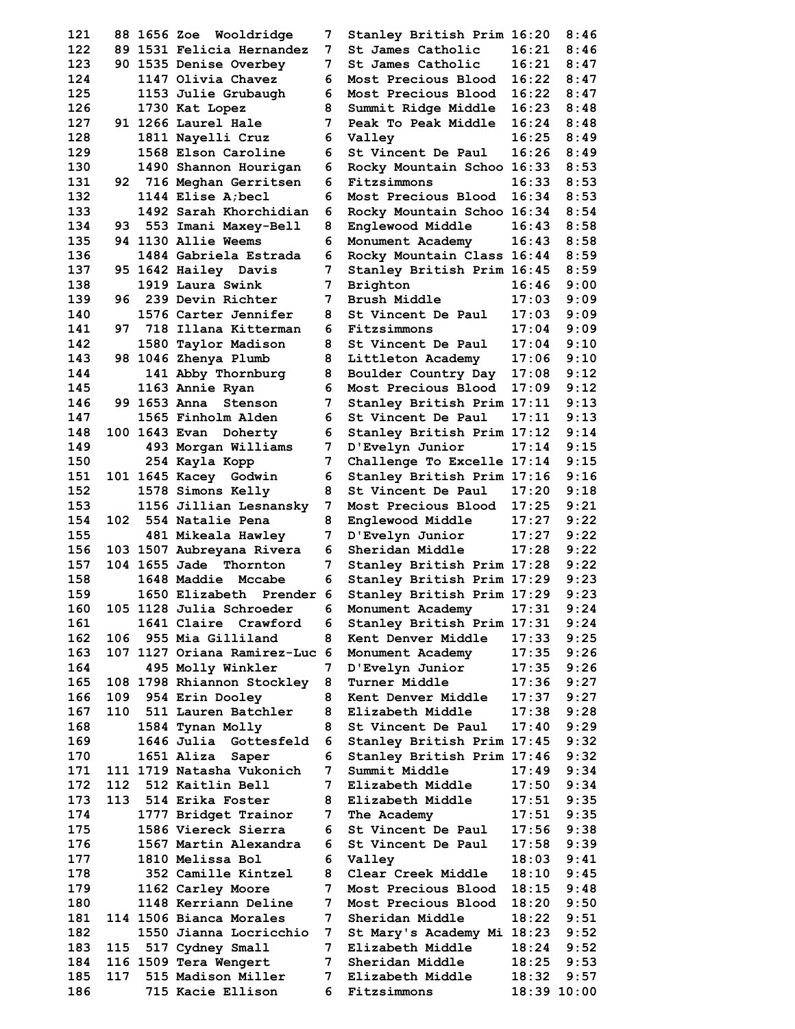**122 89 1531 Felicia Hernandez 7 St James Catholic 16:21 8:46 123 90 1535 Denise Overbey 7 St James Catholic 16:21 8:47 130 1490 Shannon Hourigan 6 Rocky Mountain Schoo 16:33 8:53 131 92 716 Meghan Gerritsen 6 Fitzsimmons 16:33 8:53 132 1144 Elise A;becl 6 Most Precious Blood 16:34 8:53 133 1492 Sarah Khorchidian 6 Rocky Mountain Schoo 16:34 8:54 134 93 553 Imani Maxey-Bell 8 Englewood Middle 16:43 8:58 135 94 1130 Allie Weems 6 Monument Academy 16:43 8:58 136 1484 Gabriela Estrada 6 Rocky Mountain Class 16:44 8:59 137 95 1642 Hailey Davis 7 Stanley British Prim 16:45 8:59 138 1919 Laura Swink 7 Brighton 16:46 9:00 139 96 239 Devin Richter 7 Brush Middle 17:03 9:09 140 1576 Carter Jennifer 8 St Vincent De Paul 17:03 9:09 155 481 Mikeala Hawley 7 D'Evelyn Junior 17:27 9:22 156 103 1507 Aubreyana Rivera 6 Sheridan Middle 17:28 9:22 157 104 1655 Jade Thornton 7 Stanley British Prim 17:28 9:22 158 1648 Maddie Mccabe 6 Stanley British Prim 17:29 9:23 159 1650 Elizabeth Prender 6 Stanley British Prim 17:29 9:23 160 105 1128 Julia Schroeder 6 Monument Academy 17:31 9:24 161 1641 Claire Crawford 6 Stanley British Prim 17:31 9:24 162 106 955 Mia Gilliland 8 Kent Denver Middle 17:33 9:25 163 107 1127 Oriana Ramirez-Luc 6 Monument Academy 17:35 9:26 164 495 Molly Winkler 7 D'Evelyn Junior 17:35 9:26 165 108 1798 Rhiannon Stockley 8 Turner Middle 17:36 9:27 166 109 954 Erin Dooley 8 Kent Denver Middle 17:37 9:27 170 1651 Aliza Saper 6 Stanley British Prim 17:46 9:32 171 111 1719 Natasha Vukonich 7 Summit Middle 17:49 9:34 176 1567 Martin Alexandra 6 St Vincent De Paul 17:58 9:39 177 1810 Melissa Bol 6 Valley 18:03 9:41 178 352 Camille Kintzel 8 Clear Creek Middle 18:10 9:45 179 1162 Carley Moore 7 Most Precious Blood 18:15 9:48** 

 **121 88 1656 Zoe Wooldridge 7 Stanley British Prim 16:20 8:46 124 1147 Olivia Chavez 6 Most Precious Blood 16:22 8:47 125 1153 Julie Grubaugh 6 Most Precious Blood 16:22 8:47 126 1730 Kat Lopez 8 Summit Ridge Middle 16:23 8:48 127 91 1266 Laurel Hale 7 Peak To Peak Middle 16:24 8:48 128 1811 Nayelli Cruz 6 Valley 16:25 8:49 129 1568 Elson Caroline 6 St Vincent De Paul 16:26 8:49 141 97 718 Illana Kitterman 6 Fitzsimmons 17:04 9:09 142 1580 Taylor Madison 8 St Vincent De Paul 17:04 9:10 143 98 1046 Zhenya Plumb 8 Littleton Academy 17:06 9:10 144 141 Abby Thornburg 8 Boulder Country Day 17:08 9:12 145 1163 Annie Ryan 6 Most Precious Blood 17:09 9:12 146 99 1653 Anna Stenson 7 Stanley British Prim 17:11 9:13 147 1565 Finholm Alden 6 St Vincent De Paul 17:11 9:13 148 100 1643 Evan Doherty 6 Stanley British Prim 17:12 9:14 149 493 Morgan Williams 7 D'Evelyn Junior 17:14 9:15 150 254 Kayla Kopp 7 Challenge To Excelle 17:14 9:15 151 101 1645 Kacey Godwin 6 Stanley British Prim 17:16 9:16 152 1578 Simons Kelly 8 St Vincent De Paul 17:20 9:18 153 1156 Jillian Lesnansky 7 Most Precious Blood 17:25 9:21 154 102 554 Natalie Pena 8 Englewood Middle 17:27 9:22 167 110 511 Lauren Batchler 8 Elizabeth Middle 17:38 9:28 168 1584 Tynan Molly 8 St Vincent De Paul 17:40 9:29 169 1646 Julia Gottesfeld 6 Stanley British Prim 17:45 9:32 172 112 512 Kaitlin Bell 7 Elizabeth Middle 17:50 9:34 173 113 514 Erika Foster 8 Elizabeth Middle 17:51 9:35 174 1777 Bridget Trainor 7 The Academy 17:51 9:35 175 1586 Viereck Sierra 6 St Vincent De Paul 17:56 9:38 180 1148 Kerriann Deline 7 Most Precious Blood 18:20 9:50 181 114 1506 Bianca Morales 7 Sheridan Middle 18:22 9:51 182 1550 Jianna Locricchio 7 St Mary's Academy Mi 18:23 9:52 183 115 517 Cydney Small 7 Elizabeth Middle 18:24 9:52 184 116 1509 Tera Wengert 7 Sheridan Middle 18:25 9:53 185 117 515 Madison Miller 7 Elizabeth Middle 18:32 9:57 186 715 Kacie Ellison 6 Fitzsimmons 18:39 10:00**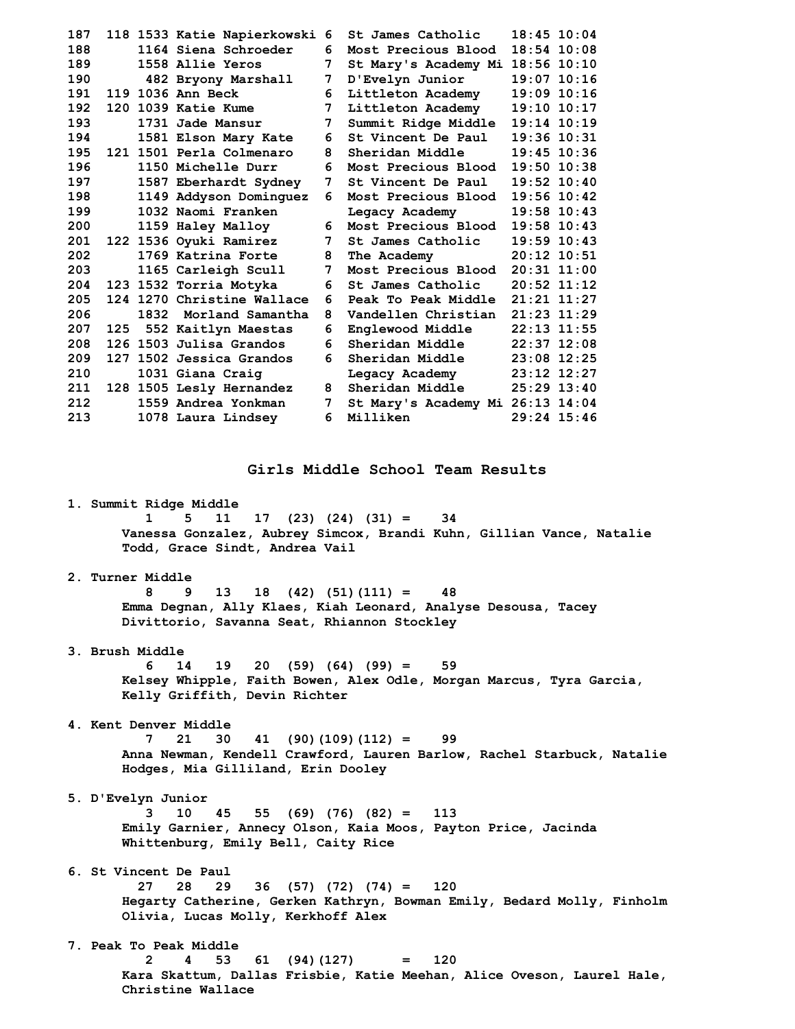| 187 |     |      | 118 1533 Katie Napierkowski 6 |                 | St James Catholic                   | $18:45$ $10:04$ |
|-----|-----|------|-------------------------------|-----------------|-------------------------------------|-----------------|
| 188 |     |      | 1164 Siena Schroeder          | 6               | Most Precious Blood                 | $18:54$ $10:08$ |
| 189 |     |      | 1558 Allie Yeros              | 7               | St Mary's Academy Mi 18:56 10:10    |                 |
| 190 |     |      | 482 Bryony Marshall           | 7               | D'Evelyn Junior                     | $19:07$ $10:16$ |
| 191 |     |      | 119 1036 Ann Beck             | 6               | Littleton Academy                   | $19:09$ $10:16$ |
| 192 |     |      | 120 1039 Katie Kume           | $7^{\circ}$     | Littleton Academy                   | $19:10$ $10:17$ |
| 193 |     |      | 1731 Jade Mansur              | $7\phantom{.0}$ | Summit Ridge Middle                 | $19:14$ $10:19$ |
| 194 |     |      | 1581 Elson Mary Kate          | 6               | St Vincent De Paul                  | $19:36$ $10:31$ |
| 195 |     |      | 121 1501 Perla Colmenaro      | 8               | Sheridan Middle                     | $19:45$ $10:36$ |
| 196 |     |      | 1150 Michelle Durr            | 6.              | Most Precious Blood                 | $19:50$ $10:38$ |
| 197 |     |      | 1587 Eberhardt Sydney         | 7               | St Vincent De Paul                  | $19:52$ $10:40$ |
| 198 |     |      | 1149 Addyson Dominguez        | 6.              | Most Precious Blood                 | $19:56$ $10:42$ |
| 199 |     |      | 1032 Naomi Franken            |                 | Legacy Academy                      | $19:58$ 10:43   |
| 200 |     |      | 1159 Haley Malloy             | 6               | Most Precious Blood                 | $19:58$ 10:43   |
| 201 |     |      | 122 1536 Oyuki Ramirez        | $7^{\circ}$     | St James Catholic                   | $19:59$ $10:43$ |
| 202 |     |      | 1769 Katrina Forte            | 8               | The Academy                         | $20:12$ 10:51   |
| 203 |     |      | 1165 Carleigh Scull           | 7               | Most Precious Blood 20:31 11:00     |                 |
| 204 |     |      | 123 1532 Torria Motyka        | 6               | St James Catholic                   | $20:52$ 11:12   |
| 205 |     |      | 124 1270 Christine Wallace    | 6               | Peak To Peak Middle $21:21$ $11:27$ |                 |
| 206 |     | 1832 | Morland Samantha              | 8               | Vandellen Christian                 | $21:23$ $11:29$ |
| 207 | 125 |      | 552 Kaitlyn Maestas           | 6               | Englewood Middle                    | $22:13$ 11:55   |
| 208 |     |      | 126 1503 Julisa Grandos       | 6               | Sheridan Middle                     | $22:37$ 12:08   |
| 209 |     |      | 127 1502 Jessica Grandos      | 6               | Sheridan Middle                     | $23:08$ 12:25   |
| 210 |     |      | 1031 Giana Craig              |                 | Legacy Academy                      | $23:12$ $12:27$ |
| 211 |     |      | 128 1505 Lesly Hernandez      | 8               | Sheridan Middle                     | $25:29$ 13:40   |
| 212 |     |      | 1559 Andrea Yonkman           | 7               | St Mary's Academy Mi 26:13 14:04    |                 |
| 213 |     |      | 1078 Laura Lindsey            | 6               | Milliken                            | $29:24$ 15:46   |
|     |     |      |                               |                 |                                     |                 |

**Girls Middle School Team Results** 

 **1. Summit Ridge Middle** 

 **1 5 11 17 (23) (24) (31) = 34 Vanessa Gonzalez, Aubrey Simcox, Brandi Kuhn, Gillian Vance, Natalie Todd, Grace Sindt, Andrea Vail** 

### **2. Turner Middle**

 **8 9 13 18 (42) (51)(111) = 48 Emma Degnan, Ally Klaes, Kiah Leonard, Analyse Desousa, Tacey Divittorio, Savanna Seat, Rhiannon Stockley** 

 **3. Brush Middle** 

 **6 14 19 20 (59) (64) (99) = 59 Kelsey Whipple, Faith Bowen, Alex Odle, Morgan Marcus, Tyra Garcia, Kelly Griffith, Devin Richter** 

 **4. Kent Denver Middle** 

 **7 21 30 41 (90)(109)(112) = 99 Anna Newman, Kendell Crawford, Lauren Barlow, Rachel Starbuck, Natalie Hodges, Mia Gilliland, Erin Dooley** 

 **5. D'Evelyn Junior** 

 **3 10 45 55 (69) (76) (82) = 113 Emily Garnier, Annecy Olson, Kaia Moos, Payton Price, Jacinda Whittenburg, Emily Bell, Caity Rice** 

 **6. St Vincent De Paul** 

 **27 28 29 36 (57) (72) (74) = 120 Hegarty Catherine, Gerken Kathryn, Bowman Emily, Bedard Molly, Finholm Olivia, Lucas Molly, Kerkhoff Alex** 

 **7. Peak To Peak Middle 2 4 53 61 (94)(127) = 120 Kara Skattum, Dallas Frisbie, Katie Meehan, Alice Oveson, Laurel Hale, Christine Wallace**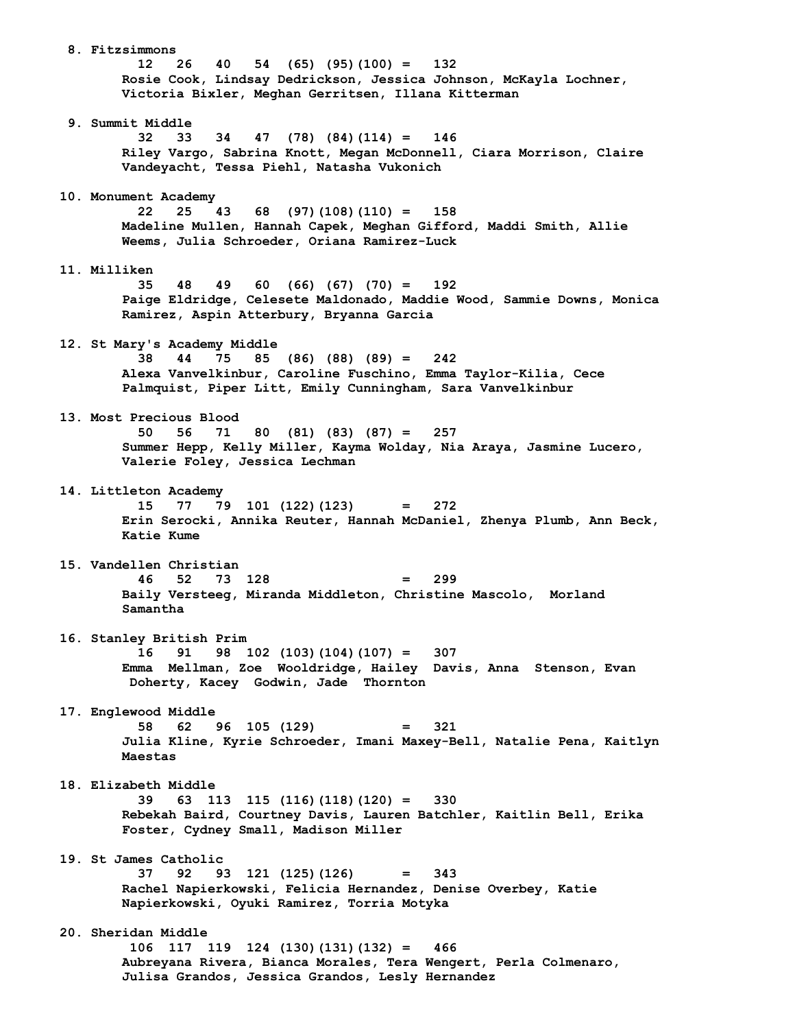**8. Fitzsimmons 12 26 40 54 (65) (95)(100) = 132 Rosie Cook, Lindsay Dedrickson, Jessica Johnson, McKayla Lochner, Victoria Bixler, Meghan Gerritsen, Illana Kitterman 9. Summit Middle 32 33 34 47 (78) (84)(114) = 146 Riley Vargo, Sabrina Knott, Megan McDonnell, Ciara Morrison, Claire Vandeyacht, Tessa Piehl, Natasha Vukonich 10. Monument Academy 22 25 43 68 (97)(108)(110) = 158 Madeline Mullen, Hannah Capek, Meghan Gifford, Maddi Smith, Allie Weems, Julia Schroeder, Oriana Ramirez-Luck 11. Milliken 35 48 49 60 (66) (67) (70) = 192 Paige Eldridge, Celesete Maldonado, Maddie Wood, Sammie Downs, Monica Ramirez, Aspin Atterbury, Bryanna Garcia 12. St Mary's Academy Middle 38 44 75 85 (86) (88) (89) = 242 Alexa Vanvelkinbur, Caroline Fuschino, Emma Taylor-Kilia, Cece Palmquist, Piper Litt, Emily Cunningham, Sara Vanvelkinbur 13. Most Precious Blood 50 56 71 80 (81) (83) (87) = 257 Summer Hepp, Kelly Miller, Kayma Wolday, Nia Araya, Jasmine Lucero, Valerie Foley, Jessica Lechman 14. Littleton Academy 15 77 79 101 (122)(123) = 272 Erin Serocki, Annika Reuter, Hannah McDaniel, Zhenya Plumb, Ann Beck, Katie Kume 15. Vandellen Christian 46 52 73 128 = 299 Baily Versteeg, Miranda Middleton, Christine Mascolo, Morland Samantha 16. Stanley British Prim 16 91 98 102 (103)(104)(107) = 307 Emma Mellman, Zoe Wooldridge, Hailey Davis, Anna Stenson, Evan Doherty, Kacey Godwin, Jade Thornton 17. Englewood Middle 58 62 96 105 (129) = 321 Julia Kline, Kyrie Schroeder, Imani Maxey-Bell, Natalie Pena, Kaitlyn Maestas 18. Elizabeth Middle 39 63 113 115 (116)(118)(120) = 330 Rebekah Baird, Courtney Davis, Lauren Batchler, Kaitlin Bell, Erika Foster, Cydney Small, Madison Miller 19. St James Catholic 37 92 93 121 (125)(126) = 343 Rachel Napierkowski, Felicia Hernandez, Denise Overbey, Katie Napierkowski, Oyuki Ramirez, Torria Motyka 20. Sheridan Middle 106 117 119 124 (130)(131)(132) = 466 Aubreyana Rivera, Bianca Morales, Tera Wengert, Perla Colmenaro, Julisa Grandos, Jessica Grandos, Lesly Hernandez**